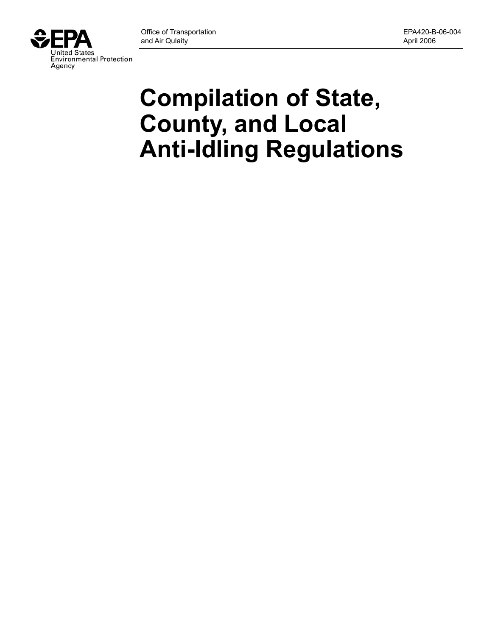

# **Compilation of State, County, and Local Anti-Idling Regulations**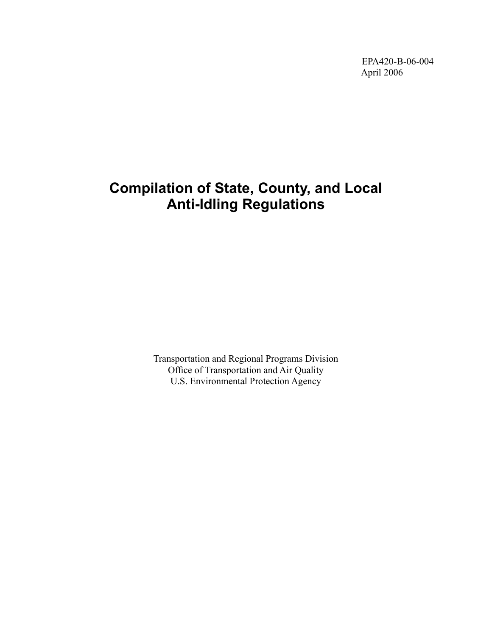EPA420-B-06-004 April 2006

# **Compilation of State, County, and Local Anti-Idling Regulations**

Transportation and Regional Programs Division Office of Transportation and Air Quality U.S. Environmental Protection Agency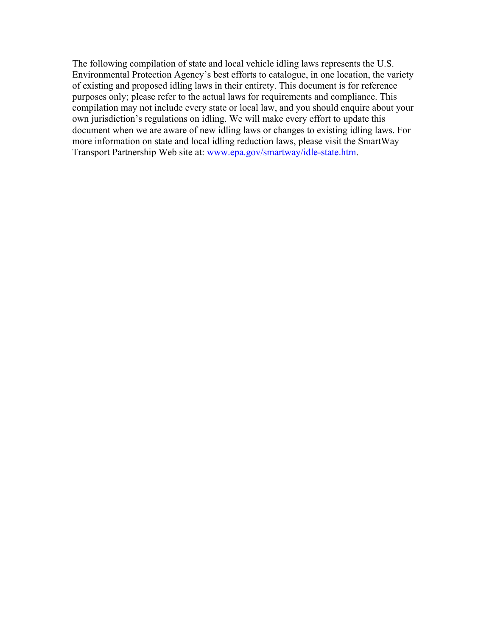The following compilation of state and local vehicle idling laws represents the U.S. Environmental Protection Agency's best efforts to catalogue, in one location, the variety of existing and proposed idling laws in their entirety. This document is for reference purposes only; please refer to the actual laws for requirements and compliance. This compilation may not include every state or local law, and you should enquire about your own jurisdiction's regulations on idling. We will make every effort to update this document when we are aware of new idling laws or changes to existing idling laws. For more information on state and local idling reduction laws, please visit the SmartWay Transport Partnership Web site at: [www.epa.gov/smartway/idle-state.htm.](http://www.epa.gov/smartway/idle-state.htm)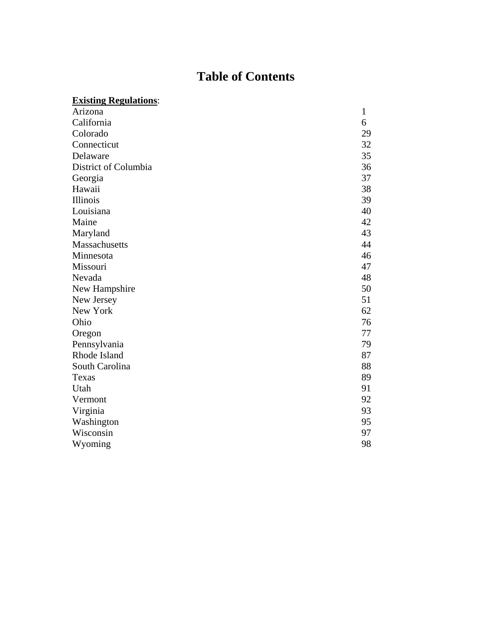# **Table of Contents**

| <b>Existing Regulations:</b> |              |
|------------------------------|--------------|
| Arizona                      | $\mathbf{1}$ |
| California                   | 6            |
| Colorado                     | 29           |
| Connecticut                  | 32           |
| Delaware                     | 35           |
| District of Columbia         | 36           |
| Georgia                      | 37           |
| Hawaii                       | 38           |
| Illinois                     | 39           |
| Louisiana                    | 40           |
| Maine                        | 42           |
| Maryland                     | 43           |
| Massachusetts                | 44           |
| Minnesota                    | 46           |
| Missouri                     | 47           |
| Nevada                       | 48           |
| New Hampshire                | 50           |
| New Jersey                   | 51           |
| New York                     | 62           |
| Ohio                         | 76           |
| Oregon                       | 77           |
| Pennsylvania                 | 79           |
| Rhode Island                 | 87           |
| South Carolina               | 88           |
| Texas                        | 89           |
| Utah                         | 91           |
| Vermont                      | 92           |
| Virginia                     | 93           |
| Washington                   | 95           |
| Wisconsin                    | 97           |
| Wyoming                      | 98           |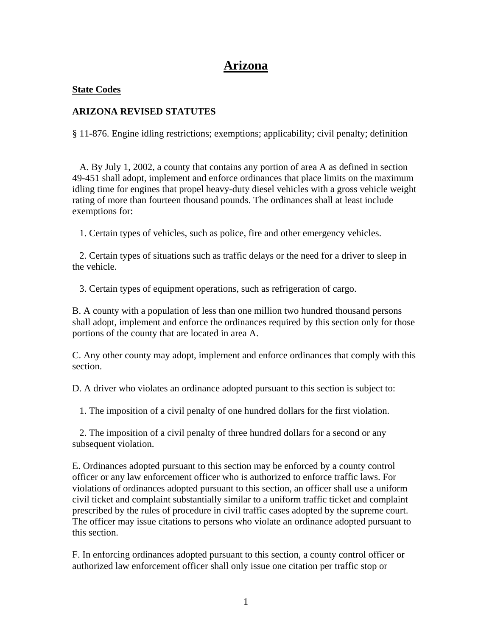# **Arizona**

#### **State Codes**

# **ARIZONA REVISED STATUTES**

§ 11-876. Engine idling restrictions; exemptions; applicability; civil penalty; definition

 A. By July 1, 2002, a county that contains any portion of area A as defined in section 49-451 shall adopt, implement and enforce ordinances that place limits on the maximum idling time for engines that propel heavy-duty diesel vehicles with a gross vehicle weight rating of more than fourteen thousand pounds. The ordinances shall at least include exemptions for:

1. Certain types of vehicles, such as police, fire and other emergency vehicles.

 2. Certain types of situations such as traffic delays or the need for a driver to sleep in the vehicle.

3. Certain types of equipment operations, such as refrigeration of cargo.

B. A county with a population of less than one million two hundred thousand persons shall adopt, implement and enforce the ordinances required by this section only for those portions of the county that are located in area A.

C. Any other county may adopt, implement and enforce ordinances that comply with this section.

D. A driver who violates an ordinance adopted pursuant to this section is subject to:

1. The imposition of a civil penalty of one hundred dollars for the first violation.

 2. The imposition of a civil penalty of three hundred dollars for a second or any subsequent violation.

E. Ordinances adopted pursuant to this section may be enforced by a county control officer or any law enforcement officer who is authorized to enforce traffic laws. For violations of ordinances adopted pursuant to this section, an officer shall use a uniform civil ticket and complaint substantially similar to a uniform traffic ticket and complaint prescribed by the rules of procedure in civil traffic cases adopted by the supreme court. The officer may issue citations to persons who violate an ordinance adopted pursuant to this section.

F. In enforcing ordinances adopted pursuant to this section, a county control officer or authorized law enforcement officer shall only issue one citation per traffic stop or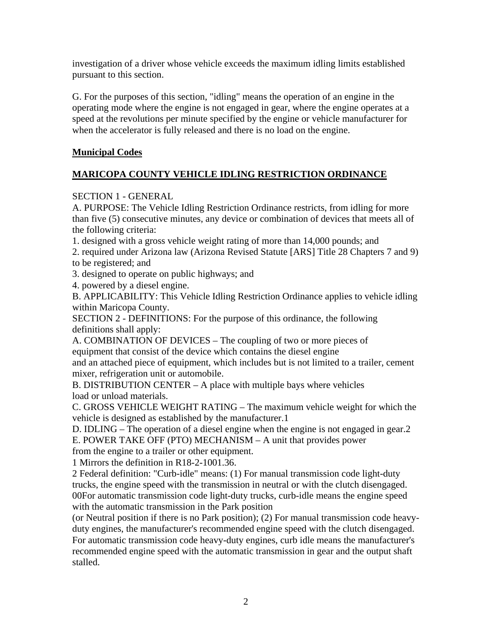investigation of a driver whose vehicle exceeds the maximum idling limits established pursuant to this section.

G. For the purposes of this section, "idling" means the operation of an engine in the operating mode where the engine is not engaged in gear, where the engine operates at a speed at the revolutions per minute specified by the engine or vehicle manufacturer for when the accelerator is fully released and there is no load on the engine.

# **Municipal Codes**

# **MARICOPA COUNTY VEHICLE IDLING RESTRICTION ORDINANCE**

# SECTION 1 - GENERAL

A. PURPOSE: The Vehicle Idling Restriction Ordinance restricts, from idling for more than five (5) consecutive minutes, any device or combination of devices that meets all of the following criteria:

1. designed with a gross vehicle weight rating of more than 14,000 pounds; and

2. required under Arizona law (Arizona Revised Statute [ARS] Title 28 Chapters 7 and 9) to be registered; and

3. designed to operate on public highways; and

4. powered by a diesel engine.

B. APPLICABILITY: This Vehicle Idling Restriction Ordinance applies to vehicle idling within Maricopa County.

SECTION 2 - DEFINITIONS: For the purpose of this ordinance, the following definitions shall apply:

A. COMBINATION OF DEVICES – The coupling of two or more pieces of equipment that consist of the device which contains the diesel engine

and an attached piece of equipment, which includes but is not limited to a trailer, cement mixer, refrigeration unit or automobile.

B. DISTRIBUTION CENTER – A place with multiple bays where vehicles load or unload materials.

C. GROSS VEHICLE WEIGHT RATING – The maximum vehicle weight for which the vehicle is designed as established by the manufacturer.1

D. IDLING – The operation of a diesel engine when the engine is not engaged in gear.2 E. POWER TAKE OFF (PTO) MECHANISM – A unit that provides power

from the engine to a trailer or other equipment.

1 Mirrors the definition in R18-2-1001.36.

2 Federal definition: "Curb-idle" means: (1) For manual transmission code light-duty trucks, the engine speed with the transmission in neutral or with the clutch disengaged. 00For automatic transmission code light-duty trucks, curb-idle means the engine speed with the automatic transmission in the Park position

(or Neutral position if there is no Park position); (2) For manual transmission code heavyduty engines, the manufacturer's recommended engine speed with the clutch disengaged. For automatic transmission code heavy-duty engines, curb idle means the manufacturer's recommended engine speed with the automatic transmission in gear and the output shaft stalled.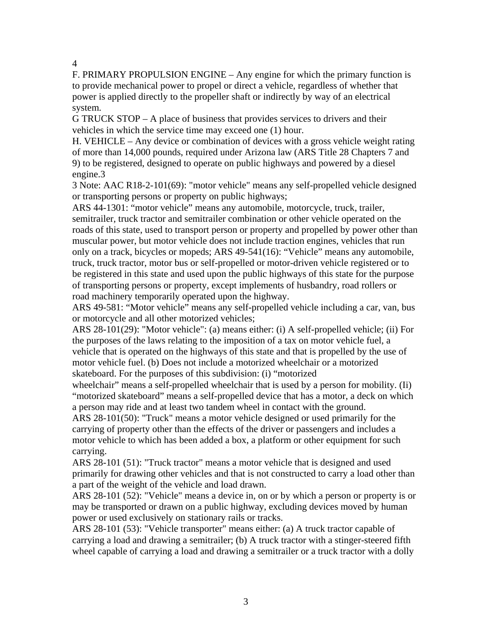4

F. PRIMARY PROPULSION ENGINE – Any engine for which the primary function is to provide mechanical power to propel or direct a vehicle, regardless of whether that power is applied directly to the propeller shaft or indirectly by way of an electrical system.

G TRUCK STOP – A place of business that provides services to drivers and their vehicles in which the service time may exceed one (1) hour.

H. VEHICLE – Any device or combination of devices with a gross vehicle weight rating of more than 14,000 pounds, required under Arizona law (ARS Title 28 Chapters 7 and 9) to be registered, designed to operate on public highways and powered by a diesel engine.3

3 Note: AAC R18-2-101(69): "motor vehicle" means any self-propelled vehicle designed or transporting persons or property on public highways;

ARS 44-1301: "motor vehicle" means any automobile, motorcycle, truck, trailer, semitrailer, truck tractor and semitrailer combination or other vehicle operated on the roads of this state, used to transport person or property and propelled by power other than muscular power, but motor vehicle does not include traction engines, vehicles that run only on a track, bicycles or mopeds; ARS 49-541(16): "Vehicle" means any automobile, truck, truck tractor, motor bus or self-propelled or motor-driven vehicle registered or to be registered in this state and used upon the public highways of this state for the purpose of transporting persons or property, except implements of husbandry, road rollers or road machinery temporarily operated upon the highway.

ARS 49-581: "Motor vehicle" means any self-propelled vehicle including a car, van, bus or motorcycle and all other motorized vehicles;

ARS 28-101(29): "Motor vehicle": (a) means either: (i) A self-propelled vehicle; (ii) For the purposes of the laws relating to the imposition of a tax on motor vehicle fuel, a vehicle that is operated on the highways of this state and that is propelled by the use of motor vehicle fuel. (b) Does not include a motorized wheelchair or a motorized skateboard. For the purposes of this subdivision: (i) "motorized

wheelchair" means a self-propelled wheelchair that is used by a person for mobility. (Ii) "motorized skateboard" means a self-propelled device that has a motor, a deck on which a person may ride and at least two tandem wheel in contact with the ground.

ARS 28-101(50): "Truck" means a motor vehicle designed or used primarily for the carrying of property other than the effects of the driver or passengers and includes a motor vehicle to which has been added a box, a platform or other equipment for such carrying.

ARS 28-101 (51): "Truck tractor" means a motor vehicle that is designed and used primarily for drawing other vehicles and that is not constructed to carry a load other than a part of the weight of the vehicle and load drawn.

ARS 28-101 (52): "Vehicle" means a device in, on or by which a person or property is or may be transported or drawn on a public highway, excluding devices moved by human power or used exclusively on stationary rails or tracks.

ARS 28-101 (53): "Vehicle transporter" means either: (a) A truck tractor capable of carrying a load and drawing a semitrailer; (b) A truck tractor with a stinger-steered fifth wheel capable of carrying a load and drawing a semitrailer or a truck tractor with a dolly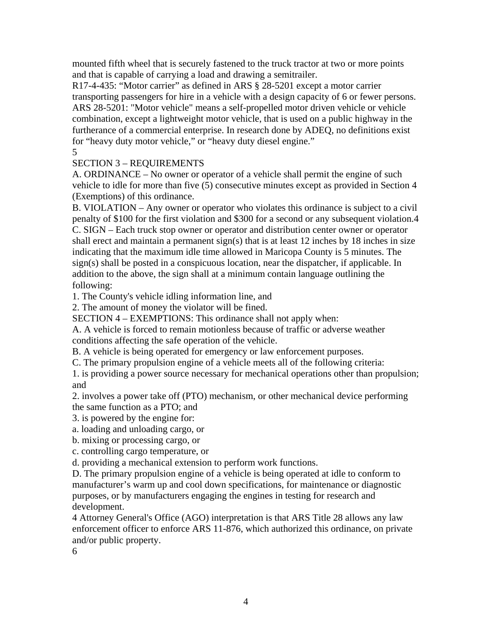mounted fifth wheel that is securely fastened to the truck tractor at two or more points and that is capable of carrying a load and drawing a semitrailer.

R17-4-435: "Motor carrier" as defined in ARS § 28-5201 except a motor carrier transporting passengers for hire in a vehicle with a design capacity of 6 or fewer persons. ARS 28-5201: "Motor vehicle" means a self-propelled motor driven vehicle or vehicle combination, except a lightweight motor vehicle, that is used on a public highway in the furtherance of a commercial enterprise. In research done by ADEQ, no definitions exist for "heavy duty motor vehicle," or "heavy duty diesel engine."

5

# SECTION 3 – REQUIREMENTS

A. ORDINANCE – No owner or operator of a vehicle shall permit the engine of such vehicle to idle for more than five (5) consecutive minutes except as provided in Section 4 (Exemptions) of this ordinance.

B. VIOLATION – Any owner or operator who violates this ordinance is subject to a civil penalty of \$100 for the first violation and \$300 for a second or any subsequent violation.4 C. SIGN – Each truck stop owner or operator and distribution center owner or operator shall erect and maintain a permanent sign(s) that is at least 12 inches by 18 inches in size indicating that the maximum idle time allowed in Maricopa County is 5 minutes. The sign(s) shall be posted in a conspicuous location, near the dispatcher, if applicable. In addition to the above, the sign shall at a minimum contain language outlining the following:

1. The County's vehicle idling information line, and

2. The amount of money the violator will be fined.

SECTION 4 – EXEMPTIONS: This ordinance shall not apply when:

A. A vehicle is forced to remain motionless because of traffic or adverse weather conditions affecting the safe operation of the vehicle.

B. A vehicle is being operated for emergency or law enforcement purposes.

C. The primary propulsion engine of a vehicle meets all of the following criteria:

1. is providing a power source necessary for mechanical operations other than propulsion; and

2. involves a power take off (PTO) mechanism, or other mechanical device performing the same function as a PTO; and

3. is powered by the engine for:

a. loading and unloading cargo, or

b. mixing or processing cargo, or

c. controlling cargo temperature, or

d. providing a mechanical extension to perform work functions.

D. The primary propulsion engine of a vehicle is being operated at idle to conform to manufacturer's warm up and cool down specifications, for maintenance or diagnostic purposes, or by manufacturers engaging the engines in testing for research and development.

4 Attorney General's Office (AGO) interpretation is that ARS Title 28 allows any law enforcement officer to enforce ARS 11-876, which authorized this ordinance, on private and/or public property.

6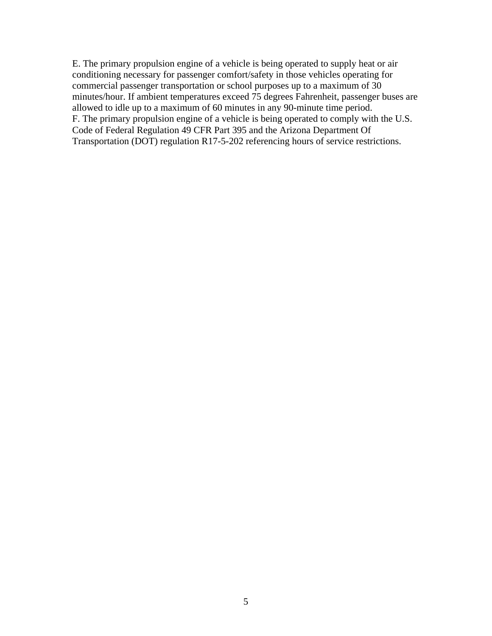E. The primary propulsion engine of a vehicle is being operated to supply heat or air conditioning necessary for passenger comfort/safety in those vehicles operating for commercial passenger transportation or school purposes up to a maximum of 30 minutes/hour. If ambient temperatures exceed 75 degrees Fahrenheit, passenger buses are allowed to idle up to a maximum of 60 minutes in any 90-minute time period. F. The primary propulsion engine of a vehicle is being operated to comply with the U.S. Code of Federal Regulation 49 CFR Part 395 and the Arizona Department Of Transportation (DOT) regulation R17-5-202 referencing hours of service restrictions.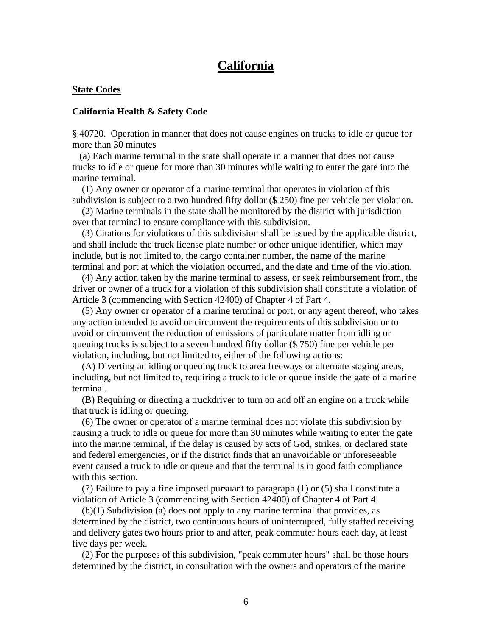# **California**

#### **State Codes**

#### **California Health & Safety Code**

§ 40720. Operation in manner that does not cause engines on trucks to idle or queue for more than 30 minutes

 (a) Each marine terminal in the state shall operate in a manner that does not cause trucks to idle or queue for more than 30 minutes while waiting to enter the gate into the marine terminal.

 (1) Any owner or operator of a marine terminal that operates in violation of this subdivision is subject to a two hundred fifty dollar (\$ 250) fine per vehicle per violation.

 (2) Marine terminals in the state shall be monitored by the district with jurisdiction over that terminal to ensure compliance with this subdivision.

 (3) Citations for violations of this subdivision shall be issued by the applicable district, and shall include the truck license plate number or other unique identifier, which may include, but is not limited to, the cargo container number, the name of the marine terminal and port at which the violation occurred, and the date and time of the violation.

 (4) Any action taken by the marine terminal to assess, or seek reimbursement from, the driver or owner of a truck for a violation of this subdivision shall constitute a violation of Article 3 (commencing with Section 42400) of Chapter 4 of Part 4.

 (5) Any owner or operator of a marine terminal or port, or any agent thereof, who takes any action intended to avoid or circumvent the requirements of this subdivision or to avoid or circumvent the reduction of emissions of particulate matter from idling or queuing trucks is subject to a seven hundred fifty dollar (\$ 750) fine per vehicle per violation, including, but not limited to, either of the following actions:

 (A) Diverting an idling or queuing truck to area freeways or alternate staging areas, including, but not limited to, requiring a truck to idle or queue inside the gate of a marine terminal.

 (B) Requiring or directing a truckdriver to turn on and off an engine on a truck while that truck is idling or queuing.

 (6) The owner or operator of a marine terminal does not violate this subdivision by causing a truck to idle or queue for more than 30 minutes while waiting to enter the gate into the marine terminal, if the delay is caused by acts of God, strikes, or declared state and federal emergencies, or if the district finds that an unavoidable or unforeseeable event caused a truck to idle or queue and that the terminal is in good faith compliance with this section.

 (7) Failure to pay a fine imposed pursuant to paragraph (1) or (5) shall constitute a violation of Article 3 (commencing with Section 42400) of Chapter 4 of Part 4.

 (b)(1) Subdivision (a) does not apply to any marine terminal that provides, as determined by the district, two continuous hours of uninterrupted, fully staffed receiving and delivery gates two hours prior to and after, peak commuter hours each day, at least five days per week.

 (2) For the purposes of this subdivision, "peak commuter hours" shall be those hours determined by the district, in consultation with the owners and operators of the marine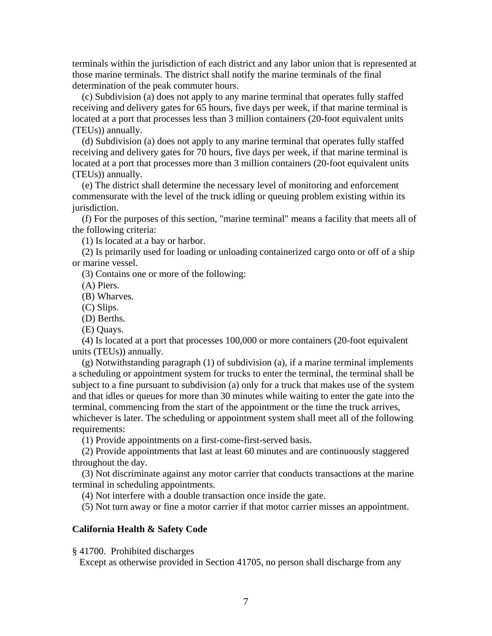terminals within the jurisdiction of each district and any labor union that is represented at those marine terminals. The district shall notify the marine terminals of the final determination of the peak commuter hours.

 (c) Subdivision (a) does not apply to any marine terminal that operates fully staffed receiving and delivery gates for 65 hours, five days per week, if that marine terminal is located at a port that processes less than 3 million containers (20-foot equivalent units (TEUs)) annually.

 (d) Subdivision (a) does not apply to any marine terminal that operates fully staffed receiving and delivery gates for 70 hours, five days per week, if that marine terminal is located at a port that processes more than 3 million containers (20-foot equivalent units (TEUs)) annually.

 (e) The district shall determine the necessary level of monitoring and enforcement commensurate with the level of the truck idling or queuing problem existing within its jurisdiction.

 (f) For the purposes of this section, "marine terminal" means a facility that meets all of the following criteria:

(1) Is located at a bay or harbor.

 (2) Is primarily used for loading or unloading containerized cargo onto or off of a ship or marine vessel.

(3) Contains one or more of the following:

(A) Piers.

(B) Wharves.

(C) Slips.

(D) Berths.

(E) Quays.

 (4) Is located at a port that processes 100,000 or more containers (20-foot equivalent units (TEUs)) annually.

 (g) Notwithstanding paragraph (1) of subdivision (a), if a marine terminal implements a scheduling or appointment system for trucks to enter the terminal, the terminal shall be subject to a fine pursuant to subdivision (a) only for a truck that makes use of the system and that idles or queues for more than 30 minutes while waiting to enter the gate into the terminal, commencing from the start of the appointment or the time the truck arrives, whichever is later. The scheduling or appointment system shall meet all of the following

requirements:

(1) Provide appointments on a first-come-first-served basis.

 (2) Provide appointments that last at least 60 minutes and are continuously staggered throughout the day.

 (3) Not discriminate against any motor carrier that conducts transactions at the marine terminal in scheduling appointments.

(4) Not interfere with a double transaction once inside the gate.

(5) Not turn away or fine a motor carrier if that motor carrier misses an appointment.

#### **California Health & Safety Code**

§ 41700. Prohibited discharges

Except as otherwise provided in Section 41705, no person shall discharge from any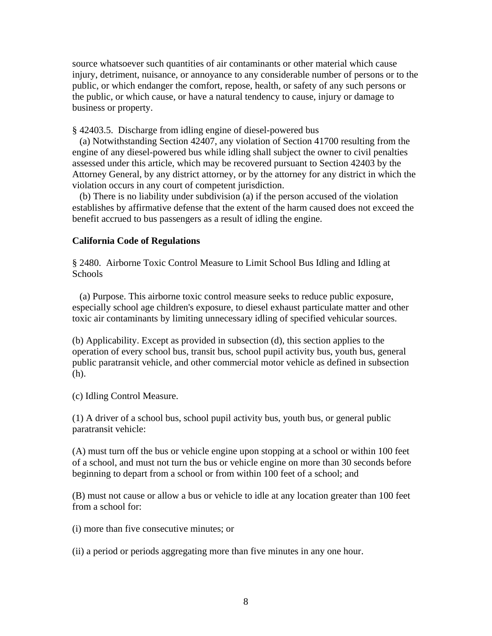source whatsoever such quantities of air contaminants or other material which cause injury, detriment, nuisance, or annoyance to any considerable number of persons or to the public, or which endanger the comfort, repose, health, or safety of any such persons or the public, or which cause, or have a natural tendency to cause, injury or damage to business or property.

§ 42403.5. Discharge from idling engine of diesel-powered bus

 (a) Notwithstanding Section 42407, any violation of Section 41700 resulting from the engine of any diesel-powered bus while idling shall subject the owner to civil penalties assessed under this article, which may be recovered pursuant to Section 42403 by the Attorney General, by any district attorney, or by the attorney for any district in which the violation occurs in any court of competent jurisdiction.

 (b) There is no liability under subdivision (a) if the person accused of the violation establishes by affirmative defense that the extent of the harm caused does not exceed the benefit accrued to bus passengers as a result of idling the engine.

#### **California Code of Regulations**

§ 2480. Airborne Toxic Control Measure to Limit School Bus Idling and Idling at **Schools** 

 (a) Purpose. This airborne toxic control measure seeks to reduce public exposure, especially school age children's exposure, to diesel exhaust particulate matter and other toxic air contaminants by limiting unnecessary idling of specified vehicular sources.

(b) Applicability. Except as provided in subsection (d), this section applies to the operation of every school bus, transit bus, school pupil activity bus, youth bus, general public paratransit vehicle, and other commercial motor vehicle as defined in subsection (h).

(c) Idling Control Measure.

(1) A driver of a school bus, school pupil activity bus, youth bus, or general public paratransit vehicle:

(A) must turn off the bus or vehicle engine upon stopping at a school or within 100 feet of a school, and must not turn the bus or vehicle engine on more than 30 seconds before beginning to depart from a school or from within 100 feet of a school; and

(B) must not cause or allow a bus or vehicle to idle at any location greater than 100 feet from a school for:

(i) more than five consecutive minutes; or

(ii) a period or periods aggregating more than five minutes in any one hour.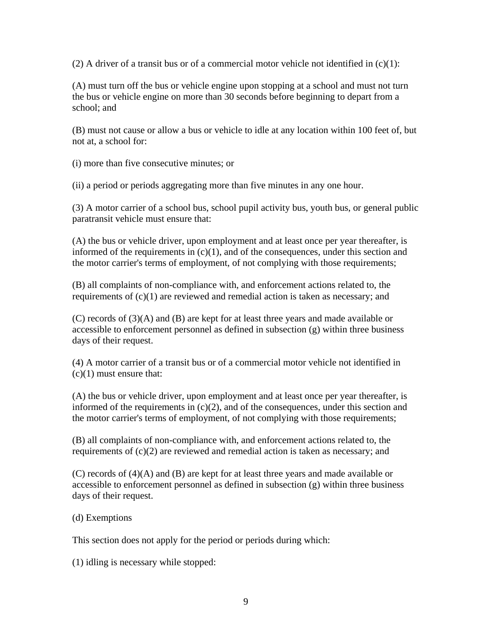(2) A driver of a transit bus or of a commercial motor vehicle not identified in  $(c)(1)$ :

(A) must turn off the bus or vehicle engine upon stopping at a school and must not turn the bus or vehicle engine on more than 30 seconds before beginning to depart from a school; and

(B) must not cause or allow a bus or vehicle to idle at any location within 100 feet of, but not at, a school for:

(i) more than five consecutive minutes; or

(ii) a period or periods aggregating more than five minutes in any one hour.

(3) A motor carrier of a school bus, school pupil activity bus, youth bus, or general public paratransit vehicle must ensure that:

(A) the bus or vehicle driver, upon employment and at least once per year thereafter, is informed of the requirements in  $(c)(1)$ , and of the consequences, under this section and the motor carrier's terms of employment, of not complying with those requirements;

(B) all complaints of non-compliance with, and enforcement actions related to, the requirements of (c)(1) are reviewed and remedial action is taken as necessary; and

(C) records of (3)(A) and (B) are kept for at least three years and made available or accessible to enforcement personnel as defined in subsection (g) within three business days of their request.

(4) A motor carrier of a transit bus or of a commercial motor vehicle not identified in  $(c)(1)$  must ensure that:

(A) the bus or vehicle driver, upon employment and at least once per year thereafter, is informed of the requirements in  $(c)(2)$ , and of the consequences, under this section and the motor carrier's terms of employment, of not complying with those requirements;

(B) all complaints of non-compliance with, and enforcement actions related to, the requirements of (c)(2) are reviewed and remedial action is taken as necessary; and

(C) records of (4)(A) and (B) are kept for at least three years and made available or accessible to enforcement personnel as defined in subsection (g) within three business days of their request.

(d) Exemptions

This section does not apply for the period or periods during which:

(1) idling is necessary while stopped: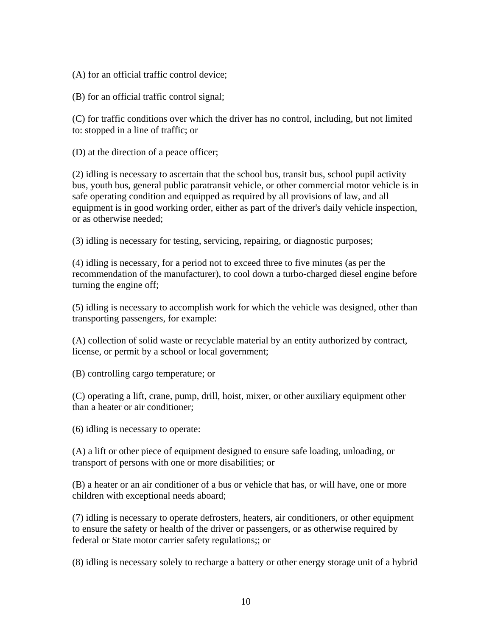(A) for an official traffic control device;

(B) for an official traffic control signal;

(C) for traffic conditions over which the driver has no control, including, but not limited to: stopped in a line of traffic; or

(D) at the direction of a peace officer;

(2) idling is necessary to ascertain that the school bus, transit bus, school pupil activity bus, youth bus, general public paratransit vehicle, or other commercial motor vehicle is in safe operating condition and equipped as required by all provisions of law, and all equipment is in good working order, either as part of the driver's daily vehicle inspection, or as otherwise needed;

(3) idling is necessary for testing, servicing, repairing, or diagnostic purposes;

(4) idling is necessary, for a period not to exceed three to five minutes (as per the recommendation of the manufacturer), to cool down a turbo-charged diesel engine before turning the engine off;

(5) idling is necessary to accomplish work for which the vehicle was designed, other than transporting passengers, for example:

(A) collection of solid waste or recyclable material by an entity authorized by contract, license, or permit by a school or local government;

(B) controlling cargo temperature; or

(C) operating a lift, crane, pump, drill, hoist, mixer, or other auxiliary equipment other than a heater or air conditioner;

(6) idling is necessary to operate:

(A) a lift or other piece of equipment designed to ensure safe loading, unloading, or transport of persons with one or more disabilities; or

(B) a heater or an air conditioner of a bus or vehicle that has, or will have, one or more children with exceptional needs aboard;

(7) idling is necessary to operate defrosters, heaters, air conditioners, or other equipment to ensure the safety or health of the driver or passengers, or as otherwise required by federal or State motor carrier safety regulations;; or

(8) idling is necessary solely to recharge a battery or other energy storage unit of a hybrid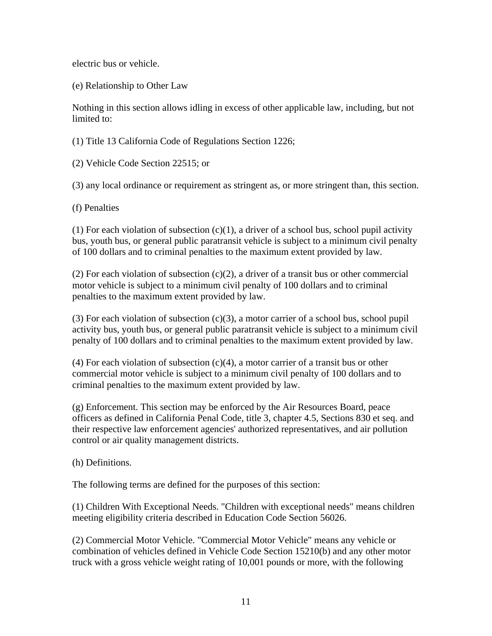electric bus or vehicle.

(e) Relationship to Other Law

Nothing in this section allows idling in excess of other applicable law, including, but not limited to:

(1) Title [13 California Code of Regulations Section 1226;](http://www.lexis.com/research/buttonTFLink?_m=2975c3241112dfbea750163bce9a3722&_xfercite=%3ccite%20cc%3d%22USA%22%3e%3c%21%5bCDATA%5b13%20CCR%202480%5d%5d%3e%3c%2fcite%3e&_butType=4&_butStat=0&_butNum=1&_butInline=1&_butinfo=13%20CA%20ADMIN%201226&_fmtstr=FULL&docnum=1&_startdoc=1&wchp=dGLbVlb-zSkAb&_md5=f0705204b2a66282f6da8a465a54b36e)

(2) [Vehicle Code Section 22515;](http://www.lexis.com/research/buttonTFLink?_m=2975c3241112dfbea750163bce9a3722&_xfercite=%3ccite%20cc%3d%22USA%22%3e%3c%21%5bCDATA%5b13%20CCR%202480%5d%5d%3e%3c%2fcite%3e&_butType=4&_butStat=0&_butNum=2&_butInline=1&_butinfo=CA%20VEH%2022515&_fmtstr=FULL&docnum=1&_startdoc=1&wchp=dGLbVlb-zSkAb&_md5=44f7d048fafa51041cfbed936d402ac3) or

(3) any local ordinance or requirement as stringent as, or more stringent than, this section.

(f) Penalties

(1) For each violation of subsection  $(c)(1)$ , a driver of a school bus, school pupil activity bus, youth bus, or general public paratransit vehicle is subject to a minimum civil penalty of 100 dollars and to criminal penalties to the maximum extent provided by law.

(2) For each violation of subsection  $(c)(2)$ , a driver of a transit bus or other commercial motor vehicle is subject to a minimum civil penalty of 100 dollars and to criminal penalties to the maximum extent provided by law.

 $(3)$  For each violation of subsection  $(c)(3)$ , a motor carrier of a school bus, school pupil activity bus, youth bus, or general public paratransit vehicle is subject to a minimum civil penalty of 100 dollars and to criminal penalties to the maximum extent provided by law.

 $(4)$  For each violation of subsection  $(c)(4)$ , a motor carrier of a transit bus or other commercial motor vehicle is subject to a minimum civil penalty of 100 dollars and to criminal penalties to the maximum extent provided by law.

(g) Enforcement. This section may be enforced by the Air Resources Board, peace officers as defined in California Penal Code, title 3, chapter 4.5, Sections 830 et seq. and their respective law enforcement agencies' authorized representatives, and air pollution control or air quality management districts.

(h) Definitions.

The following terms are defined for the purposes of this section:

(1) Children With Exceptional Needs. "Children with exceptional needs" means children meeting eligibility criteria described in [Education Code Section 56026.](http://www.lexis.com/research/buttonTFLink?_m=2975c3241112dfbea750163bce9a3722&_xfercite=%3ccite%20cc%3d%22USA%22%3e%3c%21%5bCDATA%5b13%20CCR%202480%5d%5d%3e%3c%2fcite%3e&_butType=4&_butStat=0&_butNum=3&_butInline=1&_butinfo=CA%20ED%2056026&_fmtstr=FULL&docnum=1&_startdoc=1&wchp=dGLbVlb-zSkAb&_md5=1d824f9ad61aedae3feb2dad114a6069)

(2) Commercial Motor Vehicle. "Commercial Motor Vehicle" means any vehicle or combination of vehicles defined in [Vehicle Code Section 15210\(b\)](http://www.lexis.com/research/buttonTFLink?_m=2975c3241112dfbea750163bce9a3722&_xfercite=%3ccite%20cc%3d%22USA%22%3e%3c%21%5bCDATA%5b13%20CCR%202480%5d%5d%3e%3c%2fcite%3e&_butType=4&_butStat=0&_butNum=4&_butInline=1&_butinfo=CA%20VEH%2015210&_fmtstr=FULL&docnum=1&_startdoc=1&wchp=dGLbVlb-zSkAb&_md5=c616cb252c9279b485a89e3f496fbfa4) and any other motor truck with a gross vehicle weight rating of 10,001 pounds or more, with the following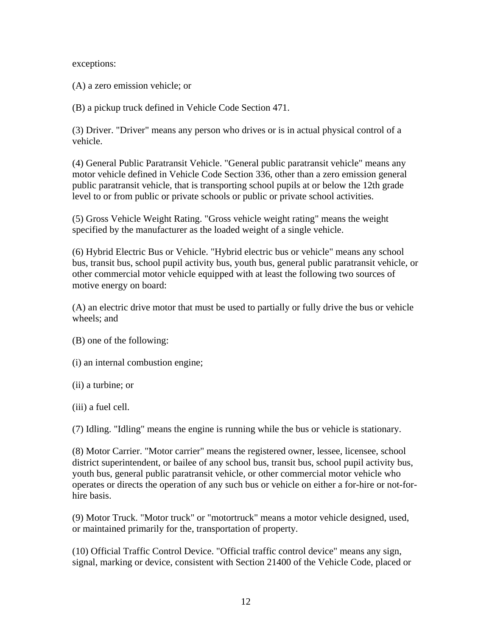exceptions:

(A) a zero emission vehicle; or

(B) a pickup truck defined in [Vehicle Code Section 471.](http://www.lexis.com/research/buttonTFLink?_m=2975c3241112dfbea750163bce9a3722&_xfercite=%3ccite%20cc%3d%22USA%22%3e%3c%21%5bCDATA%5b13%20CCR%202480%5d%5d%3e%3c%2fcite%3e&_butType=4&_butStat=0&_butNum=5&_butInline=1&_butinfo=CA%20VEH%20471&_fmtstr=FULL&docnum=1&_startdoc=1&wchp=dGLbVlb-zSkAb&_md5=78580533c8fe1b95d4caa906974da66a)

(3) Driver. "Driver" means any person who drives or is in actual physical control of a vehicle.

(4) General Public Paratransit Vehicle. "General public paratransit vehicle" means any motor vehicle defined in [Vehicle Code Section 336](http://www.lexis.com/research/buttonTFLink?_m=2975c3241112dfbea750163bce9a3722&_xfercite=%3ccite%20cc%3d%22USA%22%3e%3c%21%5bCDATA%5b13%20CCR%202480%5d%5d%3e%3c%2fcite%3e&_butType=4&_butStat=0&_butNum=6&_butInline=1&_butinfo=CA%20VEH%20336&_fmtstr=FULL&docnum=1&_startdoc=1&wchp=dGLbVlb-zSkAb&_md5=4b5e2b32f50563a28168ae8f3206a2c0), other than a zero emission general public paratransit vehicle, that is transporting school pupils at or below the 12th grade level to or from public or private schools or public or private school activities.

(5) Gross Vehicle Weight Rating. "Gross vehicle weight rating" means the weight specified by the manufacturer as the loaded weight of a single vehicle.

(6) Hybrid Electric Bus or Vehicle. "Hybrid electric bus or vehicle" means any school bus, transit bus, school pupil activity bus, youth bus, general public paratransit vehicle, or other commercial motor vehicle equipped with at least the following two sources of motive energy on board:

(A) an electric drive motor that must be used to partially or fully drive the bus or vehicle wheels; and

- (B) one of the following:
- (i) an internal combustion engine;
- (ii) a turbine; or
- (iii) a fuel cell.

(7) Idling. "Idling" means the engine is running while the bus or vehicle is stationary.

(8) Motor Carrier. "Motor carrier" means the registered owner, lessee, licensee, school district superintendent, or bailee of any school bus, transit bus, school pupil activity bus, youth bus, general public paratransit vehicle, or other commercial motor vehicle who operates or directs the operation of any such bus or vehicle on either a for-hire or not-forhire basis.

(9) Motor Truck. "Motor truck" or "motortruck" means a motor vehicle designed, used, or maintained primarily for the, transportation of property.

(10) Official Traffic Control Device. "Official traffic control device" means any sign, signal, marking or device, consistent with [Section 21400 of the Vehicle Code,](http://www.lexis.com/research/buttonTFLink?_m=2975c3241112dfbea750163bce9a3722&_xfercite=%3ccite%20cc%3d%22USA%22%3e%3c%21%5bCDATA%5b13%20CCR%202480%5d%5d%3e%3c%2fcite%3e&_butType=4&_butStat=0&_butNum=7&_butInline=1&_butinfo=CA%20VEH%2021400&_fmtstr=FULL&docnum=1&_startdoc=1&wchp=dGLbVlb-zSkAb&_md5=850b2a4b4f329b2b288264c7187d849c) placed or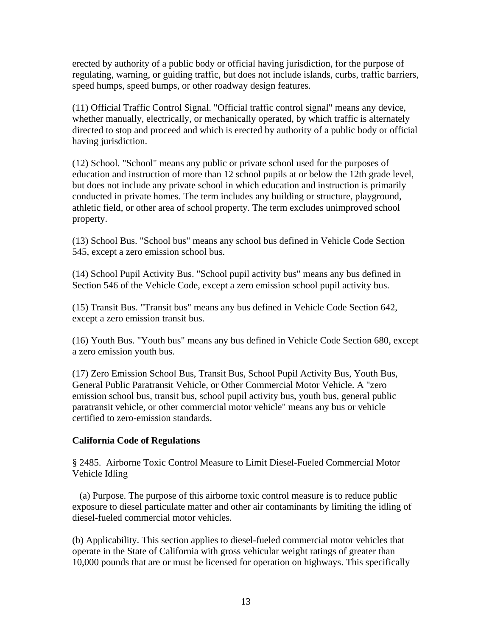erected by authority of a public body or official having jurisdiction, for the purpose of regulating, warning, or guiding traffic, but does not include islands, curbs, traffic barriers, speed humps, speed bumps, or other roadway design features.

(11) Official Traffic Control Signal. "Official traffic control signal" means any device, whether manually, electrically, or mechanically operated, by which traffic is alternately directed to stop and proceed and which is erected by authority of a public body or official having jurisdiction.

(12) School. "School" means any public or private school used for the purposes of education and instruction of more than 12 school pupils at or below the 12th grade level, but does not include any private school in which education and instruction is primarily conducted in private homes. The term includes any building or structure, playground, athletic field, or other area of school property. The term excludes unimproved school property.

(13) School Bus. "School bus" means any school bus defined in [Vehicle Code Section](http://www.lexis.com/research/buttonTFLink?_m=2975c3241112dfbea750163bce9a3722&_xfercite=%3ccite%20cc%3d%22USA%22%3e%3c%21%5bCDATA%5b13%20CCR%202480%5d%5d%3e%3c%2fcite%3e&_butType=4&_butStat=0&_butNum=8&_butInline=1&_butinfo=CA%20VEH%20545&_fmtstr=FULL&docnum=1&_startdoc=1&wchp=dGLbVlb-zSkAb&_md5=b8314a47bfea872031914fae23a0a3ed)  [545](http://www.lexis.com/research/buttonTFLink?_m=2975c3241112dfbea750163bce9a3722&_xfercite=%3ccite%20cc%3d%22USA%22%3e%3c%21%5bCDATA%5b13%20CCR%202480%5d%5d%3e%3c%2fcite%3e&_butType=4&_butStat=0&_butNum=8&_butInline=1&_butinfo=CA%20VEH%20545&_fmtstr=FULL&docnum=1&_startdoc=1&wchp=dGLbVlb-zSkAb&_md5=b8314a47bfea872031914fae23a0a3ed), except a zero emission school bus.

(14) School Pupil Activity Bus. "School pupil activity bus" means any bus defined in [Section 546 of the Vehicle Code](http://www.lexis.com/research/buttonTFLink?_m=2975c3241112dfbea750163bce9a3722&_xfercite=%3ccite%20cc%3d%22USA%22%3e%3c%21%5bCDATA%5b13%20CCR%202480%5d%5d%3e%3c%2fcite%3e&_butType=4&_butStat=0&_butNum=9&_butInline=1&_butinfo=CA%20VEH%20546&_fmtstr=FULL&docnum=1&_startdoc=1&wchp=dGLbVlb-zSkAb&_md5=28ea1e9465360f6b2ab1c7bbf120bca9), except a zero emission school pupil activity bus.

(15) Transit Bus. "Transit bus" means any bus defined in [Vehicle Code Section 642,](http://www.lexis.com/research/buttonTFLink?_m=2975c3241112dfbea750163bce9a3722&_xfercite=%3ccite%20cc%3d%22USA%22%3e%3c%21%5bCDATA%5b13%20CCR%202480%5d%5d%3e%3c%2fcite%3e&_butType=4&_butStat=0&_butNum=10&_butInline=1&_butinfo=CA%20VEH%20642&_fmtstr=FULL&docnum=1&_startdoc=1&wchp=dGLbVlb-zSkAb&_md5=b7831fa68bdca8cf933f0aa1d924b1f8) except a zero emission transit bus.

(16) Youth Bus. "Youth bus" means any bus defined in [Vehicle Code Section 680,](http://www.lexis.com/research/buttonTFLink?_m=2975c3241112dfbea750163bce9a3722&_xfercite=%3ccite%20cc%3d%22USA%22%3e%3c%21%5bCDATA%5b13%20CCR%202480%5d%5d%3e%3c%2fcite%3e&_butType=4&_butStat=0&_butNum=11&_butInline=1&_butinfo=CA%20VEH%20680&_fmtstr=FULL&docnum=1&_startdoc=1&wchp=dGLbVlb-zSkAb&_md5=9c88414b2be9b7c3c46e81f9428081a2) except a zero emission youth bus.

(17) Zero Emission School Bus, Transit Bus, School Pupil Activity Bus, Youth Bus, General Public Paratransit Vehicle, or Other Commercial Motor Vehicle. A "zero emission school bus, transit bus, school pupil activity bus, youth bus, general public paratransit vehicle, or other commercial motor vehicle" means any bus or vehicle certified to zero-emission standards.

# **California Code of Regulations**

§ 2485. Airborne Toxic Control Measure to Limit Diesel-Fueled Commercial Motor Vehicle Idling

 (a) Purpose. The purpose of this airborne toxic control measure is to reduce public exposure to diesel particulate matter and other air contaminants by limiting the idling of diesel-fueled commercial motor vehicles.

(b) Applicability. This section applies to diesel-fueled commercial motor vehicles that operate in the State of California with gross vehicular weight ratings of greater than 10,000 pounds that are or must be licensed for operation on highways. This specifically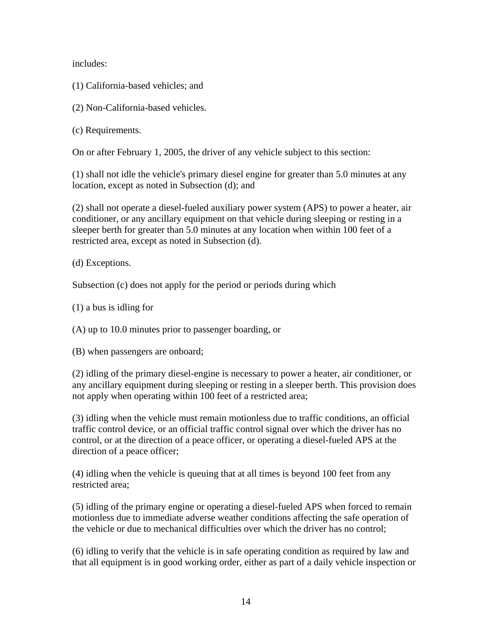includes:

(1) California-based vehicles; and

(2) Non-California-based vehicles.

(c) Requirements.

On or after February 1, 2005, the driver of any vehicle subject to this section:

(1) shall not idle the vehicle's primary diesel engine for greater than 5.0 minutes at any location, except as noted in Subsection (d); and

(2) shall not operate a diesel-fueled auxiliary power system (APS) to power a heater, air conditioner, or any ancillary equipment on that vehicle during sleeping or resting in a sleeper berth for greater than 5.0 minutes at any location when within 100 feet of a restricted area, except as noted in Subsection (d).

(d) Exceptions.

Subsection (c) does not apply for the period or periods during which

(1) a bus is idling for

(A) up to 10.0 minutes prior to passenger boarding, or

(B) when passengers are onboard;

(2) idling of the primary diesel-engine is necessary to power a heater, air conditioner, or any ancillary equipment during sleeping or resting in a sleeper berth. This provision does not apply when operating within 100 feet of a restricted area;

(3) idling when the vehicle must remain motionless due to traffic conditions, an official traffic control device, or an official traffic control signal over which the driver has no control, or at the direction of a peace officer, or operating a diesel-fueled APS at the direction of a peace officer;

(4) idling when the vehicle is queuing that at all times is beyond 100 feet from any restricted area;

(5) idling of the primary engine or operating a diesel-fueled APS when forced to remain motionless due to immediate adverse weather conditions affecting the safe operation of the vehicle or due to mechanical difficulties over which the driver has no control;

(6) idling to verify that the vehicle is in safe operating condition as required by law and that all equipment is in good working order, either as part of a daily vehicle inspection or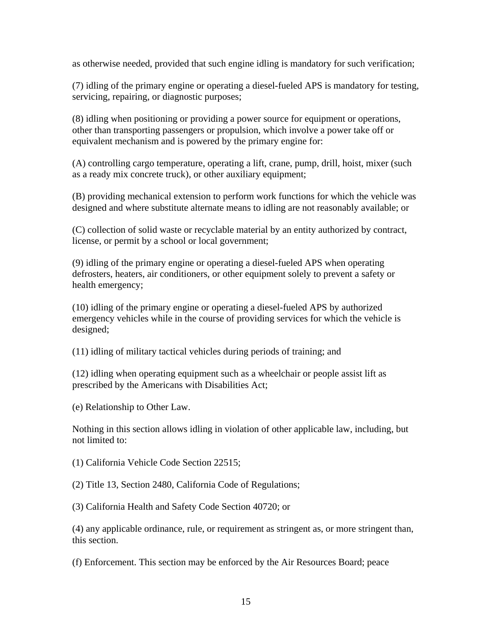as otherwise needed, provided that such engine idling is mandatory for such verification;

(7) idling of the primary engine or operating a diesel-fueled APS is mandatory for testing, servicing, repairing, or diagnostic purposes;

(8) idling when positioning or providing a power source for equipment or operations, other than transporting passengers or propulsion, which involve a power take off or equivalent mechanism and is powered by the primary engine for:

(A) controlling cargo temperature, operating a lift, crane, pump, drill, hoist, mixer (such as a ready mix concrete truck), or other auxiliary equipment;

(B) providing mechanical extension to perform work functions for which the vehicle was designed and where substitute alternate means to idling are not reasonably available; or

(C) collection of solid waste or recyclable material by an entity authorized by contract, license, or permit by a school or local government;

(9) idling of the primary engine or operating a diesel-fueled APS when operating defrosters, heaters, air conditioners, or other equipment solely to prevent a safety or health emergency;

(10) idling of the primary engine or operating a diesel-fueled APS by authorized emergency vehicles while in the course of providing services for which the vehicle is designed;

(11) idling of military tactical vehicles during periods of training; and

(12) idling when operating equipment such as a wheelchair or people assist lift as prescribed by the Americans with Disabilities Act;

(e) Relationship to Other Law.

Nothing in this section allows idling in violation of other applicable law, including, but not limited to:

(1) [California Vehicle Code Section 22515](http://www.lexis.com/research/buttonTFLink?_m=83acf1b0297d7e6fc678bb773cdceec9&_xfercite=%3ccite%20cc%3d%22USA%22%3e%3c%21%5bCDATA%5b13%20CCR%202485%5d%5d%3e%3c%2fcite%3e&_butType=4&_butStat=0&_butNum=1&_butInline=1&_butinfo=CA%20VEH%2022515&_fmtstr=FULL&docnum=1&_startdoc=1&wchp=dGLbVlb-zSkAb&_md5=08a1d1fb045b8927ec23961d09def4aa);

(2) Title 13, Section 2480, California Code of Regulations;

(3) [California Health and Safety Code Section 40720;](http://www.lexis.com/research/buttonTFLink?_m=83acf1b0297d7e6fc678bb773cdceec9&_xfercite=%3ccite%20cc%3d%22USA%22%3e%3c%21%5bCDATA%5b13%20CCR%202485%5d%5d%3e%3c%2fcite%3e&_butType=4&_butStat=0&_butNum=2&_butInline=1&_butinfo=CA%20HEALTH%20SAF%2040720&_fmtstr=FULL&docnum=1&_startdoc=1&wchp=dGLbVlb-zSkAb&_md5=8d78955cea9bd61649ab6eb8b4d2bfd0) or

(4) any applicable ordinance, rule, or requirement as stringent as, or more stringent than, this section.

(f) Enforcement. This section may be enforced by the Air Resources Board; peace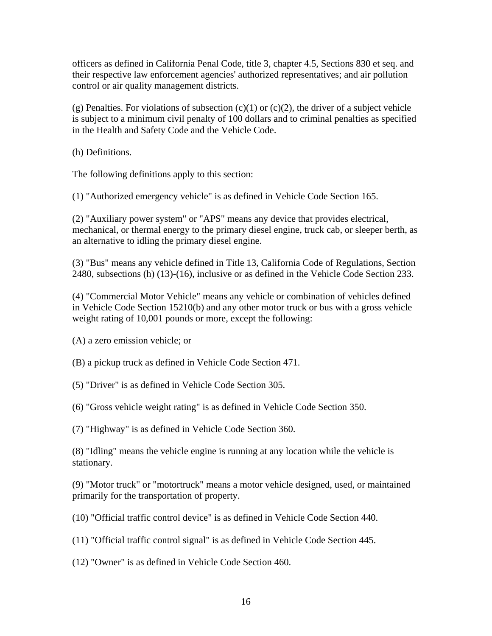officers as defined in California Penal Code, title 3, chapter 4.5, Sections 830 et seq. and their respective law enforcement agencies' authorized representatives; and air pollution control or air quality management districts.

(g) Penalties. For violations of subsection  $(c)(1)$  or  $(c)(2)$ , the driver of a subject vehicle is subject to a minimum civil penalty of 100 dollars and to criminal penalties as specified in the Health and Safety Code and the Vehicle Code.

(h) Definitions.

The following definitions apply to this section:

(1) "Authorized emergency vehicle" is as defined in [Vehicle Code Section 165](http://www.lexis.com/research/buttonTFLink?_m=83acf1b0297d7e6fc678bb773cdceec9&_xfercite=%3ccite%20cc%3d%22USA%22%3e%3c%21%5bCDATA%5b13%20CCR%202485%5d%5d%3e%3c%2fcite%3e&_butType=4&_butStat=0&_butNum=3&_butInline=1&_butinfo=CA%20VEH%20165&_fmtstr=FULL&docnum=1&_startdoc=1&wchp=dGLbVlb-zSkAb&_md5=e851324aa06dfd15ba280031dedb2acf).

(2) "Auxiliary power system" or "APS" means any device that provides electrical, mechanical, or thermal energy to the primary diesel engine, truck cab, or sleeper berth, as an alternative to idling the primary diesel engine.

(3) "Bus" means any vehicle defined in Title [13, California Code of Regulations, Section](http://www.lexis.com/research/buttonTFLink?_m=83acf1b0297d7e6fc678bb773cdceec9&_xfercite=%3ccite%20cc%3d%22USA%22%3e%3c%21%5bCDATA%5b13%20CCR%202485%5d%5d%3e%3c%2fcite%3e&_butType=4&_butStat=0&_butNum=4&_butInline=1&_butinfo=13%20CA%20ADMIN%202480&_fmtstr=FULL&docnum=1&_startdoc=1&wchp=dGLbVlb-zSkAb&_md5=df1c50acf2080443df2ee22e81d4bfe5)  [2480](http://www.lexis.com/research/buttonTFLink?_m=83acf1b0297d7e6fc678bb773cdceec9&_xfercite=%3ccite%20cc%3d%22USA%22%3e%3c%21%5bCDATA%5b13%20CCR%202485%5d%5d%3e%3c%2fcite%3e&_butType=4&_butStat=0&_butNum=4&_butInline=1&_butinfo=13%20CA%20ADMIN%202480&_fmtstr=FULL&docnum=1&_startdoc=1&wchp=dGLbVlb-zSkAb&_md5=df1c50acf2080443df2ee22e81d4bfe5), subsections (h) (13)-(16), inclusive or as defined in the [Vehicle Code Section 233](http://www.lexis.com/research/buttonTFLink?_m=83acf1b0297d7e6fc678bb773cdceec9&_xfercite=%3ccite%20cc%3d%22USA%22%3e%3c%21%5bCDATA%5b13%20CCR%202485%5d%5d%3e%3c%2fcite%3e&_butType=4&_butStat=0&_butNum=5&_butInline=1&_butinfo=CA%20VEH%20233&_fmtstr=FULL&docnum=1&_startdoc=1&wchp=dGLbVlb-zSkAb&_md5=f496fba37b72f5cfbe85ecd313e03426).

(4) "Commercial Motor Vehicle" means any vehicle or combination of vehicles defined in [Vehicle Code Section 15210\(b\)](http://www.lexis.com/research/buttonTFLink?_m=83acf1b0297d7e6fc678bb773cdceec9&_xfercite=%3ccite%20cc%3d%22USA%22%3e%3c%21%5bCDATA%5b13%20CCR%202485%5d%5d%3e%3c%2fcite%3e&_butType=4&_butStat=0&_butNum=6&_butInline=1&_butinfo=CA%20VEH%2015210&_fmtstr=FULL&docnum=1&_startdoc=1&wchp=dGLbVlb-zSkAb&_md5=6b18e2753192f0d562858ca7534e717d) and any other motor truck or bus with a gross vehicle weight rating of 10,001 pounds or more, except the following:

(A) a zero emission vehicle; or

(B) a pickup truck as defined in [Vehicle Code Section 471.](http://www.lexis.com/research/buttonTFLink?_m=83acf1b0297d7e6fc678bb773cdceec9&_xfercite=%3ccite%20cc%3d%22USA%22%3e%3c%21%5bCDATA%5b13%20CCR%202485%5d%5d%3e%3c%2fcite%3e&_butType=4&_butStat=0&_butNum=7&_butInline=1&_butinfo=CA%20VEH%20471&_fmtstr=FULL&docnum=1&_startdoc=1&wchp=dGLbVlb-zSkAb&_md5=21f90216d8393d0af77e84e9637eae12)

(5) "Driver" is as defined in [Vehicle Code Section 305](http://www.lexis.com/research/buttonTFLink?_m=83acf1b0297d7e6fc678bb773cdceec9&_xfercite=%3ccite%20cc%3d%22USA%22%3e%3c%21%5bCDATA%5b13%20CCR%202485%5d%5d%3e%3c%2fcite%3e&_butType=4&_butStat=0&_butNum=8&_butInline=1&_butinfo=CA%20VEH%20305&_fmtstr=FULL&docnum=1&_startdoc=1&wchp=dGLbVlb-zSkAb&_md5=631bd9ec5a6a9e00e0be3435c09e8cf5).

(6) "Gross vehicle weight rating" is as defined in [Vehicle Code Section 350](http://www.lexis.com/research/buttonTFLink?_m=83acf1b0297d7e6fc678bb773cdceec9&_xfercite=%3ccite%20cc%3d%22USA%22%3e%3c%21%5bCDATA%5b13%20CCR%202485%5d%5d%3e%3c%2fcite%3e&_butType=4&_butStat=0&_butNum=9&_butInline=1&_butinfo=CA%20VEH%20350&_fmtstr=FULL&docnum=1&_startdoc=1&wchp=dGLbVlb-zSkAb&_md5=8ad1ee732ef891c5c11244226a23853e).

(7) "Highway" is as defined in [Vehicle Code Section 360.](http://www.lexis.com/research/buttonTFLink?_m=83acf1b0297d7e6fc678bb773cdceec9&_xfercite=%3ccite%20cc%3d%22USA%22%3e%3c%21%5bCDATA%5b13%20CCR%202485%5d%5d%3e%3c%2fcite%3e&_butType=4&_butStat=0&_butNum=10&_butInline=1&_butinfo=CA%20VEH%20360&_fmtstr=FULL&docnum=1&_startdoc=1&wchp=dGLbVlb-zSkAb&_md5=ab7b2c2e2ff20d1b238abd877a691217)

(8) "Idling" means the vehicle engine is running at any location while the vehicle is stationary.

(9) "Motor truck" or "motortruck" means a motor vehicle designed, used, or maintained primarily for the transportation of property.

(10) "Official traffic control device" is as defined in [Vehicle Code Section 440.](http://www.lexis.com/research/buttonTFLink?_m=83acf1b0297d7e6fc678bb773cdceec9&_xfercite=%3ccite%20cc%3d%22USA%22%3e%3c%21%5bCDATA%5b13%20CCR%202485%5d%5d%3e%3c%2fcite%3e&_butType=4&_butStat=0&_butNum=11&_butInline=1&_butinfo=CA%20VEH%20440&_fmtstr=FULL&docnum=1&_startdoc=1&wchp=dGLbVlb-zSkAb&_md5=993b5554d1472cdb27676a62bc1367b3)

(11) "Official traffic control signal" is as defined in [Vehicle Code Section 445](http://www.lexis.com/research/buttonTFLink?_m=83acf1b0297d7e6fc678bb773cdceec9&_xfercite=%3ccite%20cc%3d%22USA%22%3e%3c%21%5bCDATA%5b13%20CCR%202485%5d%5d%3e%3c%2fcite%3e&_butType=4&_butStat=0&_butNum=12&_butInline=1&_butinfo=CA%20VEH%20445&_fmtstr=FULL&docnum=1&_startdoc=1&wchp=dGLbVlb-zSkAb&_md5=08ca1e3a3366c7e48953a21b561657b7).

(12) "Owner" is as defined in [Vehicle Code Section 460](http://www.lexis.com/research/buttonTFLink?_m=83acf1b0297d7e6fc678bb773cdceec9&_xfercite=%3ccite%20cc%3d%22USA%22%3e%3c%21%5bCDATA%5b13%20CCR%202485%5d%5d%3e%3c%2fcite%3e&_butType=4&_butStat=0&_butNum=13&_butInline=1&_butinfo=CA%20VEH%20460&_fmtstr=FULL&docnum=1&_startdoc=1&wchp=dGLbVlb-zSkAb&_md5=fba935d40aa05beb410894521c7afd01).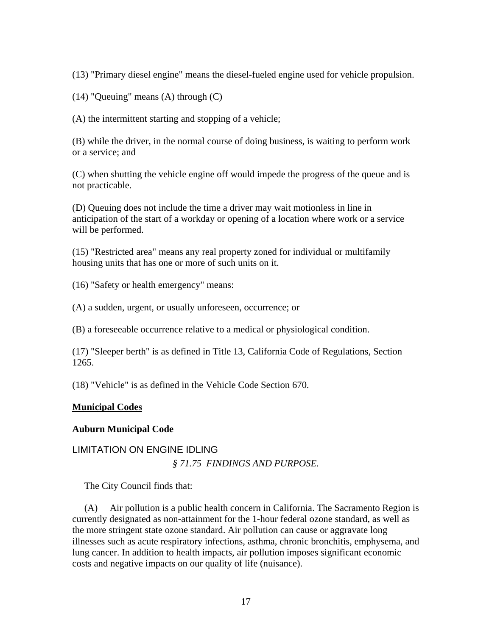(13) "Primary diesel engine" means the diesel-fueled engine used for vehicle propulsion.

(14) "Queuing" means (A) through (C)

(A) the intermittent starting and stopping of a vehicle;

(B) while the driver, in the normal course of doing business, is waiting to perform work or a service; and

(C) when shutting the vehicle engine off would impede the progress of the queue and is not practicable.

(D) Queuing does not include the time a driver may wait motionless in line in anticipation of the start of a workday or opening of a location where work or a service will be performed.

(15) "Restricted area" means any real property zoned for individual or multifamily housing units that has one or more of such units on it.

(16) "Safety or health emergency" means:

(A) a sudden, urgent, or usually unforeseen, occurrence; or

(B) a foreseeable occurrence relative to a medical or physiological condition.

(17) "Sleeper berth" is as defined in Title [13, California Code of Regulations, Section](http://www.lexis.com/research/buttonTFLink?_m=83acf1b0297d7e6fc678bb773cdceec9&_xfercite=%3ccite%20cc%3d%22USA%22%3e%3c%21%5bCDATA%5b13%20CCR%202485%5d%5d%3e%3c%2fcite%3e&_butType=4&_butStat=0&_butNum=14&_butInline=1&_butinfo=13%20CA%20ADMIN%201265&_fmtstr=FULL&docnum=1&_startdoc=1&wchp=dGLbVlb-zSkAb&_md5=69a3cc234f8f055fd52b7fb3754f267d)  [1265](http://www.lexis.com/research/buttonTFLink?_m=83acf1b0297d7e6fc678bb773cdceec9&_xfercite=%3ccite%20cc%3d%22USA%22%3e%3c%21%5bCDATA%5b13%20CCR%202485%5d%5d%3e%3c%2fcite%3e&_butType=4&_butStat=0&_butNum=14&_butInline=1&_butinfo=13%20CA%20ADMIN%201265&_fmtstr=FULL&docnum=1&_startdoc=1&wchp=dGLbVlb-zSkAb&_md5=69a3cc234f8f055fd52b7fb3754f267d).

(18) "Vehicle" is as defined in the [Vehicle Code Section 670.](http://www.lexis.com/research/buttonTFLink?_m=83acf1b0297d7e6fc678bb773cdceec9&_xfercite=%3ccite%20cc%3d%22USA%22%3e%3c%21%5bCDATA%5b13%20CCR%202485%5d%5d%3e%3c%2fcite%3e&_butType=4&_butStat=0&_butNum=15&_butInline=1&_butinfo=CA%20VEH%20670&_fmtstr=FULL&docnum=1&_startdoc=1&wchp=dGLbVlb-zSkAb&_md5=c2f5569f0d0d02538bfca80372397f3e)

# **Municipal Codes**

#### **Auburn Municipal Code**

#### LIMITATION ON ENGINE IDLING

*§ 71.75 FINDINGS AND PURPOSE.* 

The City Council finds that:

 (A) Air pollution is a public health concern in California. The Sacramento Region is currently designated as non-attainment for the 1-hour federal ozone standard, as well as the more stringent state ozone standard. Air pollution can cause or aggravate long illnesses such as acute respiratory infections, asthma, chronic bronchitis, emphysema, and lung cancer. In addition to health impacts, air pollution imposes significant economic costs and negative impacts on our quality of life (nuisance).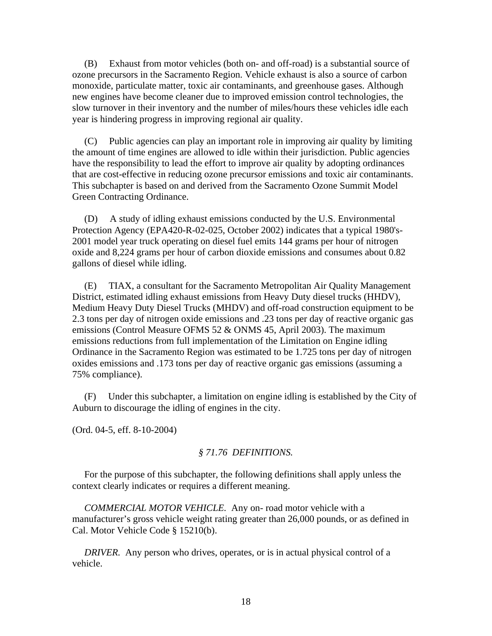(B) Exhaust from motor vehicles (both on- and off-road) is a substantial source of ozone precursors in the Sacramento Region. Vehicle exhaust is also a source of carbon monoxide, particulate matter, toxic air contaminants, and greenhouse gases. Although new engines have become cleaner due to improved emission control technologies, the slow turnover in their inventory and the number of miles/hours these vehicles idle each year is hindering progress in improving regional air quality.

 (C) Public agencies can play an important role in improving air quality by limiting the amount of time engines are allowed to idle within their jurisdiction. Public agencies have the responsibility to lead the effort to improve air quality by adopting ordinances that are cost-effective in reducing ozone precursor emissions and toxic air contaminants. This subchapter is based on and derived from the Sacramento Ozone Summit Model Green Contracting Ordinance.

 (D) A study of idling exhaust emissions conducted by the U.S. Environmental Protection Agency (EPA420-R-02-025, October 2002) indicates that a typical 1980's-2001 model year truck operating on diesel fuel emits 144 grams per hour of nitrogen oxide and 8,224 grams per hour of carbon dioxide emissions and consumes about 0.82 gallons of diesel while idling.

 (E) TIAX, a consultant for the Sacramento Metropolitan Air Quality Management District, estimated idling exhaust emissions from Heavy Duty diesel trucks (HHDV), Medium Heavy Duty Diesel Trucks (MHDV) and off-road construction equipment to be 2.3 tons per day of nitrogen oxide emissions and .23 tons per day of reactive organic gas emissions (Control Measure OFMS 52 & ONMS 45, April 2003). The maximum emissions reductions from full implementation of the Limitation on Engine idling Ordinance in the Sacramento Region was estimated to be 1.725 tons per day of nitrogen oxides emissions and .173 tons per day of reactive organic gas emissions (assuming a 75% compliance).

 (F) Under this subchapter, a limitation on engine idling is established by the City of Auburn to discourage the idling of engines in the city.

(Ord. 04-5, eff. 8-10-2004)

#### *§ 71.76 DEFINITIONS.*

 For the purpose of this subchapter, the following definitions shall apply unless the context clearly indicates or requires a different meaning.

 *COMMERCIAL MOTOR VEHICLE.* Any on- road motor vehicle with a manufacturer's gross vehicle weight rating greater than 26,000 pounds, or as defined in Cal. Motor Vehicle Code § 15210(b).

*DRIVER.* Any person who drives, operates, or is in actual physical control of a vehicle.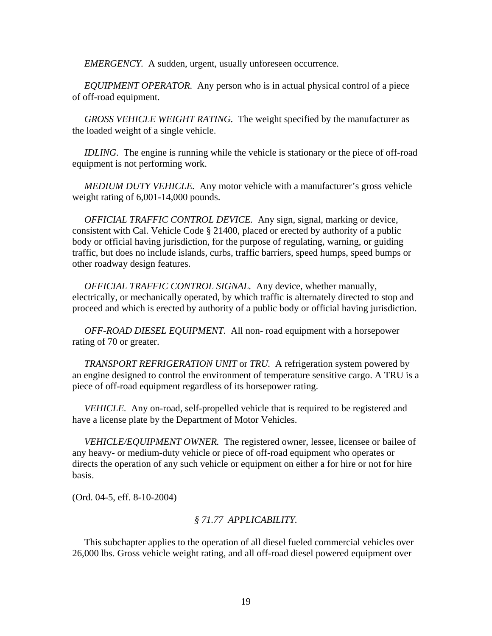*EMERGENCY.* A sudden, urgent, usually unforeseen occurrence.

 *EQUIPMENT OPERATOR.* Any person who is in actual physical control of a piece of off-road equipment.

 *GROSS VEHICLE WEIGHT RATING.* The weight specified by the manufacturer as the loaded weight of a single vehicle.

 *IDLING.* The engine is running while the vehicle is stationary or the piece of off-road equipment is not performing work.

 *MEDIUM DUTY VEHICLE.* Any motor vehicle with a manufacturer's gross vehicle weight rating of 6,001-14,000 pounds.

 *OFFICIAL TRAFFIC CONTROL DEVICE.* Any sign, signal, marking or device, consistent with Cal. Vehicle Code § 21400, placed or erected by authority of a public body or official having jurisdiction, for the purpose of regulating, warning, or guiding traffic, but does no include islands, curbs, traffic barriers, speed humps, speed bumps or other roadway design features.

 *OFFICIAL TRAFFIC CONTROL SIGNAL.* Any device, whether manually, electrically, or mechanically operated, by which traffic is alternately directed to stop and proceed and which is erected by authority of a public body or official having jurisdiction.

 *OFF-ROAD DIESEL EQUIPMENT.* All non- road equipment with a horsepower rating of 70 or greater.

 *TRANSPORT REFRIGERATION UNIT* or *TRU.* A refrigeration system powered by an engine designed to control the environment of temperature sensitive cargo. A TRU is a piece of off-road equipment regardless of its horsepower rating.

 *VEHICLE.* Any on-road, self-propelled vehicle that is required to be registered and have a license plate by the Department of Motor Vehicles.

 *VEHICLE/EQUIPMENT OWNER.* The registered owner, lessee, licensee or bailee of any heavy- or medium-duty vehicle or piece of off-road equipment who operates or directs the operation of any such vehicle or equipment on either a for hire or not for hire basis.

(Ord. 04-5, eff. 8-10-2004)

#### *§ 71.77 APPLICABILITY.*

 This subchapter applies to the operation of all diesel fueled commercial vehicles over 26,000 lbs. Gross vehicle weight rating, and all off-road diesel powered equipment over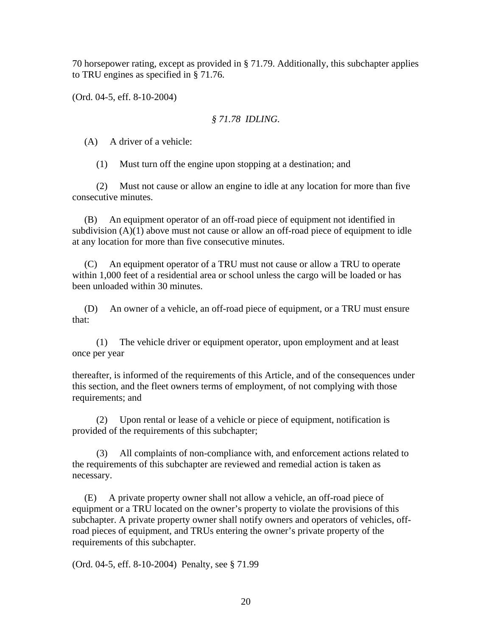70 horsepower rating, except as provided in § 71.79. Additionally, this subchapter applies to TRU engines as specified in § 71.76.

(Ord. 04-5, eff. 8-10-2004)

## *§ 71.78 IDLING.*

(A) A driver of a vehicle:

(1) Must turn off the engine upon stopping at a destination; and

 (2) Must not cause or allow an engine to idle at any location for more than five consecutive minutes.

 (B) An equipment operator of an off-road piece of equipment not identified in subdivision  $(A)(1)$  above must not cause or allow an off-road piece of equipment to idle at any location for more than five consecutive minutes.

 (C) An equipment operator of a TRU must not cause or allow a TRU to operate within 1,000 feet of a residential area or school unless the cargo will be loaded or has been unloaded within 30 minutes.

 (D) An owner of a vehicle, an off-road piece of equipment, or a TRU must ensure that:

 (1) The vehicle driver or equipment operator, upon employment and at least once per year

thereafter, is informed of the requirements of this Article, and of the consequences under this section, and the fleet owners terms of employment, of not complying with those requirements; and

 (2) Upon rental or lease of a vehicle or piece of equipment, notification is provided of the requirements of this subchapter;

All complaints of non-compliance with, and enforcement actions related to the requirements of this subchapter are reviewed and remedial action is taken as necessary.

 (E) A private property owner shall not allow a vehicle, an off-road piece of equipment or a TRU located on the owner's property to violate the provisions of this subchapter. A private property owner shall notify owners and operators of vehicles, offroad pieces of equipment, and TRUs entering the owner's private property of the requirements of this subchapter.

(Ord. 04-5, eff. 8-10-2004) Penalty, see § 71.99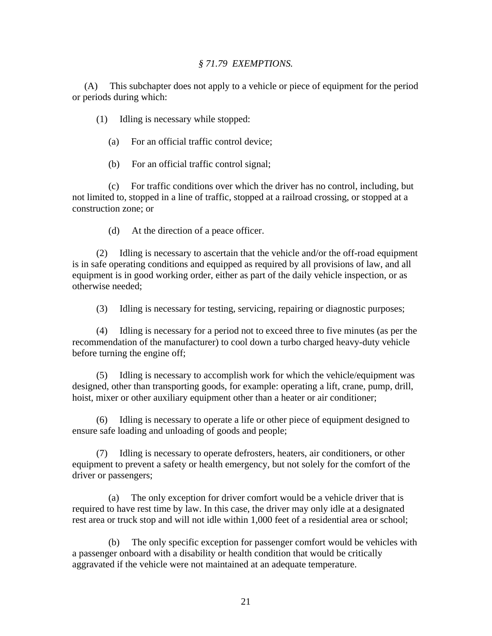#### *§ 71.79 EXEMPTIONS.*

 (A) This subchapter does not apply to a vehicle or piece of equipment for the period or periods during which:

(1) Idling is necessary while stopped:

- (a) For an official traffic control device;
- (b) For an official traffic control signal;

 (c) For traffic conditions over which the driver has no control, including, but not limited to, stopped in a line of traffic, stopped at a railroad crossing, or stopped at a construction zone; or

(d) At the direction of a peace officer.

 (2) Idling is necessary to ascertain that the vehicle and/or the off-road equipment is in safe operating conditions and equipped as required by all provisions of law, and all equipment is in good working order, either as part of the daily vehicle inspection, or as otherwise needed;

(3) Idling is necessary for testing, servicing, repairing or diagnostic purposes;

 (4) Idling is necessary for a period not to exceed three to five minutes (as per the recommendation of the manufacturer) to cool down a turbo charged heavy-duty vehicle before turning the engine off;

 (5) Idling is necessary to accomplish work for which the vehicle/equipment was designed, other than transporting goods, for example: operating a lift, crane, pump, drill, hoist, mixer or other auxiliary equipment other than a heater or air conditioner;

 (6) Idling is necessary to operate a life or other piece of equipment designed to ensure safe loading and unloading of goods and people;

 (7) Idling is necessary to operate defrosters, heaters, air conditioners, or other equipment to prevent a safety or health emergency, but not solely for the comfort of the driver or passengers;

 (a) The only exception for driver comfort would be a vehicle driver that is required to have rest time by law. In this case, the driver may only idle at a designated rest area or truck stop and will not idle within 1,000 feet of a residential area or school;

 (b) The only specific exception for passenger comfort would be vehicles with a passenger onboard with a disability or health condition that would be critically aggravated if the vehicle were not maintained at an adequate temperature.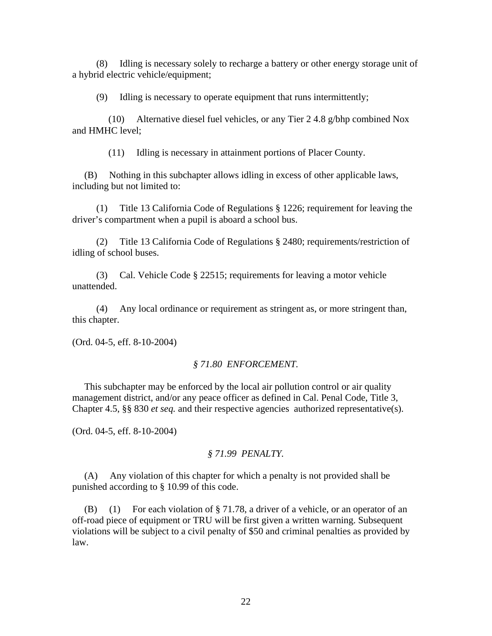(8) Idling is necessary solely to recharge a battery or other energy storage unit of a hybrid electric vehicle/equipment;

(9) Idling is necessary to operate equipment that runs intermittently;

 (10) Alternative diesel fuel vehicles, or any Tier 2 4.8 g/bhp combined Nox and HMHC level;

(11) Idling is necessary in attainment portions of Placer County.

 (B) Nothing in this subchapter allows idling in excess of other applicable laws, including but not limited to:

 (1) Title 13 California Code of Regulations § 1226; requirement for leaving the driver's compartment when a pupil is aboard a school bus.

 (2) Title 13 California Code of Regulations § 2480; requirements/restriction of idling of school buses.

 (3) Cal. Vehicle Code § 22515; requirements for leaving a motor vehicle unattended.

 (4) Any local ordinance or requirement as stringent as, or more stringent than, this chapter.

(Ord. 04-5, eff. 8-10-2004)

#### *§ 71.80 ENFORCEMENT.*

 This subchapter may be enforced by the local air pollution control or air quality management district, and/or any peace officer as defined in Cal. Penal Code, Title 3, Chapter 4.5, §§ 830 *et seq.* and their respective agencies authorized representative(s).

(Ord. 04-5, eff. 8-10-2004)

#### *§ 71.99 PENALTY.*

 (A) Any violation of this chapter for which a penalty is not provided shall be punished according to § 10.99 of this code.

 (B) (1) For each violation of § 71.78, a driver of a vehicle, or an operator of an off-road piece of equipment or TRU will be first given a written warning. Subsequent violations will be subject to a civil penalty of \$50 and criminal penalties as provided by law.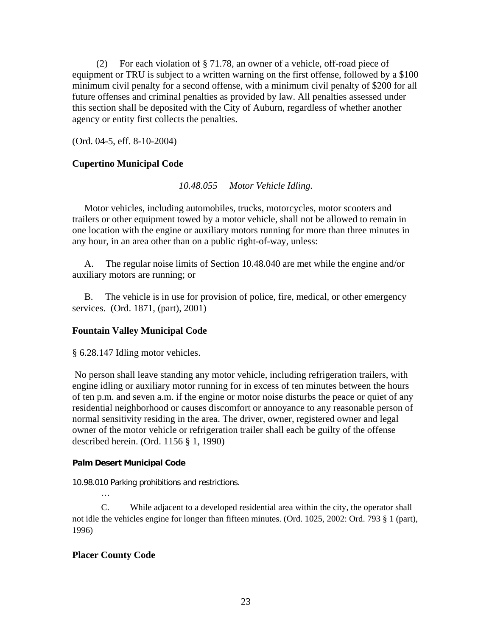(2) For each violation of § 71.78, an owner of a vehicle, off-road piece of equipment or TRU is subject to a written warning on the first offense, followed by a \$100 minimum civil penalty for a second offense, with a minimum civil penalty of \$200 for all future offenses and criminal penalties as provided by law. All penalties assessed under this section shall be deposited with the City of Auburn, regardless of whether another agency or entity first collects the penalties.

(Ord. 04-5, eff. 8-10-2004)

#### **Cupertino Municipal Code**

*10.48.055 Motor Vehicle Idling.* 

 Motor vehicles, including automobiles, trucks, motorcycles, motor scooters and trailers or other equipment towed by a motor vehicle, shall not be allowed to remain in one location with the engine or auxiliary motors running for more than three minutes in any hour, in an area other than on a public right-of-way, unless:

 A. The regular noise limits of Section 10.48.040 are met while the engine and/or auxiliary motors are running; or

 B. The vehicle is in use for provision of police, fire, medical, or other emergency services. (Ord. 1871, (part), 2001)

#### **Fountain Valley Municipal Code**

§ 6.28.147 Idling motor vehicles.

 No person shall leave standing any motor vehicle, including refrigeration trailers, with engine idling or auxiliary motor running for in excess of ten minutes between the hours of ten p.m. and seven a.m. if the engine or motor noise disturbs the peace or quiet of any residential neighborhood or causes discomfort or annoyance to any reasonable person of normal sensitivity residing in the area. The driver, owner, registered owner and legal owner of the motor vehicle or refrigeration trailer shall each be guilty of the offense described herein. (Ord. 1156 § 1, 1990)

#### **Palm Desert Municipal Code**

10.98.010 Parking prohibitions and restrictions.

 C. While adjacent to a developed residential area within the city, the operator shall not idle the vehicles engine for longer than fifteen minutes. (Ord. 1025, 2002: Ord. 793 § 1 (part), 1996)

#### **Placer County Code**

…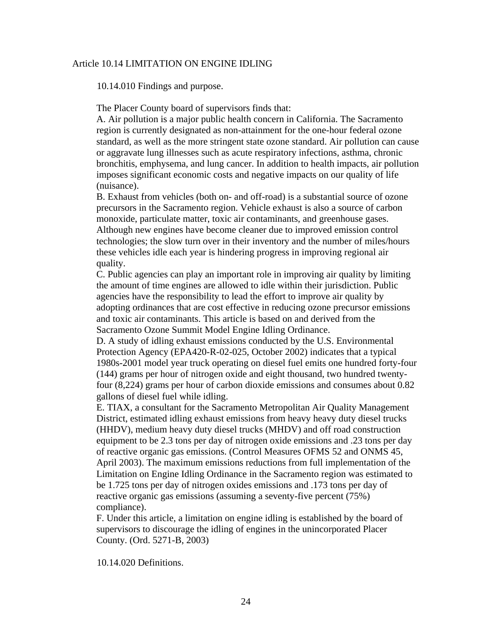#### [Article 10.14 LIMITATION ON ENGINE IDLING](http://municipalcodes.lexisnexis.com/codes/placer/_DATA/TITLE10/Article_10_14_LIMITATION_ON_ENGINE/index.html)

10.14.010 Findings and purpose.

The Placer County board of supervisors finds that:

A. Air pollution is a major public health concern in California. The Sacramento region is currently designated as non-attainment for the one-hour federal ozone standard, as well as the more stringent state ozone standard. Air pollution can cause or aggravate lung illnesses such as acute respiratory infections, asthma, chronic bronchitis, emphysema, and lung cancer. In addition to health impacts, air pollution imposes significant economic costs and negative impacts on our quality of life (nuisance).

B. Exhaust from vehicles (both on- and off-road) is a substantial source of ozone precursors in the Sacramento region. Vehicle exhaust is also a source of carbon monoxide, particulate matter, toxic air contaminants, and greenhouse gases. Although new engines have become cleaner due to improved emission control technologies; the slow turn over in their inventory and the number of miles/hours these vehicles idle each year is hindering progress in improving regional air quality.

C. Public agencies can play an important role in improving air quality by limiting the amount of time engines are allowed to idle within their jurisdiction. Public agencies have the responsibility to lead the effort to improve air quality by adopting ordinances that are cost effective in reducing ozone precursor emissions and toxic air contaminants. This article is based on and derived from the Sacramento Ozone Summit Model Engine Idling Ordinance.

D. A study of idling exhaust emissions conducted by the U.S. Environmental Protection Agency (EPA420-R-02-025, October 2002) indicates that a typical 1980s-2001 model year truck operating on diesel fuel emits one hundred forty-four (144) grams per hour of nitrogen oxide and eight thousand, two hundred twentyfour (8,224) grams per hour of carbon dioxide emissions and consumes about 0.82 gallons of diesel fuel while idling.

E. TIAX, a consultant for the Sacramento Metropolitan Air Quality Management District, estimated idling exhaust emissions from heavy heavy duty diesel trucks (HHDV), medium heavy duty diesel trucks (MHDV) and off road construction equipment to be 2.3 tons per day of nitrogen oxide emissions and .23 tons per day of reactive organic gas emissions. (Control Measures OFMS 52 and ONMS 45, April 2003). The maximum emissions reductions from full implementation of the Limitation on Engine Idling Ordinance in the Sacramento region was estimated to be 1.725 tons per day of nitrogen oxides emissions and .173 tons per day of reactive organic gas emissions (assuming a seventy-five percent (75%) compliance).

F. Under this article, a limitation on engine idling is established by the board of supervisors to discourage the idling of engines in the unincorporated Placer County. (Ord. 5271-B, 2003)

10.14.020 Definitions.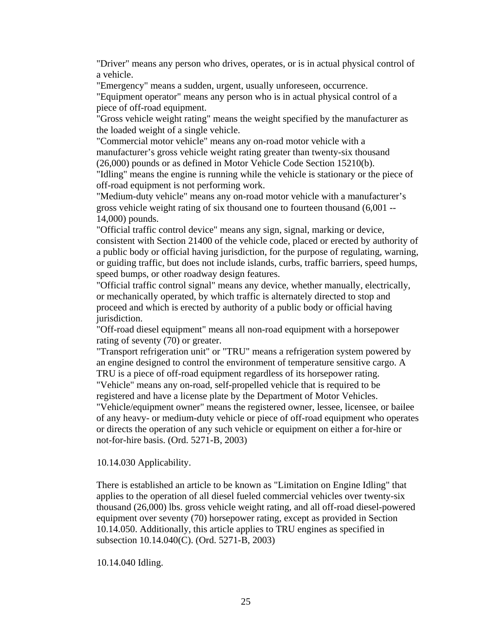"Driver" means any person who drives, operates, or is in actual physical control of a vehicle.

"Emergency" means a sudden, urgent, usually unforeseen, occurrence.

"Equipment operator" means any person who is in actual physical control of a piece of off-road equipment.

"Gross vehicle weight rating" means the weight specified by the manufacturer as the loaded weight of a single vehicle.

"Commercial motor vehicle" means any on-road motor vehicle with a manufacturer's gross vehicle weight rating greater than twenty-six thousand (26,000) pounds or as defined in Motor Vehicle Code Section 15210(b).

"Idling" means the engine is running while the vehicle is stationary or the piece of off-road equipment is not performing work.

"Medium-duty vehicle" means any on-road motor vehicle with a manufacturer's gross vehicle weight rating of six thousand one to fourteen thousand (6,001 -- 14,000) pounds.

"Official traffic control device" means any sign, signal, marking or device, consistent with Section 21400 of the vehicle code, placed or erected by authority of a public body or official having jurisdiction, for the purpose of regulating, warning, or guiding traffic, but does not include islands, curbs, traffic barriers, speed humps, speed bumps, or other roadway design features.

"Official traffic control signal" means any device, whether manually, electrically, or mechanically operated, by which traffic is alternately directed to stop and proceed and which is erected by authority of a public body or official having jurisdiction.

"Off-road diesel equipment" means all non-road equipment with a horsepower rating of seventy (70) or greater.

"Transport refrigeration unit" or "TRU" means a refrigeration system powered by an engine designed to control the environment of temperature sensitive cargo. A TRU is a piece of off-road equipment regardless of its horsepower rating.

"Vehicle" means any on-road, self-propelled vehicle that is required to be registered and have a license plate by the Department of Motor Vehicles. "Vehicle/equipment owner" means the registered owner, lessee, licensee, or bailee of any heavy- or medium-duty vehicle or piece of off-road equipment who operates or directs the operation of any such vehicle or equipment on either a for-hire or not-for-hire basis. (Ord. 5271-B, 2003)

#### 10.14.030 Applicability.

There is established an article to be known as "Limitation on Engine Idling" that applies to the operation of all diesel fueled commercial vehicles over twenty-six thousand (26,000) lbs. gross vehicle weight rating, and all off-road diesel-powered equipment over seventy (70) horsepower rating, except as provided in Section 10.14.050. Additionally, this article applies to TRU engines as specified in subsection 10.14.040(C). (Ord. 5271-B, 2003)

10.14.040 Idling.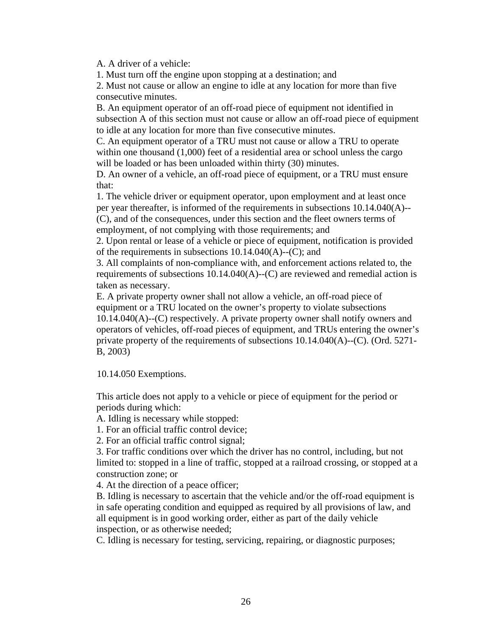A. A driver of a vehicle:

1. Must turn off the engine upon stopping at a destination; and

2. Must not cause or allow an engine to idle at any location for more than five consecutive minutes.

B. An equipment operator of an off-road piece of equipment not identified in subsection A of this section must not cause or allow an off-road piece of equipment to idle at any location for more than five consecutive minutes.

C. An equipment operator of a TRU must not cause or allow a TRU to operate within one thousand  $(1,000)$  feet of a residential area or school unless the cargo will be loaded or has been unloaded within thirty (30) minutes.

D. An owner of a vehicle, an off-road piece of equipment, or a TRU must ensure that:

1. The vehicle driver or equipment operator, upon employment and at least once per year thereafter, is informed of the requirements in subsections 10.14.040(A)-- (C), and of the consequences, under this section and the fleet owners terms of employment, of not complying with those requirements; and

2. Upon rental or lease of a vehicle or piece of equipment, notification is provided of the requirements in subsections 10.14.040(A)--(C); and

3. All complaints of non-compliance with, and enforcement actions related to, the requirements of subsections 10.14.040(A)--(C) are reviewed and remedial action is taken as necessary.

E. A private property owner shall not allow a vehicle, an off-road piece of equipment or a TRU located on the owner's property to violate subsections 10.14.040(A)--(C) respectively. A private property owner shall notify owners and operators of vehicles, off-road pieces of equipment, and TRUs entering the owner's private property of the requirements of subsections 10.14.040(A)--(C). (Ord. 5271- B, 2003)

10.14.050 Exemptions.

This article does not apply to a vehicle or piece of equipment for the period or periods during which:

A. Idling is necessary while stopped:

1. For an official traffic control device;

2. For an official traffic control signal;

3. For traffic conditions over which the driver has no control, including, but not limited to: stopped in a line of traffic, stopped at a railroad crossing, or stopped at a construction zone; or

4. At the direction of a peace officer;

B. Idling is necessary to ascertain that the vehicle and/or the off-road equipment is in safe operating condition and equipped as required by all provisions of law, and all equipment is in good working order, either as part of the daily vehicle inspection, or as otherwise needed;

C. Idling is necessary for testing, servicing, repairing, or diagnostic purposes;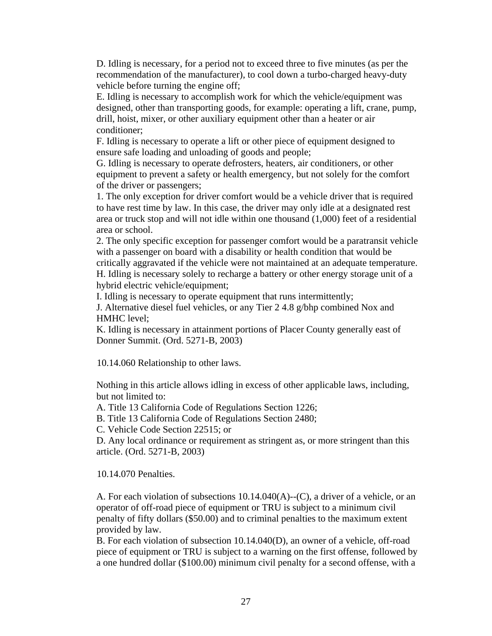D. Idling is necessary, for a period not to exceed three to five minutes (as per the recommendation of the manufacturer), to cool down a turbo-charged heavy-duty vehicle before turning the engine off;

E. Idling is necessary to accomplish work for which the vehicle/equipment was designed, other than transporting goods, for example: operating a lift, crane, pump, drill, hoist, mixer, or other auxiliary equipment other than a heater or air conditioner;

F. Idling is necessary to operate a lift or other piece of equipment designed to ensure safe loading and unloading of goods and people;

G. Idling is necessary to operate defrosters, heaters, air conditioners, or other equipment to prevent a safety or health emergency, but not solely for the comfort of the driver or passengers;

1. The only exception for driver comfort would be a vehicle driver that is required to have rest time by law. In this case, the driver may only idle at a designated rest area or truck stop and will not idle within one thousand (1,000) feet of a residential area or school.

2. The only specific exception for passenger comfort would be a paratransit vehicle with a passenger on board with a disability or health condition that would be critically aggravated if the vehicle were not maintained at an adequate temperature. H. Idling is necessary solely to recharge a battery or other energy storage unit of a hybrid electric vehicle/equipment;

I. Idling is necessary to operate equipment that runs intermittently;

J. Alternative diesel fuel vehicles, or any Tier 2 4.8 g/bhp combined Nox and HMHC level;

K. Idling is necessary in attainment portions of Placer County generally east of Donner Summit. (Ord. 5271-B, 2003)

10.14.060 Relationship to other laws.

Nothing in this article allows idling in excess of other applicable laws, including, but not limited to:

A. Title 13 California Code of Regulations Section 1226;

B. Title 13 California Code of Regulations Section 2480;

C. Vehicle Code Section 22515; or

D. Any local ordinance or requirement as stringent as, or more stringent than this article. (Ord. 5271-B, 2003)

10.14.070 Penalties.

A. For each violation of subsections  $10.14.040(A)$ --(C), a driver of a vehicle, or an operator of off-road piece of equipment or TRU is subject to a minimum civil penalty of fifty dollars (\$50.00) and to criminal penalties to the maximum extent provided by law.

B. For each violation of subsection 10.14.040(D), an owner of a vehicle, off-road piece of equipment or TRU is subject to a warning on the first offense, followed by a one hundred dollar (\$100.00) minimum civil penalty for a second offense, with a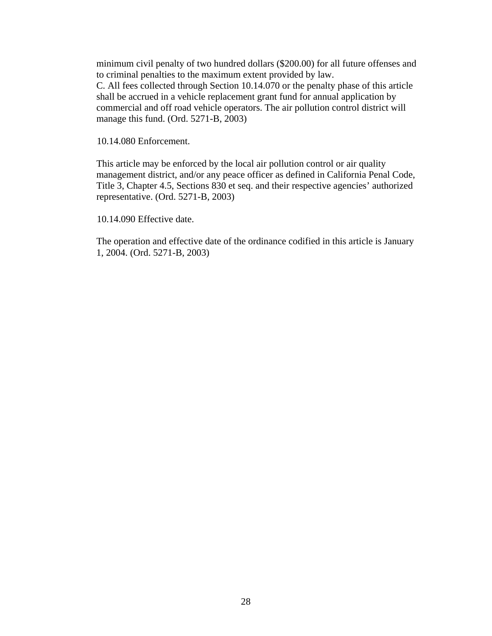minimum civil penalty of two hundred dollars (\$200.00) for all future offenses and to criminal penalties to the maximum extent provided by law. C. All fees collected through Section 10.14.070 or the penalty phase of this article shall be accrued in a vehicle replacement grant fund for annual application by commercial and off road vehicle operators. The air pollution control district will manage this fund. (Ord. 5271-B, 2003)

10.14.080 Enforcement.

This article may be enforced by the local air pollution control or air quality management district, and/or any peace officer as defined in California Penal Code, Title 3, Chapter 4.5, Sections 830 et seq. and their respective agencies' authorized representative. (Ord. 5271-B, 2003)

10.14.090 Effective date.

The operation and effective date of the ordinance codified in this article is January 1, 2004. (Ord. 5271-B, 2003)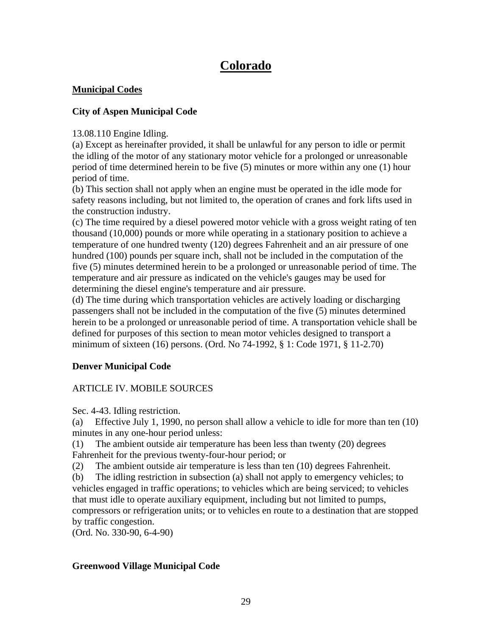# **Colorado**

# **Municipal Codes**

# **City of Aspen Municipal Code**

13.08.110 Engine Idling.

(a) Except as hereinafter provided, it shall be unlawful for any person to idle or permit the idling of the motor of any stationary motor vehicle for a prolonged or unreasonable period of time determined herein to be five (5) minutes or more within any one (1) hour period of time.

(b) This section shall not apply when an engine must be operated in the idle mode for safety reasons including, but not limited to, the operation of cranes and fork lifts used in the construction industry.

(c) The time required by a diesel powered motor vehicle with a gross weight rating of ten thousand (10,000) pounds or more while operating in a stationary position to achieve a temperature of one hundred twenty (120) degrees Fahrenheit and an air pressure of one hundred (100) pounds per square inch, shall not be included in the computation of the five (5) minutes determined herein to be a prolonged or unreasonable period of time. The temperature and air pressure as indicated on the vehicle's gauges may be used for determining the diesel engine's temperature and air pressure.

(d) The time during which transportation vehicles are actively loading or discharging passengers shall not be included in the computation of the five (5) minutes determined herein to be a prolonged or unreasonable period of time. A transportation vehicle shall be defined for purposes of this section to mean motor vehicles designed to transport a minimum of sixteen (16) persons. (Ord. No 74-1992, § 1: Code 1971, § 11-2.70)

# **Denver Municipal Code**

# ARTICLE IV. MOBILE SOURCES

Sec. 4-43. Idling restriction.

(a) Effective July 1, 1990, no person shall allow a vehicle to idle for more than ten (10) minutes in any one-hour period unless:

(1) The ambient outside air temperature has been less than twenty (20) degrees Fahrenheit for the previous twenty-four-hour period; or

(2) The ambient outside air temperature is less than ten (10) degrees Fahrenheit.

(b) The idling restriction in subsection (a) shall not apply to emergency vehicles; to vehicles engaged in traffic operations; to vehicles which are being serviced; to vehicles that must idle to operate auxiliary equipment, including but not limited to pumps, compressors or refrigeration units; or to vehicles en route to a destination that are stopped by traffic congestion.

(Ord. No. 330-90, 6-4-90)

# **Greenwood Village Municipal Code**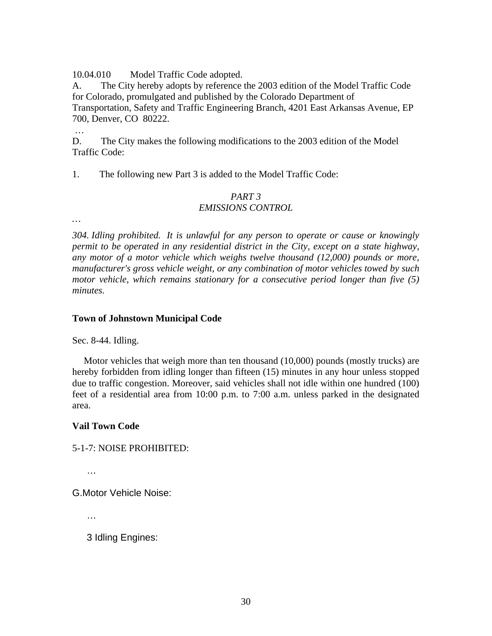10.04.010 Model Traffic Code adopted.

A. The City hereby adopts by reference the 2003 edition of the [Model Traffic Code](http://www.greenwoodvillage.com/municode/_DATA/TITLE10/Chapter_10_04_GENERAL_PROVISIONS/Model_Traffic_Code_2003.pdf)  [for Colorado,](http://www.greenwoodvillage.com/municode/_DATA/TITLE10/Chapter_10_04_GENERAL_PROVISIONS/Model_Traffic_Code_2003.pdf) promulgated and published by the Colorado Department of Transportation, Safety and Traffic Engineering Branch, 4201 East Arkansas Avenue, EP 700, Denver, CO 80222.

…

D. The City makes the following modifications to the 2003 edition of the Model Traffic Code:

1. The following new Part 3 is added to the Model Traffic Code:

## *PART 3 EMISSIONS CONTROL*

*…*

*304. Idling prohibited. It is unlawful for any person to operate or cause or knowingly permit to be operated in any residential district in the City, except on a state highway, any motor of a motor vehicle which weighs twelve thousand (12,000) pounds or more, manufacturer's gross vehicle weight, or any combination of motor vehicles towed by such motor vehicle, which remains stationary for a consecutive period longer than five (5) minutes.*

# **Town of Johnstown Municipal Code**

Sec. 8-44. Idling.

Motor vehicles that weigh more than ten thousand (10,000) pounds (mostly trucks) are hereby forbidden from idling longer than fifteen (15) minutes in any hour unless stopped due to traffic congestion. Moreover, said vehicles shall not idle within one hundred (100) feet of a residential area from 10:00 p.m. to 7:00 a.m. unless parked in the designated area.

# **Vail Town Code**

5-1-7: NOISE PROHIBITED:

…

G.Motor Vehicle Noise:

…

3 Idling Engines: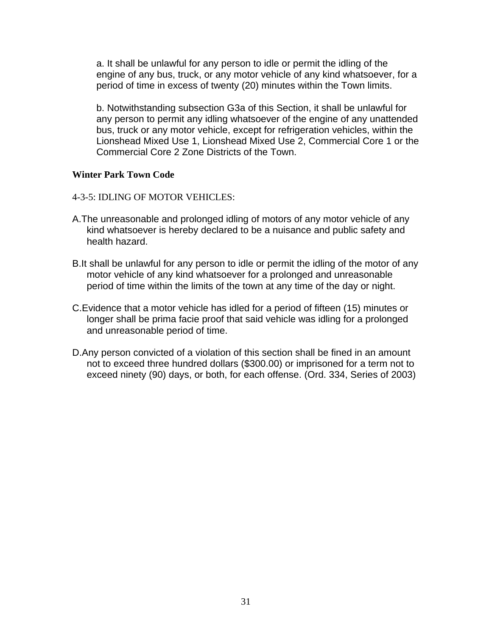a. It shall be unlawful for any person to idle or permit the idling of the engine of any bus, truck, or any motor vehicle of any kind whatsoever, for a period of time in excess of twenty (20) minutes within the Town limits.

b. Notwithstanding subsection G3a of this Section, it shall be unlawful for any person to permit any idling whatsoever of the engine of any unattended bus, truck or any motor vehicle, except for refrigeration vehicles, within the Lionshead Mixed Use 1, Lionshead Mixed Use 2, Commercial Core 1 or the Commercial Core 2 Zone Districts of the Town.

## **Winter Park Town Code**

- 4-3-5: IDLING OF MOTOR VEHICLES:
- A.The unreasonable and prolonged idling of motors of any motor vehicle of any kind whatsoever is hereby declared to be a nuisance and public safety and health hazard.
- B.It shall be unlawful for any person to idle or permit the idling of the motor of any motor vehicle of any kind whatsoever for a prolonged and unreasonable period of time within the limits of the town at any time of the day or night.
- C.Evidence that a motor vehicle has idled for a period of fifteen (15) minutes or longer shall be prima facie proof that said vehicle was idling for a prolonged and unreasonable period of time.
- D.Any person convicted of a violation of this section shall be fined in an amount not to exceed three hundred dollars (\$300.00) or imprisoned for a term not to exceed ninety (90) days, or both, for each offense. (Ord. 334, Series of 2003)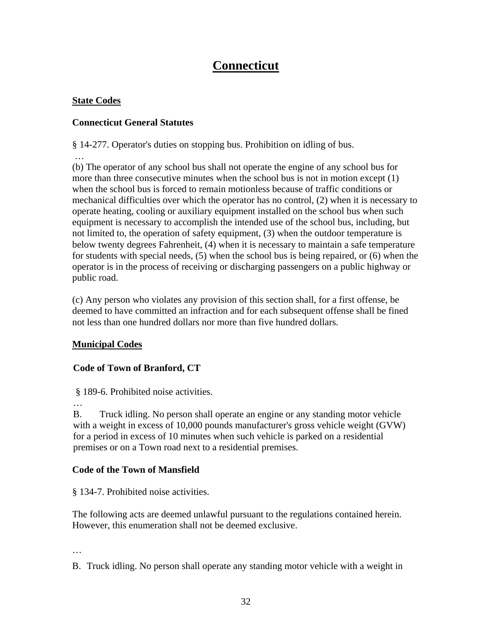# **Connecticut**

# **State Codes**

…

# **Connecticut General Statutes**

§ 14-277. Operator's duties on stopping bus. Prohibition on idling of bus.

(b) The operator of any school bus shall not operate the engine of any school bus for more than three consecutive minutes when the school bus is not in motion except (1) when the school bus is forced to remain motionless because of traffic conditions or mechanical difficulties over which the operator has no control, (2) when it is necessary to operate heating, cooling or auxiliary equipment installed on the school bus when such equipment is necessary to accomplish the intended use of the school bus, including, but not limited to, the operation of safety equipment, (3) when the outdoor temperature is below twenty degrees Fahrenheit, (4) when it is necessary to maintain a safe temperature for students with special needs, (5) when the school bus is being repaired, or (6) when the operator is in the process of receiving or discharging passengers on a public highway or public road.

(c) Any person who violates any provision of this section shall, for a first offense, be deemed to have committed an infraction and for each subsequent offense shall be fined not less than one hundred dollars nor more than five hundred dollars.

# **Municipal Codes**

# **Code of Town of Branford, CT**

§ 189-6. Prohibited noise activities.

 $\mathbb{R}^2$ 

B. Truck idling. No person shall operate an engine or any standing motor vehicle with a weight in excess of 10,000 pounds manufacturer's gross vehicle weight (GVW) for a period in excess of 10 minutes when such vehicle is parked on a residential premises or on a Town road next to a residential premises.

# **Code of the Town of Mansfield**

§ 134-7. Prohibited noise activities.

The following acts are deemed unlawful pursuant to the regulations contained herein. However, this enumeration shall not be deemed exclusive.

…

B. Truck idling. No person shall operate any standing motor vehicle with a weight in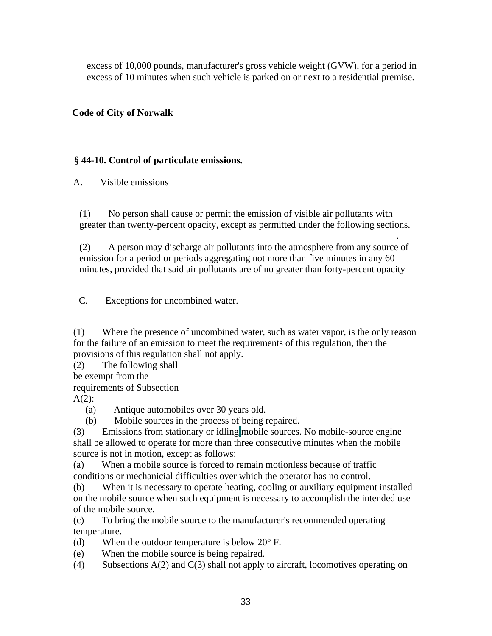excess of 10,000 pounds, manufacturer's gross vehicle weight (GVW), for a period in excess of 10 minutes when such vehicle is parked on or next to a residential premise.

### **Code of City of Norwalk**

### **§ 44-10. Control of particulate emissions.**

A. Visible emissions

(1) No person shall cause or permit the emission of visible air pollutants with greater than twenty-percent opacity, except as permitted under the following sections.

. (2) A person may discharge air pollutants into the atmosphere from any source of emission for a period or periods aggregating not more than five minutes in any 60 minutes, provided that said air pollutants are of no greater than forty-percent opacity

C. Exceptions for uncombined water.

(1) Where the presence of uncombined water, such as water vapor, is the only reason for the failure of an emission to meet the requirements of this regulation, then the provisions of this regulation shall not apply.

(2) The following shall

be exempt from the

requirements of Subsection

 $A(2)$ :

(a) Antique automobiles over 30 years old.

(b) Mobile sources in the process of being repaired.

(3) Emissions from stationary or idling mobile sources. No mobile-source engine shall be allowed to operate for more than three consecutive minutes when the mobile source is not in motion, except as follows:

(a) When a mobile source is forced to remain motionless because of traffic conditions or mechanicial difficulties over which the operator has no control.

(b) When it is necessary to operate heating, cooling or auxiliary equipment installed on the mobile source when such equipment is necessary to accomplish the intended use of the mobile source.

(c) To bring the mobile source to the manufacturer's recommended operating temperature.

(d) When the outdoor temperature is below  $20^{\circ}$  F.

(e) When the mobile source is being repaired.

(4) Subsections A(2) and C(3) shall not apply to aircraft, locomotives operating on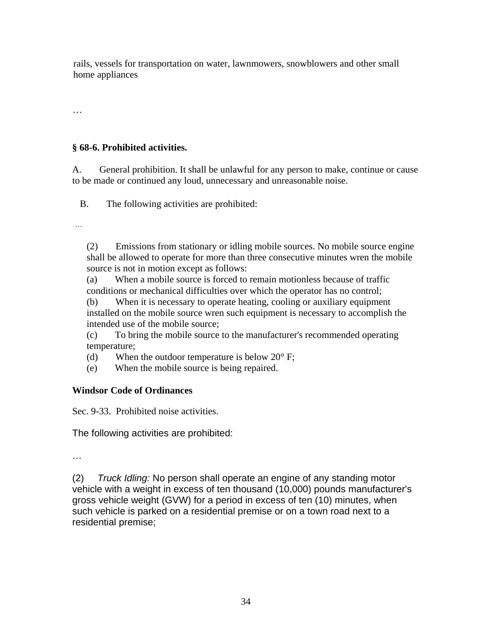rails, vessels for transportation on water, lawnmowers, snowblowers and other small home appliances

…

## **§ 68-6. Prohibited activities.**

A. General prohibition. It shall be unlawful for any person to make, continue or cause to be made or continued any loud, unnecessary and unreasonable noise.

B. The following activities are prohibited:

…

(2) Emissions from stationary or idling mobile sources. No mobile source engine shall be allowed to operate for more than three consecutive minutes wren the mobile source is not in motion except as follows:

(a) When a mobile source is forced to remain motionless because of traffic conditions or mechanical difficulties over which the operator has no control;

(b) When it is necessary to operate heating, cooling or auxiliary equipment installed on the mobile source wren such equipment is necessary to accomplish the intended use of the mobile source;

(c) To bring the mobile source to the manufacturer's recommended operating temperature;

(d) When the outdoor temperature is below  $20^{\circ}$  F;

(e) When the mobile source is being repaired.

## **Windsor Code of Ordinances**

Sec. 9-33. Prohibited noise activities.

The following activities are prohibited:

…

(2) *Truck Idling:* No person shall operate an engine of any standing motor vehicle with a weight in excess of ten thousand (10,000) pounds manufacturer's gross vehicle weight (GVW) for a period in excess of ten (10) minutes, when such vehicle is parked on a residential premise or on a town road next to a residential premise;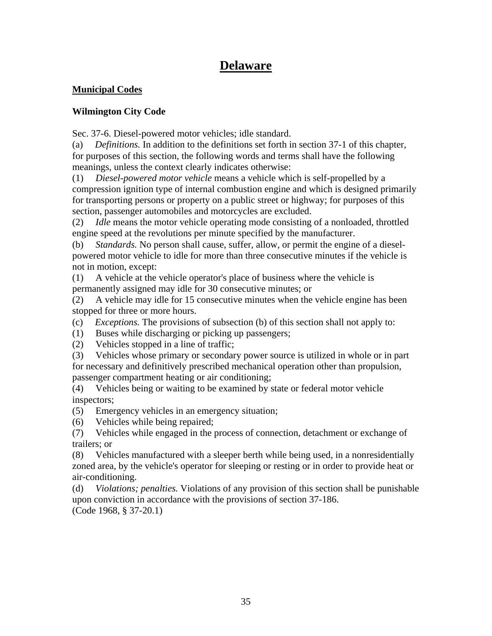# **Delaware**

## **Municipal Codes**

## **Wilmington City Code**

Sec. 37-6. Diesel-powered motor vehicles; idle standard.

(a) *Definitions.* In addition to the definitions set forth in section 37-1 of this chapter, for purposes of this section, the following words and terms shall have the following meanings, unless the context clearly indicates otherwise:

(1) *Diesel-powered motor vehicle* means a vehicle which is self-propelled by a compression ignition type of internal combustion engine and which is designed primarily for transporting persons or property on a public street or highway; for purposes of this section, passenger automobiles and motorcycles are excluded.

(2) *Idle* means the motor vehicle operating mode consisting of a nonloaded, throttled engine speed at the revolutions per minute specified by the manufacturer.

(b) *Standards.* No person shall cause, suffer, allow, or permit the engine of a dieselpowered motor vehicle to idle for more than three consecutive minutes if the vehicle is not in motion, except:

(1) A vehicle at the vehicle operator's place of business where the vehicle is permanently assigned may idle for 30 consecutive minutes; or

(2) A vehicle may idle for 15 consecutive minutes when the vehicle engine has been stopped for three or more hours.

(c) *Exceptions.* The provisions of subsection (b) of this section shall not apply to:

(1) Buses while discharging or picking up passengers;

(2) Vehicles stopped in a line of traffic;

(3) Vehicles whose primary or secondary power source is utilized in whole or in part for necessary and definitively prescribed mechanical operation other than propulsion, passenger compartment heating or air conditioning;

(4) Vehicles being or waiting to be examined by state or federal motor vehicle inspectors;

(5) Emergency vehicles in an emergency situation;

(6) Vehicles while being repaired;

(7) Vehicles while engaged in the process of connection, detachment or exchange of trailers; or

(8) Vehicles manufactured with a sleeper berth while being used, in a nonresidentially zoned area, by the vehicle's operator for sleeping or resting or in order to provide heat or air-conditioning.

(d) *Violations; penalties.* Violations of any provision of this section shall be punishable upon conviction in accordance with the provisions of section 37-186. (Code 1968, § 37-20.1)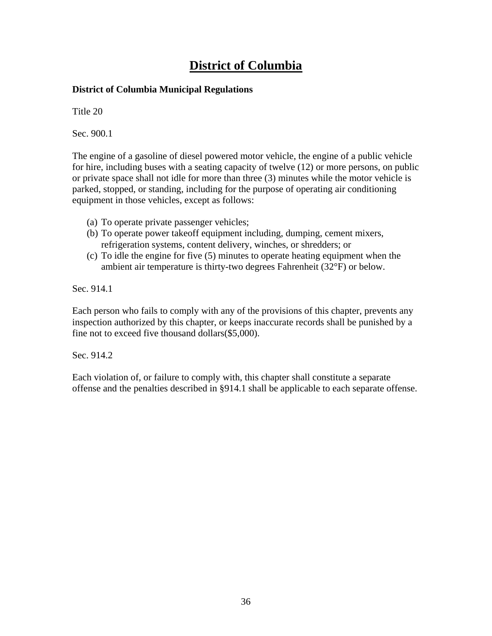# **District of Columbia**

## **District of Columbia Municipal Regulations**

Title 20

Sec. 900.1

The engine of a gasoline of diesel powered motor vehicle, the engine of a public vehicle for hire, including buses with a seating capacity of twelve (12) or more persons, on public or private space shall not idle for more than three (3) minutes while the motor vehicle is parked, stopped, or standing, including for the purpose of operating air conditioning equipment in those vehicles, except as follows:

- (a) To operate private passenger vehicles;
- (b) To operate power takeoff equipment including, dumping, cement mixers, refrigeration systems, content delivery, winches, or shredders; or
- (c) To idle the engine for five (5) minutes to operate heating equipment when the ambient air temperature is thirty-two degrees Fahrenheit (32°F) or below.

Sec. 914.1

Each person who fails to comply with any of the provisions of this chapter, prevents any inspection authorized by this chapter, or keeps inaccurate records shall be punished by a fine not to exceed five thousand dollars(\$5,000).

Sec. 914.2

Each violation of, or failure to comply with, this chapter shall constitute a separate offense and the penalties described in §914.1 shall be applicable to each separate offense.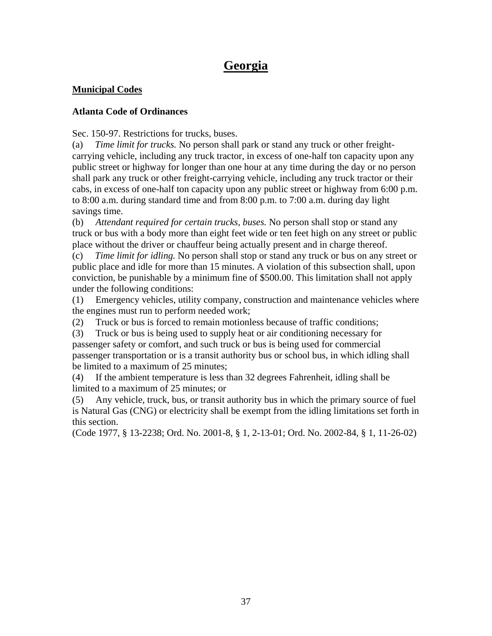# **Georgia**

## **Municipal Codes**

## **Atlanta Code of Ordinances**

Sec. 150-97. Restrictions for trucks, buses.

(a) *Time limit for trucks.* No person shall park or stand any truck or other freightcarrying vehicle, including any truck tractor, in excess of one-half ton capacity upon any public street or highway for longer than one hour at any time during the day or no person shall park any truck or other freight-carrying vehicle, including any truck tractor or their cabs, in excess of one-half ton capacity upon any public street or highway from 6:00 p.m. to 8:00 a.m. during standard time and from 8:00 p.m. to 7:00 a.m. during day light savings time.

(b) *Attendant required for certain trucks, buses.* No person shall stop or stand any truck or bus with a body more than eight feet wide or ten feet high on any street or public place without the driver or chauffeur being actually present and in charge thereof.

(c) *Time limit for idling.* No person shall stop or stand any truck or bus on any street or public place and idle for more than 15 minutes. A violation of this subsection shall, upon conviction, be punishable by a minimum fine of \$500.00. This limitation shall not apply under the following conditions:

(1) Emergency vehicles, utility company, construction and maintenance vehicles where the engines must run to perform needed work;

(2) Truck or bus is forced to remain motionless because of traffic conditions;

(3) Truck or bus is being used to supply heat or air conditioning necessary for passenger safety or comfort, and such truck or bus is being used for commercial passenger transportation or is a transit authority bus or school bus, in which idling shall be limited to a maximum of 25 minutes;

(4) If the ambient temperature is less than 32 degrees Fahrenheit, idling shall be limited to a maximum of 25 minutes; or

(5) Any vehicle, truck, bus, or transit authority bus in which the primary source of fuel is Natural Gas (CNG) or electricity shall be exempt from the idling limitations set forth in this section.

(Code 1977, § 13-2238; Ord. No. 2001-8, § 1, 2-13-01; Ord. No. 2002-84, § 1, 11-26-02)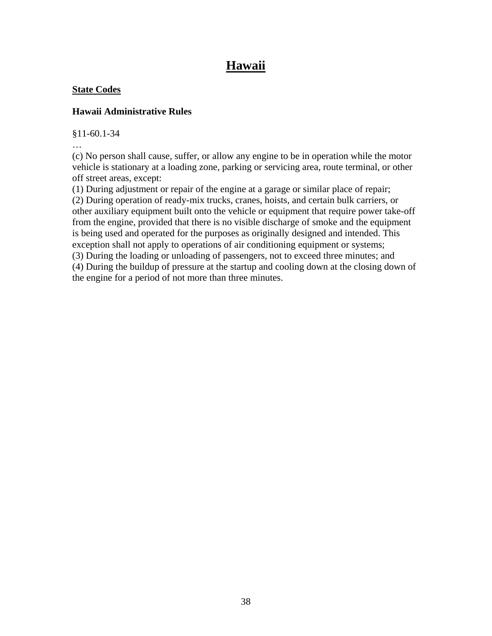# **Hawaii**

## **State Codes**

## **Hawaii Administrative Rules**

§11-60.1-34

…

(c) No person shall cause, suffer, or allow any engine to be in operation while the motor vehicle is stationary at a loading zone, parking or servicing area, route terminal, or other off street areas, except:

(1) During adjustment or repair of the engine at a garage or similar place of repair; (2) During operation of ready-mix trucks, cranes, hoists, and certain bulk carriers, or other auxiliary equipment built onto the vehicle or equipment that require power take-off from the engine, provided that there is no visible discharge of smoke and the equipment is being used and operated for the purposes as originally designed and intended. This exception shall not apply to operations of air conditioning equipment or systems; (3) During the loading or unloading of passengers, not to exceed three minutes; and (4) During the buildup of pressure at the startup and cooling down at the closing down of the engine for a period of not more than three minutes.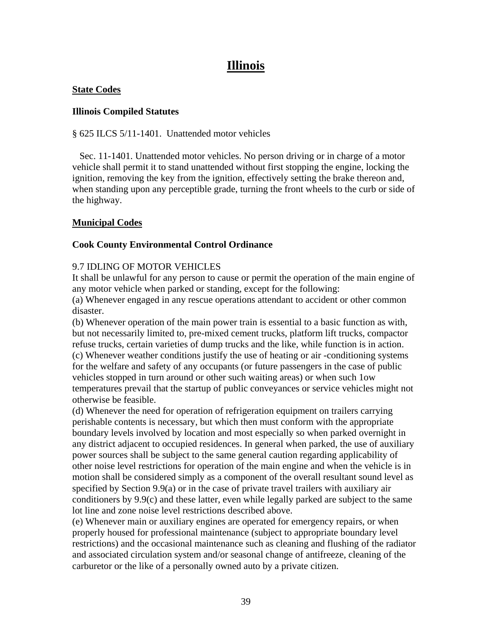# **Illinois**

#### **State Codes**

### **Illinois Compiled Statutes**

§ 625 ILCS 5/11-1401. Unattended motor vehicles

 Sec. 11-1401. Unattended motor vehicles. No person driving or in charge of a motor vehicle shall permit it to stand unattended without first stopping the engine, locking the ignition, removing the key from the ignition, effectively setting the brake thereon and, when standing upon any perceptible grade, turning the front wheels to the curb or side of the highway.

## **Municipal Codes**

## **Cook County Environmental Control Ordinance**

## 9.7 IDLING OF MOTOR VEHICLES

It shall be unlawful for any person to cause or permit the operation of the main engine of any motor vehicle when parked or standing, except for the following:

(a) Whenever engaged in any rescue operations attendant to accident or other common disaster.

(b) Whenever operation of the main power train is essential to a basic function as with, but not necessarily limited to, pre-mixed cement trucks, platform lift trucks, compactor refuse trucks, certain varieties of dump trucks and the like, while function is in action. (c) Whenever weather conditions justify the use of heating or air -conditioning systems for the welfare and safety of any occupants (or future passengers in the case of public vehicles stopped in turn around or other such waiting areas) or when such 1ow temperatures prevail that the startup of public conveyances or service vehicles might not otherwise be feasible.

(d) Whenever the need for operation of refrigeration equipment on trailers carrying perishable contents is necessary, but which then must conform with the appropriate boundary levels involved by location and most especially so when parked overnight in any district adjacent to occupied residences. In general when parked, the use of auxiliary power sources shall be subject to the same general caution regarding applicability of other noise level restrictions for operation of the main engine and when the vehicle is in motion shall be considered simply as a component of the overall resultant sound level as specified by Section 9.9(a) or in the case of private travel trailers with auxiliary air conditioners by 9.9(c) and these latter, even while legally parked are subject to the same lot line and zone noise level restrictions described above.

(e) Whenever main or auxiliary engines are operated for emergency repairs, or when properly housed for professional maintenance (subject to appropriate boundary level restrictions) and the occasional maintenance such as cleaning and flushing of the radiator and associated circulation system and/or seasonal change of antifreeze, cleaning of the carburetor or the like of a personally owned auto by a private citizen.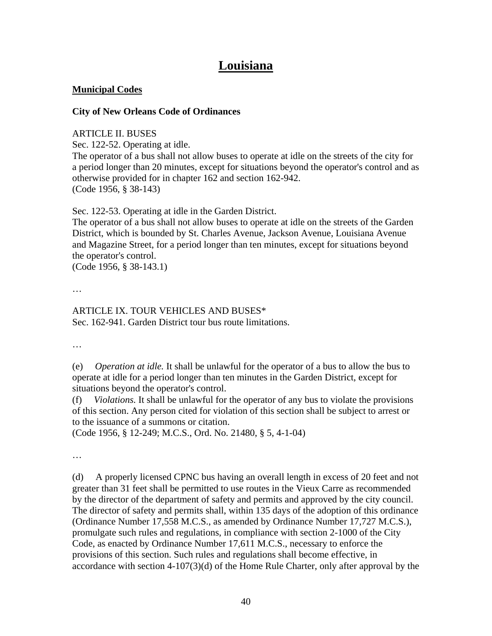# **Louisiana**

### **Municipal Codes**

#### **City of New Orleans Code of Ordinances**

#### ARTICLE II. BUSES

Sec. 122-52. Operating at idle.

The operator of a bus shall not allow buses to operate at idle on the streets of the city for a period longer than 20 minutes, except for situations beyond the operator's control and as otherwise provided for in chapter 162 and section 162-942. (Code 1956, § 38-143)

Sec. 122-53. Operating at idle in the Garden District.

The operator of a bus shall not allow buses to operate at idle on the streets of the Garden District, which is bounded by St. Charles Avenue, Jackson Avenue, Louisiana Avenue and Magazine Street, for a period longer than ten minutes, except for situations beyond the operator's control.

(Code 1956, § 38-143.1)

…

#### ARTICLE IX. TOUR VEHICLES AND BUSES\* Sec. 162-941. Garden District tour bus route limitations.

…

(e) *Operation at idle.* It shall be unlawful for the operator of a bus to allow the bus to operate at idle for a period longer than ten minutes in the Garden District, except for situations beyond the operator's control.

(f) *Violations.* It shall be unlawful for the operator of any bus to violate the provisions of this section. Any person cited for violation of this section shall be subject to arrest or to the issuance of a summons or citation.

(Code 1956, § 12-249; M.C.S., Ord. No. 21480, § 5, 4-1-04)

…

(d) A properly licensed CPNC bus having an overall length in excess of 20 feet and not greater than 31 feet shall be permitted to use routes in the Vieux Carre as recommended by the director of the department of safety and permits and approved by the city council. The director of safety and permits shall, within 135 days of the adoption of this ordinance (Ordinance Number 17,558 M.C.S., as amended by Ordinance Number 17,727 M.C.S.), promulgate such rules and regulations, in compliance with section 2-1000 of the City Code, as enacted by Ordinance Number 17,611 M.C.S., necessary to enforce the provisions of this section. Such rules and regulations shall become effective, in accordance with section 4-107(3)(d) of the Home Rule Charter, only after approval by the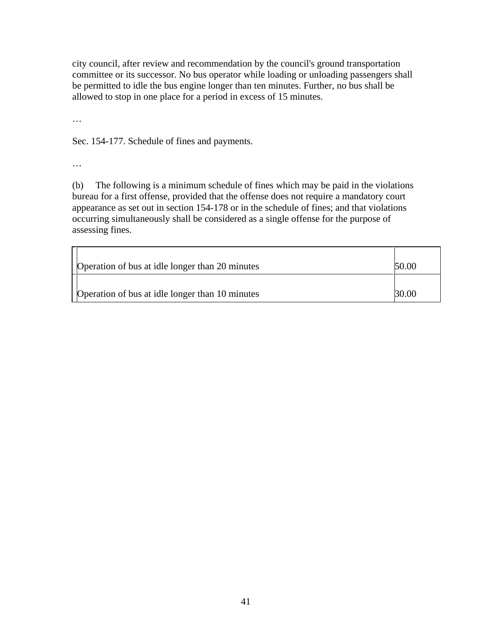city council, after review and recommendation by the council's ground transportation committee or its successor. No bus operator while loading or unloading passengers shall be permitted to idle the bus engine longer than ten minutes. Further, no bus shall be allowed to stop in one place for a period in excess of 15 minutes.

…

Sec. 154-177. Schedule of fines and payments.

…

(b) The following is a minimum schedule of fines which may be paid in the violations bureau for a first offense, provided that the offense does not require a mandatory court appearance as set out in section 154-178 or in the schedule of fines; and that violations occurring simultaneously shall be considered as a single offense for the purpose of assessing fines.

| Operation of bus at idle longer than 20 minutes | 50.00 |
|-------------------------------------------------|-------|
| Operation of bus at idle longer than 10 minutes | 30.00 |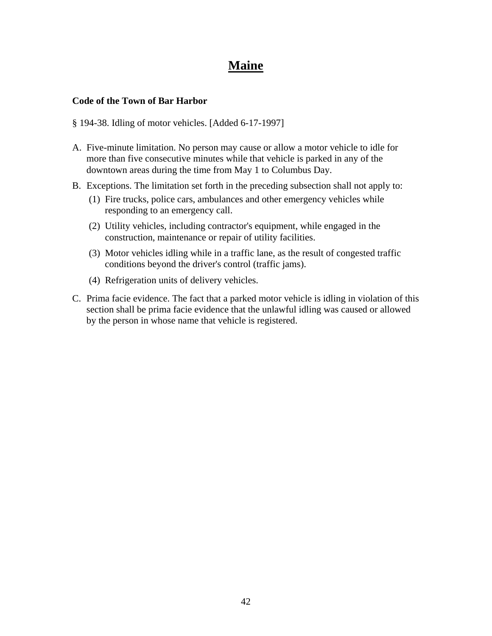# **Maine**

#### **Code of the Town of Bar Harbor**

#### § 194-38. Idling of motor vehicles. [Added 6-17-1997]

- A. Five-minute limitation. No person may cause or allow a motor vehicle to idle for more than five consecutive minutes while that vehicle is parked in any of the downtown areas during the time from May 1 to Columbus Day.
- B. Exceptions. The limitation set forth in the preceding subsection shall not apply to:
	- (1) Fire trucks, police cars, ambulances and other emergency vehicles while responding to an emergency call.
	- (2) Utility vehicles, including contractor's equipment, while engaged in the construction, maintenance or repair of utility facilities.
	- (3) Motor vehicles idling while in a traffic lane, as the result of congested traffic conditions beyond the driver's control (traffic jams).
	- (4) Refrigeration units of delivery vehicles.
- C. Prima facie evidence. The fact that a parked motor vehicle is idling in violation of this section shall be prima facie evidence that the unlawful idling was caused or allowed by the person in whose name that vehicle is registered.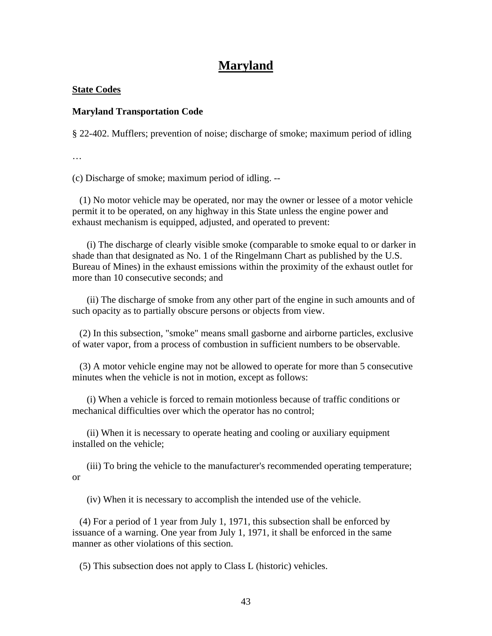## **Maryland**

#### **State Codes**

#### **Maryland Transportation Code**

§ 22-402. Mufflers; prevention of noise; discharge of smoke; maximum period of idling

…

(c) Discharge of smoke; maximum period of idling. --

 (1) No motor vehicle may be operated, nor may the owner or lessee of a motor vehicle permit it to be operated, on any highway in this State unless the engine power and exhaust mechanism is equipped, adjusted, and operated to prevent:

 (i) The discharge of clearly visible smoke (comparable to smoke equal to or darker in shade than that designated as No. 1 of the Ringelmann Chart as published by the U.S. Bureau of Mines) in the exhaust emissions within the proximity of the exhaust outlet for more than 10 consecutive seconds; and

 (ii) The discharge of smoke from any other part of the engine in such amounts and of such opacity as to partially obscure persons or objects from view.

 (2) In this subsection, "smoke" means small gasborne and airborne particles, exclusive of water vapor, from a process of combustion in sufficient numbers to be observable.

 (3) A motor vehicle engine may not be allowed to operate for more than 5 consecutive minutes when the vehicle is not in motion, except as follows:

 (i) When a vehicle is forced to remain motionless because of traffic conditions or mechanical difficulties over which the operator has no control;

 (ii) When it is necessary to operate heating and cooling or auxiliary equipment installed on the vehicle;

 (iii) To bring the vehicle to the manufacturer's recommended operating temperature; or

(iv) When it is necessary to accomplish the intended use of the vehicle.

 (4) For a period of 1 year from July 1, 1971, this subsection shall be enforced by issuance of a warning. One year from July 1, 1971, it shall be enforced in the same manner as other violations of this section.

(5) This subsection does not apply to Class L (historic) vehicles.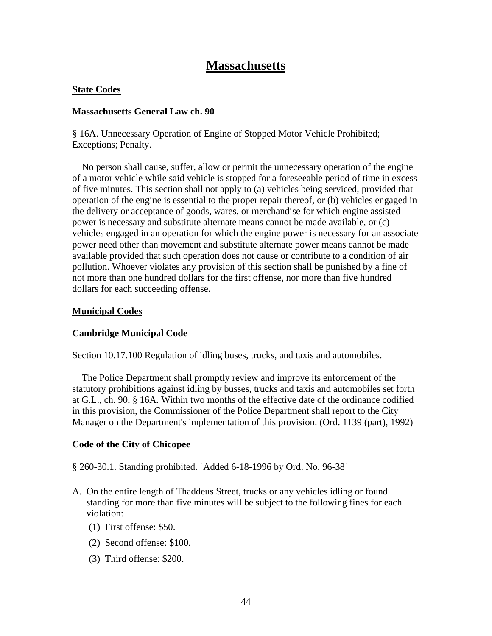## **Massachusetts**

#### **State Codes**

#### **Massachusetts General Law ch. 90**

§ 16A. Unnecessary Operation of Engine of Stopped Motor Vehicle Prohibited; Exceptions; Penalty.

 No person shall cause, suffer, allow or permit the unnecessary operation of the engine of a motor vehicle while said vehicle is stopped for a foreseeable period of time in excess of five minutes. This section shall not apply to (a) vehicles being serviced, provided that operation of the engine is essential to the proper repair thereof, or (b) vehicles engaged in the delivery or acceptance of goods, wares, or merchandise for which engine assisted power is necessary and substitute alternate means cannot be made available, or (c) vehicles engaged in an operation for which the engine power is necessary for an associate power need other than movement and substitute alternate power means cannot be made available provided that such operation does not cause or contribute to a condition of air pollution. Whoever violates any provision of this section shall be punished by a fine of not more than one hundred dollars for the first offense, nor more than five hundred dollars for each succeeding offense.

#### **Municipal Codes**

#### **Cambridge Municipal Code**

Section 10.17.100 Regulation of idling buses, trucks, and taxis and automobiles.

 The Police Department shall promptly review and improve its enforcement of the statutory prohibitions against idling by busses, trucks and taxis and automobiles set forth at G.L., ch. 90, § 16A. Within two months of the effective date of the ordinance codified in this provision, the Commissioner of the Police Department shall report to the City Manager on the Department's implementation of this provision. (Ord. 1139 (part), 1992)

## **Code of the City of Chicopee**

§ 260-30.1. Standing prohibited. [Added 6-18-1996 by Ord. No. 96-38]

- A. On the entire length of Thaddeus Street, trucks or any vehicles idling or found standing for more than five minutes will be subject to the following fines for each violation:
	- (1) First offense: \$50.
	- (2) Second offense: \$100.
	- (3) Third offense: \$200.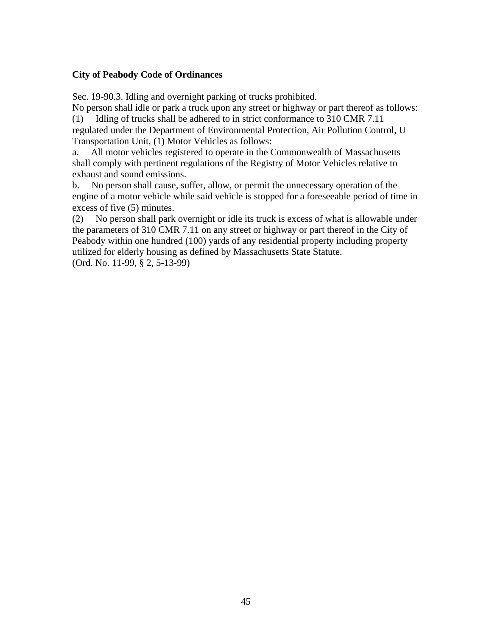### **City of Peabody Code of Ordinances**

Sec. 19-90.3. Idling and overnight parking of trucks prohibited.

No person shall idle or park a truck upon any street or highway or part thereof as follows: (1) Idling of trucks shall be adhered to in strict conformance to 310 CMR 7.11 regulated under the Department of Environmental Protection, Air Pollution Control, U

Transportation Unit, (1) Motor Vehicles as follows:

a. All motor vehicles registered to operate in the Commonwealth of Massachusetts shall comply with pertinent regulations of the Registry of Motor Vehicles relative to exhaust and sound emissions.

b. No person shall cause, suffer, allow, or permit the unnecessary operation of the engine of a motor vehicle while said vehicle is stopped for a foreseeable period of time in excess of five (5) minutes.

(2) No person shall park overnight or idle its truck is excess of what is allowable under the parameters of 310 CMR 7.11 on any street or highway or part thereof in the City of Peabody within one hundred (100) yards of any residential property including property utilized for elderly housing as defined by Massachusetts State Statute. (Ord. No. 11-99, § 2, 5-13-99)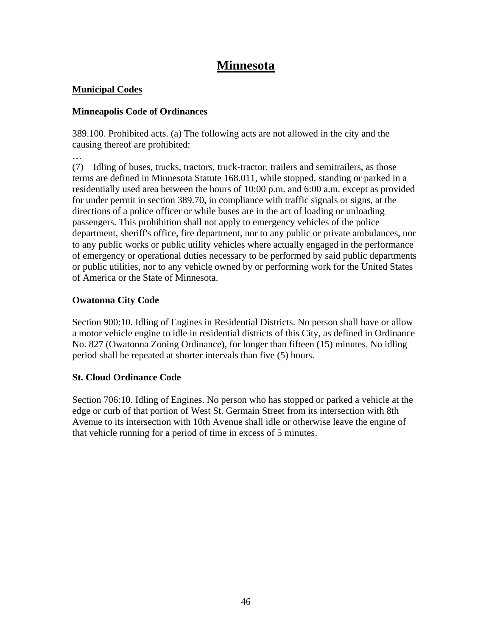# **Minnesota**

## **Municipal Codes**

…

## **Minneapolis Code of Ordinances**

389.100. Prohibited acts. (a) The following acts are not allowed in the city and the causing thereof are prohibited:

(7) Idling of buses, trucks, tractors, truck-tractor, trailers and semitrailers, as those terms are defined in Minnesota Statute 168.011, while stopped, standing or parked in a residentially used area between the hours of 10:00 p.m. and 6:00 a.m. except as provided for under permit in section 389.70, in compliance with traffic signals or signs, at the directions of a police officer or while buses are in the act of loading or unloading passengers. This prohibition shall not apply to emergency vehicles of the police department, sheriff's office, fire department, nor to any public or private ambulances, nor to any public works or public utility vehicles where actually engaged in the performance of emergency or operational duties necessary to be performed by said public departments or public utilities, nor to any vehicle owned by or performing work for the United States of America or the State of Minnesota.

## **Owatonna City Code**

Section 900:10. Idling of Engines in Residential Districts. No person shall have or allow a motor vehicle engine to idle in residential districts of this City, as defined in Ordinance No. 827 (Owatonna Zoning Ordinance), for longer than fifteen (15) minutes. No idling period shall be repeated at shorter intervals than five (5) hours.

## **St. Cloud Ordinance Code**

Section 706:10. Idling of Engines. No person who has stopped or parked a vehicle at the edge or curb of that portion of West St. Germain Street from its intersection with 8th Avenue to its intersection with 10th Avenue shall idle or otherwise leave the engine of that vehicle running for a period of time in excess of 5 minutes.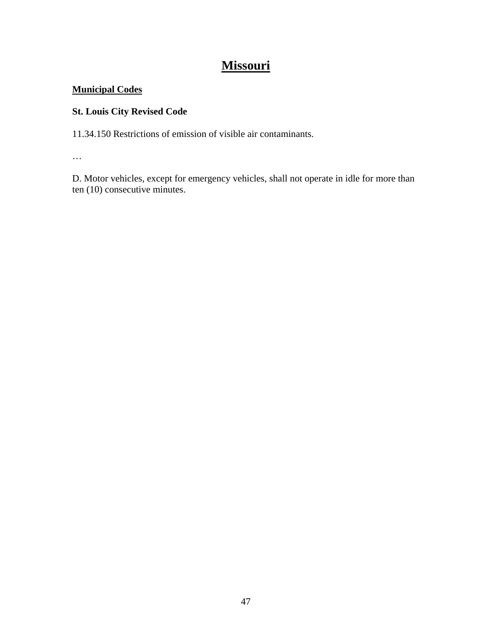# **Missouri**

## **Municipal Codes**

## **St. Louis City Revised Code**

11.34.150 Restrictions of emission of visible air contaminants.

…

D. Motor vehicles, except for emergency vehicles, shall not operate in idle for more than ten (10) consecutive minutes.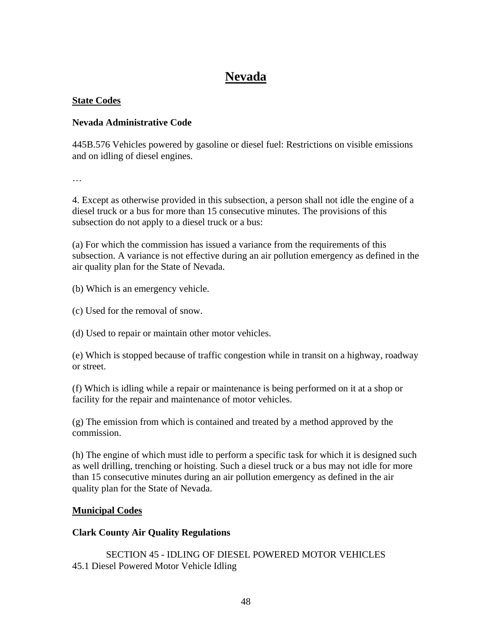## **Nevada**

## **State Codes**

## **Nevada Administrative Code**

445B.576 Vehicles powered by gasoline or diesel fuel: Restrictions on visible emissions and on idling of diesel engines.

…

4. Except as otherwise provided in this subsection, a person shall not idle the engine of a diesel truck or a bus for more than 15 consecutive minutes. The provisions of this subsection do not apply to a diesel truck or a bus:

(a) For which the commission has issued a variance from the requirements of this subsection. A variance is not effective during an air pollution emergency as defined in the air quality plan for the State of Nevada.

(b) Which is an emergency vehicle.

(c) Used for the removal of snow.

(d) Used to repair or maintain other motor vehicles.

(e) Which is stopped because of traffic congestion while in transit on a highway, roadway or street.

(f) Which is idling while a repair or maintenance is being performed on it at a shop or facility for the repair and maintenance of motor vehicles.

(g) The emission from which is contained and treated by a method approved by the commission.

(h) The engine of which must idle to perform a specific task for which it is designed such as well drilling, trenching or hoisting. Such a diesel truck or a bus may not idle for more than 15 consecutive minutes during an air pollution emergency as defined in the air quality plan for the State of Nevada.

## **Municipal Codes**

## **Clark County Air Quality Regulations**

SECTION 45 - IDLING OF DIESEL POWERED MOTOR VEHICLES 45.1 Diesel Powered Motor Vehicle Idling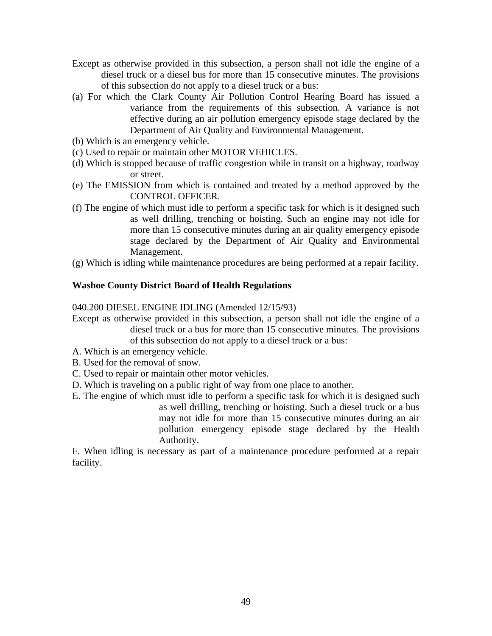- Except as otherwise provided in this subsection, a person shall not idle the engine of a diesel truck or a diesel bus for more than 15 consecutive minutes. The provisions of this subsection do not apply to a diesel truck or a bus:
- (a) For which the Clark County Air Pollution Control Hearing Board has issued a variance from the requirements of this subsection. A variance is not effective during an air pollution emergency episode stage declared by the Department of Air Quality and Environmental Management.
- (b) Which is an emergency vehicle.
- (c) Used to repair or maintain other MOTOR VEHICLES.
- (d) Which is stopped because of traffic congestion while in transit on a highway, roadway or street.
- (e) The EMISSION from which is contained and treated by a method approved by the CONTROL OFFICER.
- (f) The engine of which must idle to perform a specific task for which is it designed such as well drilling, trenching or hoisting. Such an engine may not idle for more than 15 consecutive minutes during an air quality emergency episode stage declared by the Department of Air Quality and Environmental Management.
- (g) Which is idling while maintenance procedures are being performed at a repair facility.

#### **Washoe County District Board of Health Regulations**

040.200 DIESEL ENGINE IDLING (Amended 12/15/93)

- Except as otherwise provided in this subsection, a person shall not idle the engine of a diesel truck or a bus for more than 15 consecutive minutes. The provisions of this subsection do not apply to a diesel truck or a bus:
- A. Which is an emergency vehicle.
- B. Used for the removal of snow.
- C. Used to repair or maintain other motor vehicles.
- D. Which is traveling on a public right of way from one place to another.
- E. The engine of which must idle to perform a specific task for which it is designed such

as well drilling, trenching or hoisting. Such a diesel truck or a bus may not idle for more than 15 consecutive minutes during an air pollution emergency episode stage declared by the Health Authority.

F. When idling is necessary as part of a maintenance procedure performed at a repair facility.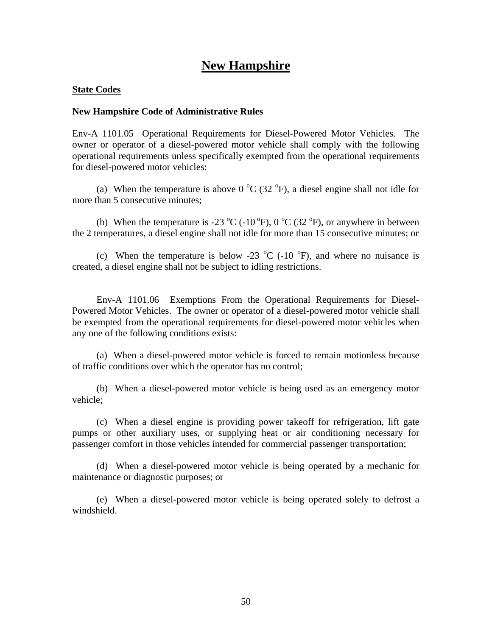## **New Hampshire**

#### **State Codes**

#### **New Hampshire Code of Administrative Rules**

Env-A 1101.05 Operational Requirements for Diesel-Powered Motor Vehicles. The owner or operator of a diesel-powered motor vehicle shall comply with the following operational requirements unless specifically exempted from the operational requirements for diesel-powered motor vehicles:

(a) When the temperature is above 0  $\rm{^oC}$  (32  $\rm{^oF}$ ), a diesel engine shall not idle for more than 5 consecutive minutes;

(b) When the temperature is -23  $\rm{^{\circ}C}$  (-10  $\rm{^{\circ}F}$ ), 0  $\rm{^{\circ}C}$  (32  $\rm{^{\circ}F}$ ), or anywhere in between the 2 temperatures, a diesel engine shall not idle for more than 15 consecutive minutes; or

(c) When the temperature is below -23  $^{\circ}$ C (-10  $^{\circ}$ F), and where no nuisance is created, a diesel engine shall not be subject to idling restrictions.

 Env-A 1101.06 Exemptions From the Operational Requirements for Diesel-Powered Motor Vehicles. The owner or operator of a diesel-powered motor vehicle shall be exempted from the operational requirements for diesel-powered motor vehicles when any one of the following conditions exists:

 (a) When a diesel-powered motor vehicle is forced to remain motionless because of traffic conditions over which the operator has no control;

 (b) When a diesel-powered motor vehicle is being used as an emergency motor vehicle;

 (c) When a diesel engine is providing power takeoff for refrigeration, lift gate pumps or other auxiliary uses, or supplying heat or air conditioning necessary for passenger comfort in those vehicles intended for commercial passenger transportation;

 (d) When a diesel-powered motor vehicle is being operated by a mechanic for maintenance or diagnostic purposes; or

 (e) When a diesel-powered motor vehicle is being operated solely to defrost a windshield.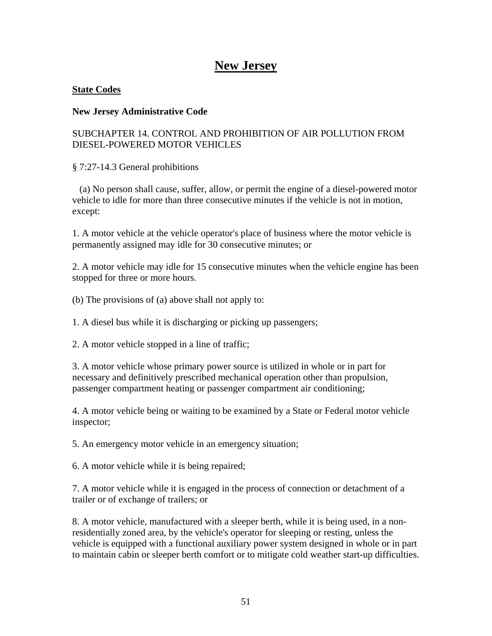## **New Jersey**

#### **State Codes**

#### **New Jersey Administrative Code**

## SUBCHAPTER 14. CONTROL AND PROHIBITION OF AIR POLLUTION FROM DIESEL-POWERED MOTOR VEHICLES

§ 7:27-14.3 General prohibitions

 (a) No person shall cause, suffer, allow, or permit the engine of a diesel-powered motor vehicle to idle for more than three consecutive minutes if the vehicle is not in motion, except:

1. A motor vehicle at the vehicle operator's place of business where the motor vehicle is permanently assigned may idle for 30 consecutive minutes; or

2. A motor vehicle may idle for 15 consecutive minutes when the vehicle engine has been stopped for three or more hours.

(b) The provisions of (a) above shall not apply to:

1. A diesel bus while it is discharging or picking up passengers;

2. A motor vehicle stopped in a line of traffic;

3. A motor vehicle whose primary power source is utilized in whole or in part for necessary and definitively prescribed mechanical operation other than propulsion, passenger compartment heating or passenger compartment air conditioning;

4. A motor vehicle being or waiting to be examined by a State or Federal motor vehicle inspector;

5. An emergency motor vehicle in an emergency situation;

6. A motor vehicle while it is being repaired;

7. A motor vehicle while it is engaged in the process of connection or detachment of a trailer or of exchange of trailers; or

8. A motor vehicle, manufactured with a sleeper berth, while it is being used, in a nonresidentially zoned area, by the vehicle's operator for sleeping or resting, unless the vehicle is equipped with a functional auxiliary power system designed in whole or in part to maintain cabin or sleeper berth comfort or to mitigate cold weather start-up difficulties.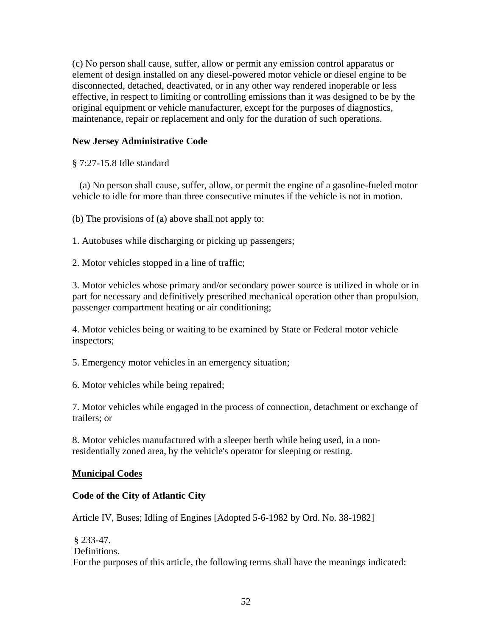(c) No person shall cause, suffer, allow or permit any emission control apparatus or element of design installed on any diesel-powered motor vehicle or diesel engine to be disconnected, detached, deactivated, or in any other way rendered inoperable or less effective, in respect to limiting or controlling emissions than it was designed to be by the original equipment or vehicle manufacturer, except for the purposes of diagnostics, maintenance, repair or replacement and only for the duration of such operations.

## **New Jersey Administrative Code**

§ 7:27-15.8 Idle standard

 (a) No person shall cause, suffer, allow, or permit the engine of a gasoline-fueled motor vehicle to idle for more than three consecutive minutes if the vehicle is not in motion.

(b) The provisions of (a) above shall not apply to:

1. Autobuses while discharging or picking up passengers;

2. Motor vehicles stopped in a line of traffic;

3. Motor vehicles whose primary and/or secondary power source is utilized in whole or in part for necessary and definitively prescribed mechanical operation other than propulsion, passenger compartment heating or air conditioning;

4. Motor vehicles being or waiting to be examined by State or Federal motor vehicle inspectors;

5. Emergency motor vehicles in an emergency situation;

6. Motor vehicles while being repaired;

7. Motor vehicles while engaged in the process of connection, detachment or exchange of trailers; or

8. Motor vehicles manufactured with a sleeper berth while being used, in a nonresidentially zoned area, by the vehicle's operator for sleeping or resting.

#### **Municipal Codes**

#### **Code of the City of Atlantic City**

Article IV, Buses; Idling of Engines [Adopted 5-6-1982 by Ord. No. 38-1982]

§ 233-47. D efinitions. For the purposes of this article, the following terms shall have the meanings indicated: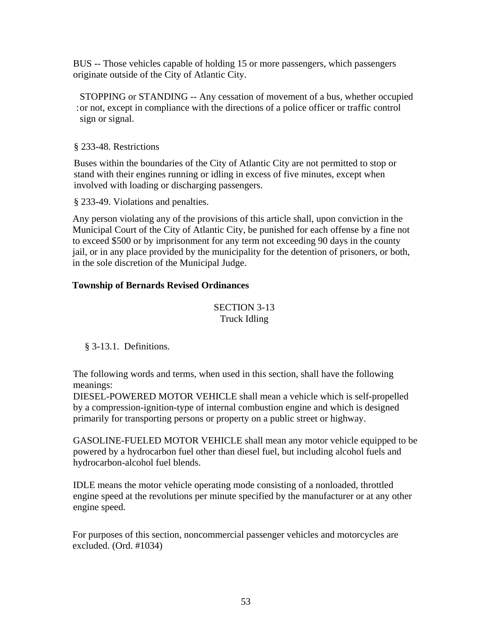BUS -- Those vehicles capable of holding 15 or more passengers, which passengers originate outside of the City of Atlantic City.

STOPPING or STANDING -- Any cessation of movement of a bus, whether occupied : or not, except in compliance with the directions of a police officer or traffic control sign or signal.

§ 233-48. Restrictions

s tand with their engines running or idling in excess of five minutes, except when Buses within the boundaries of the City of Atlantic City are not permitted to stop or involved with loading or discharging passengers.

§ 233-49. Violations and penalties.

Any person violating any of the provisions of this article shall, upon conviction in the Municipal Court of the City of Atlantic City, be punished for each offense by a fine not to exceed \$500 or by imprisonment for any term not exceeding 90 days in the county jail, or in any place provided by the municipality for the detention of prisoners, or both, in the sole discretion of the Municipal Judge.

### **Township of Bernards Revised Ordinances**

## SECTION 3-13 Truck Idling

## § 3-13.1. Definitions.

The following words and terms, when used in this section, shall have the following meanings:

DIESEL-POWERED MOTOR VEHICLE shall mean a vehicle which is self-propelled by a compression-ignition-type of internal combustion engine and which is designed primarily for transporting persons or property on a public street or highway.

GASOLINE-FUELED MOTOR VEHICLE shall mean any motor vehicle equipped to be powered by a hydrocarbon fuel other than diesel fuel, but including alcohol fuels and hydrocarbon-alcohol fuel blends.

IDLE means the motor vehicle operating mode consisting of a nonloaded, throttled engine speed at the revolutions per minute specified by the manufacturer or at any other engine speed.

For purposes of this section, noncommercial passenger vehicles and motorcycles are excluded. (Ord. #1034)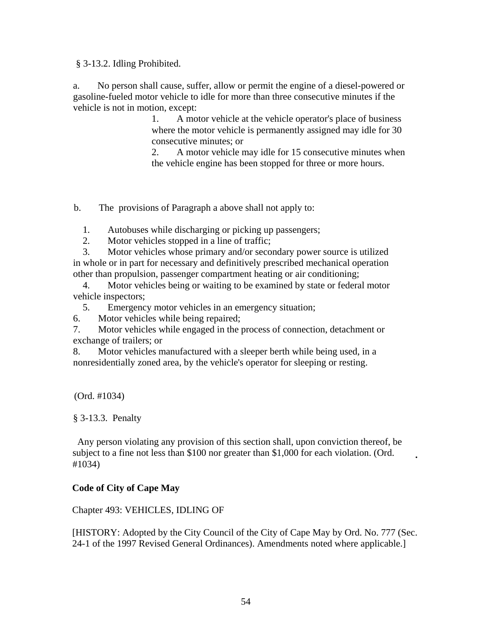§ 3-13.2. Idling Prohibited.

 a. No person shall cause, suffer, allow or permit the engine of a diesel-powered or gasoline-fueled motor vehicle to idle for more than three consecutive minutes if the vehicle is not in motion, except:

> 1. A motor vehicle at the vehicle operator's place of business where the motor vehicle is permanently assigned may idle for 30 consecutive minutes; or

2. A motor vehicle may idle for 15 consecutive minutes when the vehicle engine has been stopped for three or more hours.

b. The provisions of Paragraph a above shall not apply to:

1. Autobuses while discharging or picking up passengers;

2. Motor vehicles stopped in a line of traffic;

 3. Motor vehicles whose primary and/or secondary power source is utilized in whole or in part for necessary and definitively prescribed mechanical operation other than propulsion, passenger compartment heating or air conditioning;

 4. Motor vehicles being or waiting to be examined by state or federal motor vehicle inspectors;

5. Emergency motor vehicles in an emergency situation;

6. Motor vehicles while being repaired;

7. Motor vehicles while engaged in the process of connection, detachment or exchange of trailers; or

8. Motor vehicles manufactured with a sleeper berth while being used, in a nonresidentially zoned area, by the vehicle's operator for sleeping or resting.

(Ord. #1034)

§ 3-13.3. Penalty

 Any person violating any provision of this section shall, upon conviction thereof, be subject to a fine not less than \$100 nor greater than \$1,000 for each violation. (Ord. #1034) **.**

## **Code of City of Cape May**

Chapter 493: VEHICLES, IDLING OF

[HISTORY: Adopted by the City Council of the City of Cape May by Ord. No. 777 (Sec. 24-1 of the 1997 Revised General Ordinances). Amendments noted where applicable.]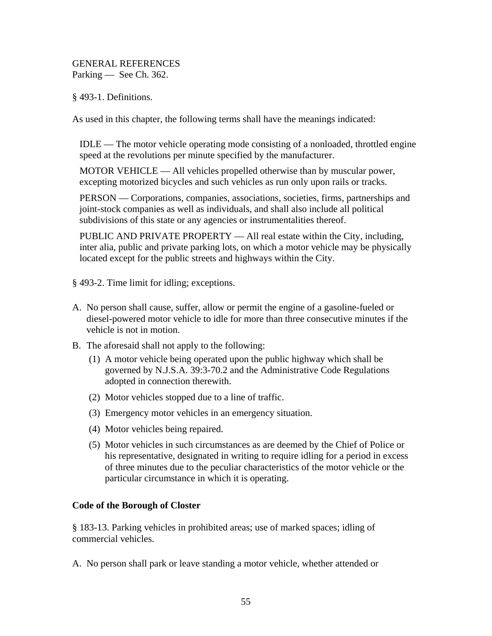GENERAL REFERENCES Parking — See Ch. 362.

§ 493-1. Definitions.

As used in this chapter, the following terms shall have the meanings indicated:

IDLE — The motor vehicle operating mode consisting of a nonloaded, throttled engine speed at the revolutions per minute specified by the manufacturer.

MOTOR VEHICLE — All vehicles propelled otherwise than by muscular power, excepting motorized bicycles and such vehicles as run only upon rails or tracks.

PERSON — Corporations, companies, associations, societies, firms, partnerships and joint-stock companies as well as individuals, and shall also include all political subdivisions of this state or any agencies or instrumentalities thereof.

PUBLIC AND PRIVATE PROPERTY — All real estate within the City, including, inter alia, public and private parking lots, on which a motor vehicle may be physically located except for the public streets and highways within the City.

§ 493-2. Time limit for idling; exceptions.

- A. No person shall cause, suffer, allow or permit the engine of a gasoline-fueled or diesel-powered motor vehicle to idle for more than three consecutive minutes if the vehicle is not in motion.
- B. The aforesaid shall not apply to the following:
	- (1) A motor vehicle being operated upon the public highway which shall be governed by N.J.S.A. 39:3-70.2 and the Administrative Code Regulations adopted in connection therewith.
	- (2) Motor vehicles stopped due to a line of traffic.
	- (3) Emergency motor vehicles in an emergency situation.
	- (4) Motor vehicles being repaired.
	- (5) Motor vehicles in such circumstances as are deemed by the Chief of Police or his representative, designated in writing to require idling for a period in excess of three minutes due to the peculiar characteristics of the motor vehicle or the particular circumstance in which it is operating.

## **Code of the Borough of Closter**

§ 183-13. Parking vehicles in prohibited areas; use of marked spaces; idling of commercial vehicles.

A. No person shall park or leave standing a motor vehicle, whether attended or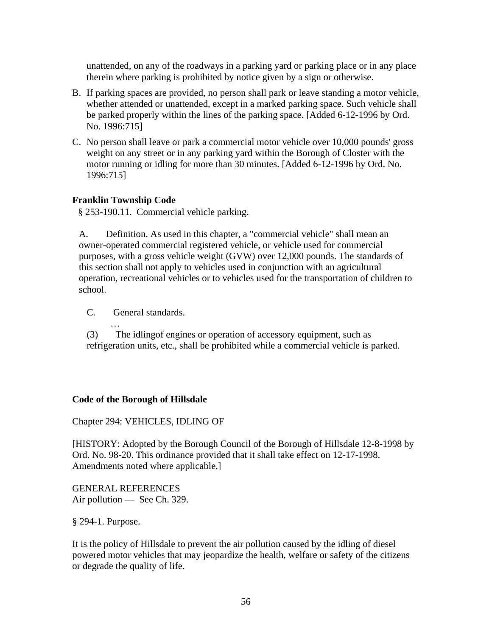unattended, on any of the roadways in a parking yard or parking place or in any place therein where parking is prohibited by notice given by a sign or otherwise.

- B. If parking spaces are provided, no person shall park or leave standing a motor vehicle, whether attended or unattended, except in a marked parking space. Such vehicle shall be parked properly within the lines of the parking space. [Added 6-12-1996 by Ord. No. 1996:715]
- C. No person shall leave or park a commercial motor vehicle over 10,000 pounds' gross weight on any street or in any parking yard within the Borough of Closter with the motor running or idling for more than 30 minutes. [Added 6-12-1996 by Ord. No. 1996:715]

#### **Franklin Township Code**

§ 253-190.11. Commercial vehicle parking.

A. Definition. As used in this chapter, a "commercial vehicle" shall mean an owner-operated commercial registered vehicle, or vehicle used for commercial purposes, with a gross vehicle weight (GVW) over 12,000 pounds. The standards of this section shall not apply to vehicles used in conjunction with an agricultural operation, recreational vehicles or to vehicles used for the transportation of children to school.

C. General standards.

…

(3) The idlingof engines or operation of accessory equipment, such as refrigeration units, etc., shall be prohibited while a commercial vehicle is parked.

#### **Code of the Borough of Hillsdale**

Chapter 294: VEHICLES, IDLING OF

[HISTORY: Adopted by the Borough Council of the Borough of Hillsdale 12-8-1998 by Ord. No. 98-20. This ordinance provided that it shall take effect on 12-17-1998. Amendments noted where applicable.]

GENERAL REFERENCES Air pollution — See Ch. 329.

§ 294-1. Purpose.

It is the policy of Hillsdale to prevent the air pollution caused by the idling of diesel powered motor vehicles that may jeopardize the health, welfare or safety of the citizens or degrade the quality of life.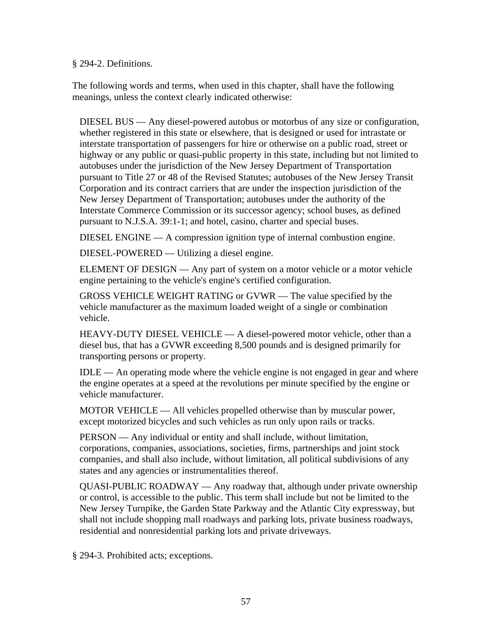§ 294-2. Definitions.

The following words and terms, when used in this chapter, shall have the following meanings, unless the context clearly indicated otherwise:

DIESEL BUS — Any diesel-powered autobus or motorbus of any size or configuration, whether registered in this state or elsewhere, that is designed or used for intrastate or interstate transportation of passengers for hire or otherwise on a public road, street or highway or any public or quasi-public property in this state, including but not limited to autobuses under the jurisdiction of the New Jersey Department of Transportation pursuant to Title 27 or 48 of the Revised Statutes; autobuses of the New Jersey Transit Corporation and its contract carriers that are under the inspection jurisdiction of the New Jersey Department of Transportation; autobuses under the authority of the Interstate Commerce Commission or its successor agency; school buses, as defined pursuant to N.J.S.A. 39:1-1; and hotel, casino, charter and special buses.

DIESEL ENGINE — A compression ignition type of internal combustion engine.

DIESEL-POWERED — Utilizing a diesel engine.

ELEMENT OF DESIGN — Any part of system on a motor vehicle or a motor vehicle engine pertaining to the vehicle's engine's certified configuration.

GROSS VEHICLE WEIGHT RATING or GVWR — The value specified by the vehicle manufacturer as the maximum loaded weight of a single or combination vehicle.

HEAVY-DUTY DIESEL VEHICLE — A diesel-powered motor vehicle, other than a diesel bus, that has a GVWR exceeding 8,500 pounds and is designed primarily for transporting persons or property.

IDLE — An operating mode where the vehicle engine is not engaged in gear and where the engine operates at a speed at the revolutions per minute specified by the engine or vehicle manufacturer.

MOTOR VEHICLE — All vehicles propelled otherwise than by muscular power, except motorized bicycles and such vehicles as run only upon rails or tracks.

PERSON — Any individual or entity and shall include, without limitation, corporations, companies, associations, societies, firms, partnerships and joint stock companies, and shall also include, without limitation, all political subdivisions of any states and any agencies or instrumentalities thereof.

QUASI-PUBLIC ROADWAY — Any roadway that, although under private ownership or control, is accessible to the public. This term shall include but not be limited to the New Jersey Turnpike, the Garden State Parkway and the Atlantic City expressway, but shall not include shopping mall roadways and parking lots, private business roadways, residential and nonresidential parking lots and private driveways.

§ 294-3. Prohibited acts; exceptions.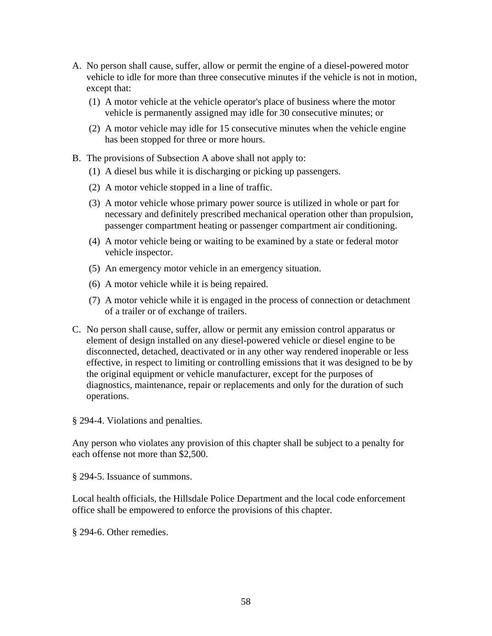- A. No person shall cause, suffer, allow or permit the engine of a diesel-powered motor vehicle to idle for more than three consecutive minutes if the vehicle is not in motion, except that:
	- (1) A motor vehicle at the vehicle operator's place of business where the motor vehicle is permanently assigned may idle for 30 consecutive minutes; or
	- (2) A motor vehicle may idle for 15 consecutive minutes when the vehicle engine has been stopped for three or more hours.
- B. The provisions of Subsection A above shall not apply to:
	- (1) A diesel bus while it is discharging or picking up passengers.
	- (2) A motor vehicle stopped in a line of traffic.
	- (3) A motor vehicle whose primary power source is utilized in whole or part for necessary and definitely prescribed mechanical operation other than propulsion, passenger compartment heating or passenger compartment air conditioning.
	- (4) A motor vehicle being or waiting to be examined by a state or federal motor vehicle inspector.
	- (5) An emergency motor vehicle in an emergency situation.
	- (6) A motor vehicle while it is being repaired.
	- (7) A motor vehicle while it is engaged in the process of connection or detachment of a trailer or of exchange of trailers.
- C. No person shall cause, suffer, allow or permit any emission control apparatus or element of design installed on any diesel-powered vehicle or diesel engine to be disconnected, detached, deactivated or in any other way rendered inoperable or less effective, in respect to limiting or controlling emissions that it was designed to be by the original equipment or vehicle manufacturer, except for the purposes of diagnostics, maintenance, repair or replacements and only for the duration of such operations.

§ 294-4. Violations and penalties.

Any person who violates any provision of this chapter shall be subject to a penalty for each offense not more than \$2,500.

§ 294-5. Issuance of summons.

Local health officials, the Hillsdale Police Department and the local code enforcement office shall be empowered to enforce the provisions of this chapter.

§ 294-6. Other remedies.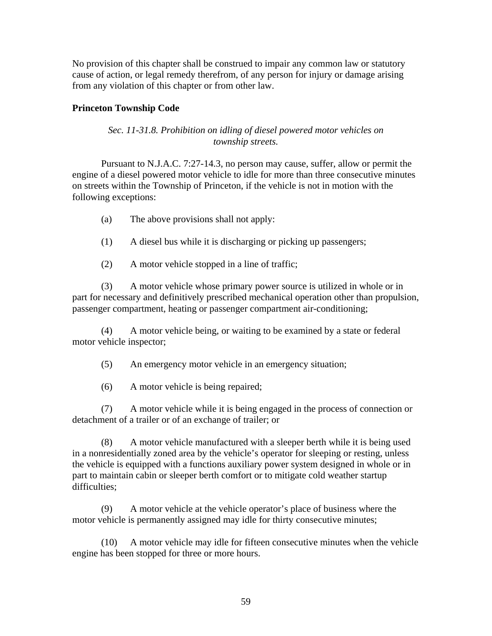No provision of this chapter shall be construed to impair any common law or statutory cause of action, or legal remedy therefrom, of any person for injury or damage arising from any violation of this chapter or from other law.

### **Princeton Township Code**

#### *Sec. 11-31.8. Prohibition on idling of diesel powered motor vehicles on township streets.*

 Pursuant to N.J.A.C. 7:27-14.3, no person may cause, suffer, allow or permit the engine of a diesel powered motor vehicle to idle for more than three consecutive minutes on streets within the Township of Princeton, if the vehicle is not in motion with the following exceptions:

- (a) The above provisions shall not apply:
- (1) A diesel bus while it is discharging or picking up passengers;
- (2) A motor vehicle stopped in a line of traffic;

 (3) A motor vehicle whose primary power source is utilized in whole or in part for necessary and definitively prescribed mechanical operation other than propulsion, passenger compartment, heating or passenger compartment air-conditioning;

 (4) A motor vehicle being, or waiting to be examined by a state or federal motor vehicle inspector;

- (5) An emergency motor vehicle in an emergency situation;
- (6) A motor vehicle is being repaired;

 (7) A motor vehicle while it is being engaged in the process of connection or detachment of a trailer or of an exchange of trailer; or

 (8) A motor vehicle manufactured with a sleeper berth while it is being used in a nonresidentially zoned area by the vehicle's operator for sleeping or resting, unless the vehicle is equipped with a functions auxiliary power system designed in whole or in part to maintain cabin or sleeper berth comfort or to mitigate cold weather startup difficulties;

 (9) A motor vehicle at the vehicle operator's place of business where the motor vehicle is permanently assigned may idle for thirty consecutive minutes;

 (10) A motor vehicle may idle for fifteen consecutive minutes when the vehicle engine has been stopped for three or more hours.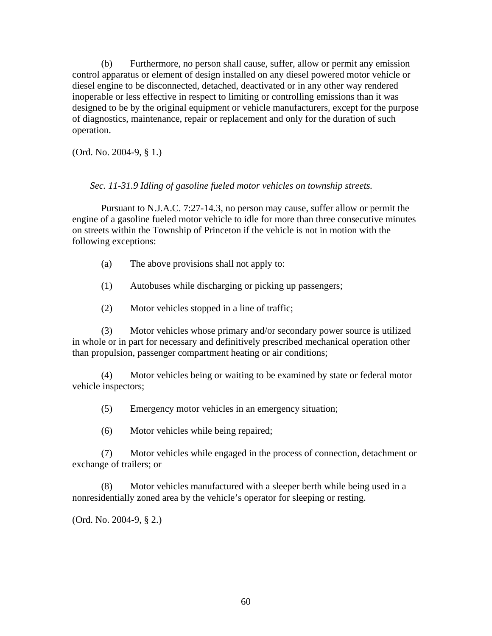(b) Furthermore, no person shall cause, suffer, allow or permit any emission control apparatus or element of design installed on any diesel powered motor vehicle or diesel engine to be disconnected, detached, deactivated or in any other way rendered inoperable or less effective in respect to limiting or controlling emissions than it was designed to be by the original equipment or vehicle manufacturers, except for the purpose of diagnostics, maintenance, repair or replacement and only for the duration of such operation.

(Ord. No. 2004-9, § 1.)

*Sec. 11-31.9 Idling of gasoline fueled motor vehicles on township streets.* 

 Pursuant to N.J.A.C. 7:27-14.3, no person may cause, suffer allow or permit the engine of a gasoline fueled motor vehicle to idle for more than three consecutive minutes on streets within the Township of Princeton if the vehicle is not in motion with the following exceptions:

- (a) The above provisions shall not apply to:
- (1) Autobuses while discharging or picking up passengers;
- (2) Motor vehicles stopped in a line of traffic;

 (3) Motor vehicles whose primary and/or secondary power source is utilized in whole or in part for necessary and definitively prescribed mechanical operation other than propulsion, passenger compartment heating or air conditions;

 (4) Motor vehicles being or waiting to be examined by state or federal motor vehicle inspectors;

(5) Emergency motor vehicles in an emergency situation;

(6) Motor vehicles while being repaired;

 (7) Motor vehicles while engaged in the process of connection, detachment or exchange of trailers; or

 (8) Motor vehicles manufactured with a sleeper berth while being used in a nonresidentially zoned area by the vehicle's operator for sleeping or resting.

(Ord. No. 2004-9, § 2.)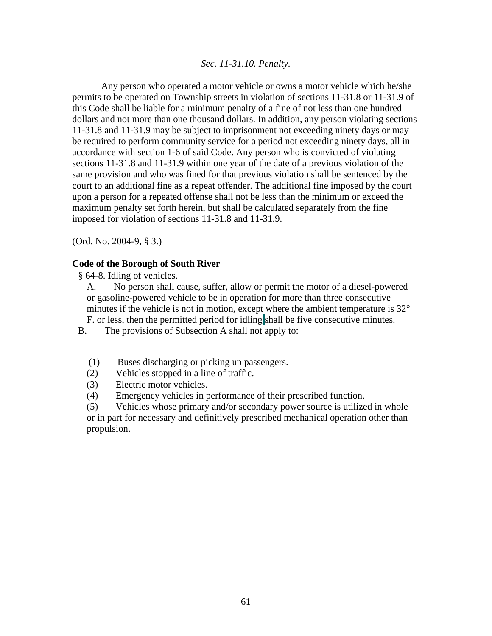#### *Sec. 11-31.10. Penalty.*

 Any person who operated a motor vehicle or owns a motor vehicle which he/she permits to be operated on Township streets in violation of sections 11-31.8 or 11-31.9 of this Code shall be liable for a minimum penalty of a fine of not less than one hundred dollars and not more than one thousand dollars. In addition, any person violating sections 11-31.8 and 11-31.9 may be subject to imprisonment not exceeding ninety days or may be required to perform community service for a period not exceeding ninety days, all in accordance with section 1-6 of said Code. Any person who is convicted of violating sections 11-31.8 and 11-31.9 within one year of the date of a previous violation of the same provision and who was fined for that previous violation shall be sentenced by the court to an additional fine as a repeat offender. The additional fine imposed by the court upon a person for a repeated offense shall not be less than the minimum or exceed the maximum penalty set forth herein, but shall be calculated separately from the fine imposed for violation of sections 11-31.8 and 11-31.9.

(Ord. No. 2004-9, § 3.)

#### **Code of the Borough of South River**

- § 64-8. Idling of vehicles.
	- A. No person shall cause, suffer, allow or permit the motor of a diesel-powered or gasoline-powered vehicle to be in operation for more than three consecutive minutes if the vehicle is not in motion, except where the ambient temperature is 32° F. or less, then the permitted period for idling shall be five consecutive minutes.
- B. The provisions of Subsection A shall not apply to:
	- (1) Buses discharging or picking up passengers.
	- (2) Vehicles stopped in a line of traffic.
	- (3) Electric motor vehicles.
	- (4) Emergency vehicles in performance of their prescribed function.

(5) Vehicles whose primary and/or secondary power source is utilized in whole or in part for necessary and definitively prescribed mechanical operation other than propulsion.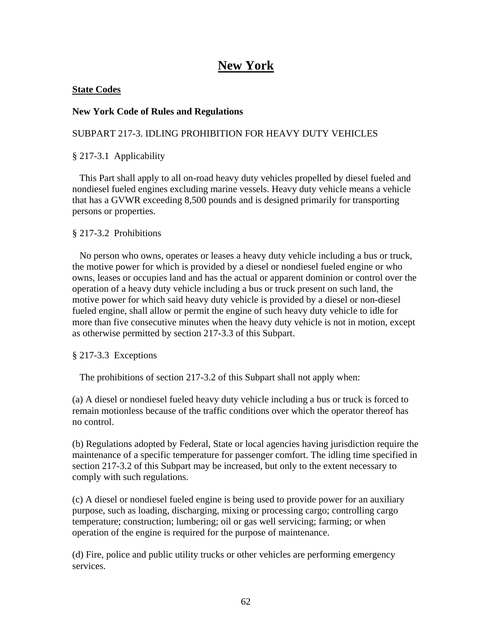# **New York**

### **State Codes**

### **New York Code of Rules and Regulations**

## SUBPART 217-3. IDLING PROHIBITION FOR HEAVY DUTY VEHICLES

### § 217-3.1 Applicability

 This Part shall apply to all on-road heavy duty vehicles propelled by diesel fueled and nondiesel fueled engines excluding marine vessels. Heavy duty vehicle means a vehicle that has a GVWR exceeding 8,500 pounds and is designed primarily for transporting persons or properties.

### § 217-3.2 Prohibitions

 No person who owns, operates or leases a heavy duty vehicle including a bus or truck, the motive power for which is provided by a diesel or nondiesel fueled engine or who owns, leases or occupies land and has the actual or apparent dominion or control over the operation of a heavy duty vehicle including a bus or truck present on such land, the motive power for which said heavy duty vehicle is provided by a diesel or non-diesel fueled engine, shall allow or permit the engine of such heavy duty vehicle to idle for more than five consecutive minutes when the heavy duty vehicle is not in motion, except as otherwise permitted by section 217-3.3 of this Subpart.

#### § 217-3.3 Exceptions

The prohibitions of section 217-3.2 of this Subpart shall not apply when:

(a) A diesel or nondiesel fueled heavy duty vehicle including a bus or truck is forced to remain motionless because of the traffic conditions over which the operator thereof has no control.

(b) Regulations adopted by Federal, State or local agencies having jurisdiction require the maintenance of a specific temperature for passenger comfort. The idling time specified in section 217-3.2 of this Subpart may be increased, but only to the extent necessary to comply with such regulations.

(c) A diesel or nondiesel fueled engine is being used to provide power for an auxiliary purpose, such as loading, discharging, mixing or processing cargo; controlling cargo temperature; construction; lumbering; oil or gas well servicing; farming; or when operation of the engine is required for the purpose of maintenance.

(d) Fire, police and public utility trucks or other vehicles are performing emergency services.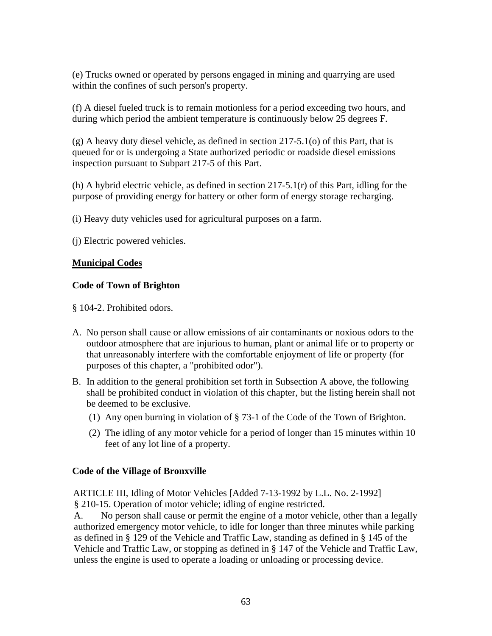(e) Trucks owned or operated by persons engaged in mining and quarrying are used within the confines of such person's property.

(f) A diesel fueled truck is to remain motionless for a period exceeding two hours, and during which period the ambient temperature is continuously below 25 degrees F.

(g) A heavy duty diesel vehicle, as defined in section 217-5.1(o) of this Part, that is queued for or is undergoing a State authorized periodic or roadside diesel emissions inspection pursuant to Subpart 217-5 of this Part.

(h) A hybrid electric vehicle, as defined in section  $217-5.1(r)$  of this Part, idling for the purpose of providing energy for battery or other form of energy storage recharging.

(i) Heavy duty vehicles used for agricultural purposes on a farm.

(j) Electric powered vehicles.

## **Municipal Codes**

## **Code of Town of Brighton**

§ 104-2. Prohibited odors.

- A. No person shall cause or allow emissions of air contaminants or noxious odors to the outdoor atmosphere that are injurious to human, plant or animal life or to property or that unreasonably interfere with the comfortable enjoyment of life or property (for purposes of this chapter, a "prohibited odor").
- B. In addition to the general prohibition set forth in Subsection A above, the following shall be prohibited conduct in violation of this chapter, but the listing herein shall not be deemed to be exclusive.
	- (1) Any open burning in violation of § 73-1 of the Code of the Town of Brighton.
	- (2) The idling of any motor vehicle for a period of longer than 15 minutes within 10 feet of any lot line of a property.

## **Code of the Village of Bronxville**

ARTICLE III, Idling of Motor Vehicles [Added 7-13-1992 by L.L. No. 2-1992] § 210-15. Operation of motor vehicle; idling of engine restricted.

a s defined in § 129 of the Vehicle and Traffic Law, standing as defined in § 145 of the A. No person shall cause or permit the engine of a motor vehicle, other than a legally authorized emergency motor vehicle, to idle for longer than three minutes while parking Vehicle and Traffic Law, or stopping as defined in § 147 of the Vehicle and Traffic Law, unless the engine is used to operate a loading or unloading or processing device.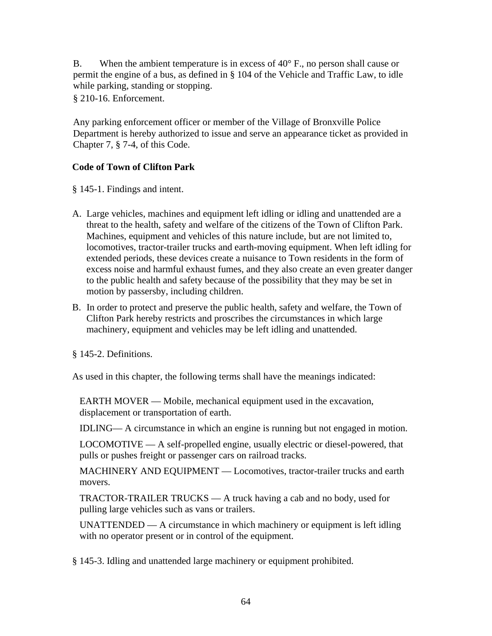B. When the ambient temperature is in excess of 40° F., no person shall cause or permit the engine of a bus, as defined in § 104 of the Vehicle and Traffic Law, to idle while parking, standing or stopping.

§ 210-16. Enforcement.

Any parking enforcement officer or member of the Village of Bronxville Police Department is hereby authorized to issue and serve an appearance ticket as provided in Chapter 7, § 7-4, of this Code.

## **Code of Town of Clifton Park**

§ 145-1. Findings and intent.

- A. Large vehicles, machines and equipment left idling or idling and unattended are a threat to the health, safety and welfare of the citizens of the Town of Clifton Park. Machines, equipment and vehicles of this nature include, but are not limited to, locomotives, tractor-trailer trucks and earth-moving equipment. When left idling for extended periods, these devices create a nuisance to Town residents in the form of excess noise and harmful exhaust fumes, and they also create an even greater danger to the public health and safety because of the possibility that they may be set in motion by passersby, including children.
- B. In order to protect and preserve the public health, safety and welfare, the Town of Clifton Park hereby restricts and proscribes the circumstances in which large machinery, equipment and vehicles may be left idling and unattended.

§ 145-2. Definitions.

As used in this chapter, the following terms shall have the meanings indicated:

EARTH MOVER — Mobile, mechanical equipment used in the excavation, displacement or transportation of earth.

IDLING— A circumstance in which an engine is running but not engaged in motion.

LOCOMOTIVE — A self-propelled engine, usually electric or diesel-powered, that pulls or pushes freight or passenger cars on railroad tracks.

MACHINERY AND EQUIPMENT — Locomotives, tractor-trailer trucks and earth movers.

TRACTOR-TRAILER TRUCKS — A truck having a cab and no body, used for pulling large vehicles such as vans or trailers.

UNATTENDED  $- A$  circumstance in which machinery or equipment is left idling with no operator present or in control of the equipment.

§ 145-3. Idling and unattended large machinery or equipment prohibited.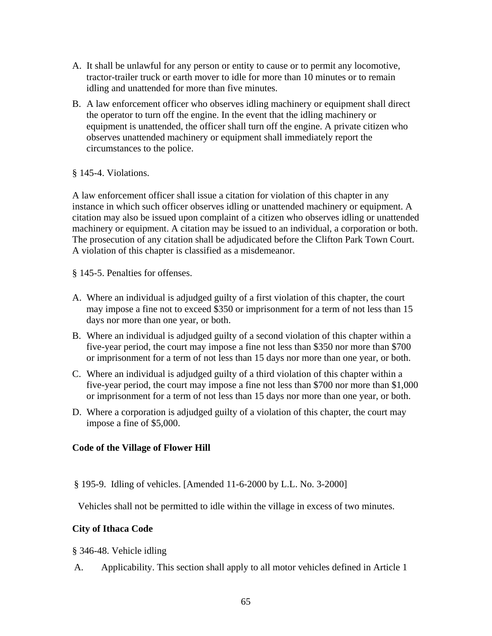- A. It shall be unlawful for any person or entity to cause or to permit any locomotive, tractor-trailer truck or earth mover to idle for more than 10 minutes or to remain idling and unattended for more than five minutes.
- B. A law enforcement officer who observes idling machinery or equipment shall direct the operator to turn off the engine. In the event that the idling machinery or equipment is unattended, the officer shall turn off the engine. A private citizen who observes unattended machinery or equipment shall immediately report the circumstances to the police.

#### § 145-4. Violations.

A law enforcement officer shall issue a citation for violation of this chapter in any instance in which such officer observes idling or unattended machinery or equipment. A citation may also be issued upon complaint of a citizen who observes idling or unattended machinery or equipment. A citation may be issued to an individual, a corporation or both. The prosecution of any citation shall be adjudicated before the Clifton Park Town Court. A violation of this chapter is classified as a misdemeanor.

§ 145-5. Penalties for offenses.

- A. Where an individual is adjudged guilty of a first violation of this chapter, the court may impose a fine not to exceed \$350 or imprisonment for a term of not less than 15 days nor more than one year, or both.
- B. Where an individual is adjudged guilty of a second violation of this chapter within a five-year period, the court may impose a fine not less than \$350 nor more than \$700 or imprisonment for a term of not less than 15 days nor more than one year, or both.
- C. Where an individual is adjudged guilty of a third violation of this chapter within a five-year period, the court may impose a fine not less than \$700 nor more than \$1,000 or imprisonment for a term of not less than 15 days nor more than one year, or both.
- D. Where a corporation is adjudged guilty of a violation of this chapter, the court may impose a fine of \$5,000.

#### **Code of the Village of Flower Hill**

§ 195-9. Idling of vehicles. [Amended 11-6-2000 by L.L. No. 3-2000]

Vehicles shall not be permitted to idle within the village in excess of two minutes.

#### **City of Ithaca Code**

§ 346-48. Vehicle idling

A. Applicability. This section shall apply to all motor vehicles defined in Article 1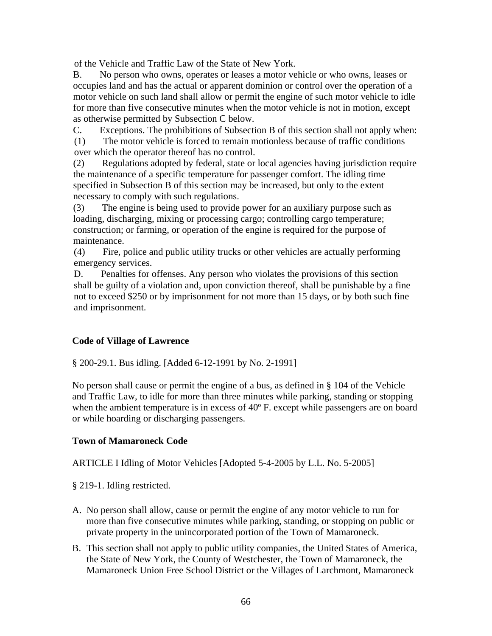of the Vehicle and Traffic Law of the State of New York.

B. No person who owns, operates or leases a motor vehicle or who owns, leases or occupies land and has the actual or apparent dominion or control over the operation of a motor vehicle on such land shall allow or permit the engine of such motor vehicle to idle for more than five consecutive minutes when the motor vehicle is not in motion, except as otherwise permitted by Subsection C below.

C. Exceptions. The prohibitions of Subsection B of this section shall not apply when:

(1) The motor vehicle is forced to remain motionless because of traffic conditions over which the operator thereof has no control.

(2) Regulations adopted by federal, state or local agencies having jurisdiction require the maintenance of a specific temperature for passenger comfort. The idling time specified in Subsection B of this section may be increased, but only to the extent necessary to comply with such regulations.

(3) The engine is being used to provide power for an auxiliary purpose such as loading, discharging, mixing or processing cargo; controlling cargo temperature; construction; or farming, or operation of the engine is required for the purpose of maintenance.

(4) Fire, police and public utility trucks or other vehicles are actually performing emergency services.

D. Penalties for offenses. Any person who violates the provisions of this section shall be guilty of a violation and, upon conviction thereof, shall be punishable by a fine not to exceed \$250 or by imprisonment for not more than 15 days, or by both such fine and imprisonment.

## **Code of Village of Lawrence**

§ 200-29.1. Bus idling. [Added 6-12-1991 by No. 2-1991]

No person shall cause or permit the engine of a bus, as defined in § 104 of the Vehicle and Traffic Law, to idle for more than three minutes while parking, standing or stopping when the ambient temperature is in excess of 40<sup>o</sup> F. except while passengers are on board or while hoarding or discharging passengers.

## **Town of Mamaroneck Code**

ARTICLE I Idling of Motor Vehicles [Adopted 5-4-2005 by L.L. No. 5-2005]

§ 219-1. Idling restricted.

- A. No person shall allow, cause or permit the engine of any motor vehicle to run for more than five consecutive minutes while parking, standing, or stopping on public or private property in the unincorporated portion of the Town of Mamaroneck.
- B. This section shall not apply to public utility companies, the United States of America, the State of New York, the County of Westchester, the Town of Mamaroneck, the Mamaroneck Union Free School District or the Villages of Larchmont, Mamaroneck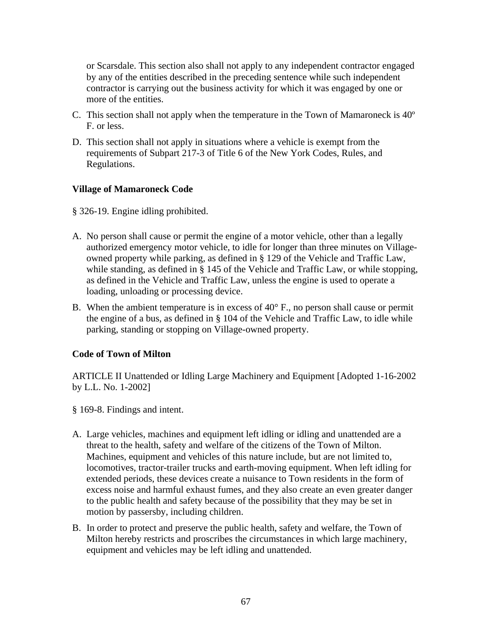or Scarsdale. This section also shall not apply to any independent contractor engaged by any of the entities described in the preceding sentence while such independent contractor is carrying out the business activity for which it was engaged by one or more of the entities.

- C. This section shall not apply when the temperature in the Town of Mamaroneck is 40º F. or less.
- D. This section shall not apply in situations where a vehicle is exempt from the requirements of Subpart 217-3 of Title 6 of the New York Codes, Rules, and Regulations.

#### **Village of Mamaroneck Code**

§ 326-19. Engine idling prohibited.

- A. No person shall cause or permit the engine of a motor vehicle, other than a legally authorized emergency motor vehicle, to idle for longer than three minutes on Villageowned property while parking, as defined in § 129 of the Vehicle and Traffic Law, while standing, as defined in § 145 of the Vehicle and Traffic Law, or while stopping, as defined in the Vehicle and Traffic Law, unless the engine is used to operate a loading, unloading or processing device.
- B. When the ambient temperature is in excess of  $40^{\circ}$  F., no person shall cause or permit the engine of a bus, as defined in § 104 of the Vehicle and Traffic Law, to idle while parking, standing or stopping on Village-owned property.

#### **Code of Town of Milton**

ARTICLE II Unattended or Idling Large Machinery and Equipment [Adopted 1-16-2002 by L.L. No. 1-2002]

- § 169-8. Findings and intent.
- A. Large vehicles, machines and equipment left idling or idling and unattended are a threat to the health, safety and welfare of the citizens of the Town of Milton. Machines, equipment and vehicles of this nature include, but are not limited to, locomotives, tractor-trailer trucks and earth-moving equipment. When left idling for extended periods, these devices create a nuisance to Town residents in the form of excess noise and harmful exhaust fumes, and they also create an even greater danger to the public health and safety because of the possibility that they may be set in motion by passersby, including children.
- B. In order to protect and preserve the public health, safety and welfare, the Town of Milton hereby restricts and proscribes the circumstances in which large machinery, equipment and vehicles may be left idling and unattended.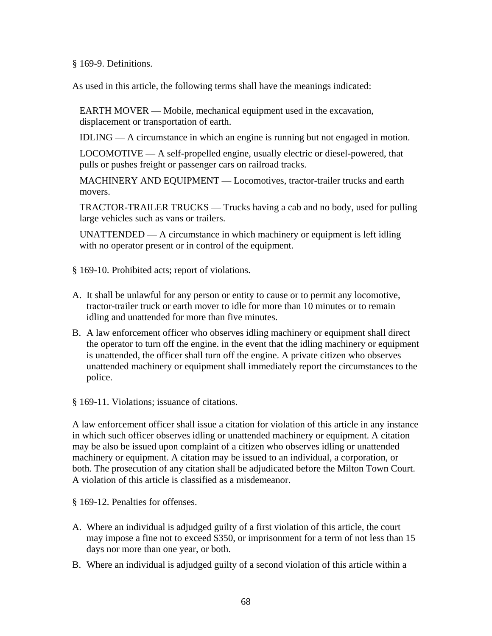§ 169-9. Definitions.

As used in this article, the following terms shall have the meanings indicated:

EARTH MOVER — Mobile, mechanical equipment used in the excavation, displacement or transportation of earth.

IDLING — A circumstance in which an engine is running but not engaged in motion.

LOCOMOTIVE — A self-propelled engine, usually electric or diesel-powered, that pulls or pushes freight or passenger cars on railroad tracks.

MACHINERY AND EQUIPMENT — Locomotives, tractor-trailer trucks and earth movers.

TRACTOR-TRAILER TRUCKS — Trucks having a cab and no body, used for pulling large vehicles such as vans or trailers.

UNATTENDED  $- A$  circumstance in which machinery or equipment is left idling with no operator present or in control of the equipment.

§ 169-10. Prohibited acts; report of violations.

- A. It shall be unlawful for any person or entity to cause or to permit any locomotive, tractor-trailer truck or earth mover to idle for more than 10 minutes or to remain idling and unattended for more than five minutes.
- B. A law enforcement officer who observes idling machinery or equipment shall direct the operator to turn off the engine. in the event that the idling machinery or equipment is unattended, the officer shall turn off the engine. A private citizen who observes unattended machinery or equipment shall immediately report the circumstances to the police.

§ 169-11. Violations; issuance of citations.

A law enforcement officer shall issue a citation for violation of this article in any instance in which such officer observes idling or unattended machinery or equipment. A citation may be also be issued upon complaint of a citizen who observes idling or unattended machinery or equipment. A citation may be issued to an individual, a corporation, or both. The prosecution of any citation shall be adjudicated before the Milton Town Court. A violation of this article is classified as a misdemeanor.

§ 169-12. Penalties for offenses.

- A. Where an individual is adjudged guilty of a first violation of this article, the court may impose a fine not to exceed \$350, or imprisonment for a term of not less than 15 days nor more than one year, or both.
- B. Where an individual is adjudged guilty of a second violation of this article within a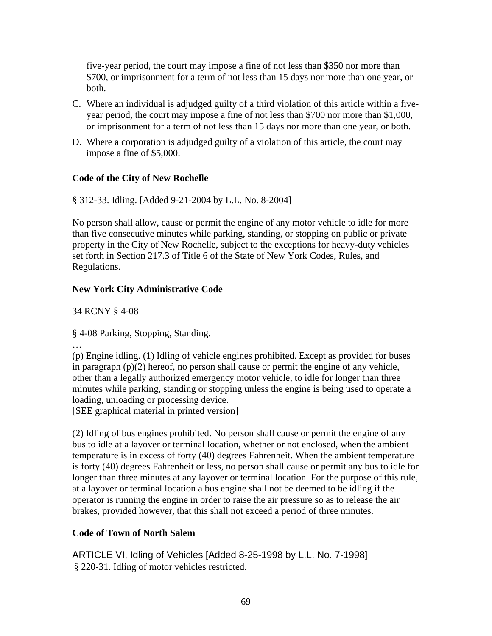five-year period, the court may impose a fine of not less than \$350 nor more than \$700, or imprisonment for a term of not less than 15 days nor more than one year, or both.

- C. Where an individual is adjudged guilty of a third violation of this article within a fiveyear period, the court may impose a fine of not less than \$700 nor more than \$1,000, or imprisonment for a term of not less than 15 days nor more than one year, or both.
- D. Where a corporation is adjudged guilty of a violation of this article, the court may impose a fine of \$5,000.

### **Code of the City of New Rochelle**

§ 312-33. Idling. [Added 9-21-2004 by L.L. No. 8-2004]

No person shall allow, cause or permit the engine of any motor vehicle to idle for more than five consecutive minutes while parking, standing, or stopping on public or private property in the City of New Rochelle, subject to the exceptions for heavy-duty vehicles set forth in Section 217.3 of Title 6 of the State of New York Codes, Rules, and Regulations.

### **New York City Administrative Code**

34 RCNY § 4-08

§ 4-08 Parking, Stopping, Standing.

…

(p) Engine idling. (1) Idling of vehicle engines prohibited. Except as provided for buses in paragraph (p)(2) hereof, no person shall cause or permit the engine of any vehicle, other than a legally authorized emergency motor vehicle, to idle for longer than three minutes while parking, standing or stopping unless the engine is being used to operate a loading, unloading or processing device.

[SEE graphical material in printed version]

(2) Idling of bus engines prohibited. No person shall cause or permit the engine of any bus to idle at a layover or terminal location, whether or not enclosed, when the ambient temperature is in excess of forty (40) degrees Fahrenheit. When the ambient temperature is forty (40) degrees Fahrenheit or less, no person shall cause or permit any bus to idle for longer than three minutes at any layover or terminal location. For the purpose of this rule, at a layover or terminal location a bus engine shall not be deemed to be idling if the operator is running the engine in order to raise the air pressure so as to release the air brakes, provided however, that this shall not exceed a period of three minutes.

### **Code of Town of North Salem**

ARTICLE VI, Idling of Vehicles [Added 8-25-1998 by L.L. No. 7-1998] § 220-31. Idling of motor vehicles restricted.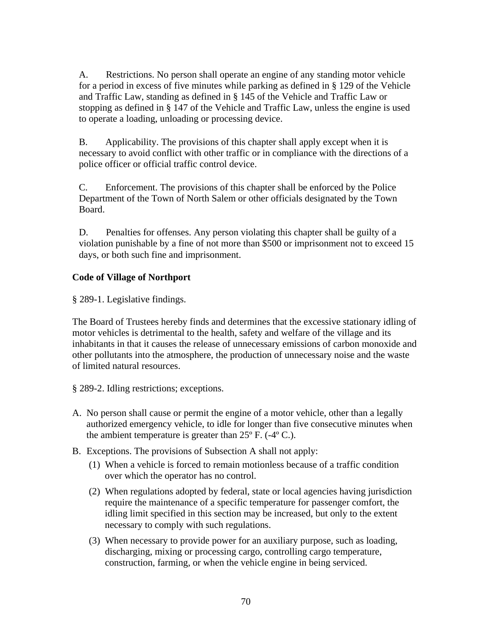A. Restrictions. No person shall operate an engine of any standing motor vehicle for a period in excess of five minutes while parking as defined in § 129 of the Vehicle and Traffic Law, standing as defined in § 145 of the Vehicle and Traffic Law or stopping as defined in § 147 of the Vehicle and Traffic Law, unless the engine is used to operate a loading, unloading or processing device.

B. Applicability. The provisions of this chapter shall apply except when it is necessary to avoid conflict with other traffic or in compliance with the directions of a police officer or official traffic control device.

C. Enforcement. The provisions of this chapter shall be enforced by the Police Department of the Town of North Salem or other officials designated by the Town Board.

D. Penalties for offenses. Any person violating this chapter shall be guilty of a violation punishable by a fine of not more than \$500 or imprisonment not to exceed 15 days, or both such fine and imprisonment.

### **Code of Village of Northport**

§ 289-1. Legislative findings.

The Board of Trustees hereby finds and determines that the excessive stationary idling of motor vehicles is detrimental to the health, safety and welfare of the village and its inhabitants in that it causes the release of unnecessary emissions of carbon monoxide and other pollutants into the atmosphere, the production of unnecessary noise and the waste of limited natural resources.

§ 289-2. Idling restrictions; exceptions.

- A. No person shall cause or permit the engine of a motor vehicle, other than a legally authorized emergency vehicle, to idle for longer than five consecutive minutes when the ambient temperature is greater than  $25^{\circ}$  F. (-4 $^{\circ}$  C.).
- B. Exceptions. The provisions of Subsection A shall not apply:
	- (1) When a vehicle is forced to remain motionless because of a traffic condition over which the operator has no control.
	- (2) When regulations adopted by federal, state or local agencies having jurisdiction require the maintenance of a specific temperature for passenger comfort, the idling limit specified in this section may be increased, but only to the extent necessary to comply with such regulations.
	- (3) When necessary to provide power for an auxiliary purpose, such as loading, discharging, mixing or processing cargo, controlling cargo temperature, construction, farming, or when the vehicle engine in being serviced.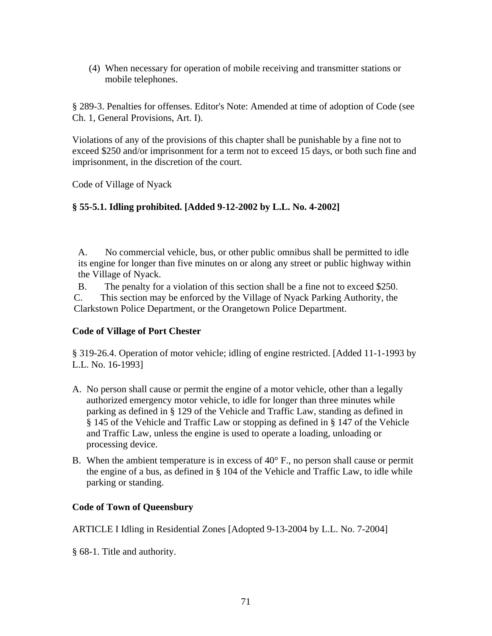(4) When necessary for operation of mobile receiving and transmitter stations or mobile telephones.

§ 289-3. Penalties for offenses. Editor's Note: Amended at time of adoption of Code (see Ch. 1, General Provisions, Art. I).

Violations of any of the provisions of this chapter shall be punishable by a fine not to exceed \$250 and/or imprisonment for a term not to exceed 15 days, or both such fine and imprisonment, in the discretion of the court.

Code of Village of Nyack

### **§ 55-5.1. Idling prohibited. [Added 9-12-2002 by L.L. No. 4-2002]**

A. No commercial vehicle, bus, or other public omnibus shall be permitted to idle its engine for longer than five minutes on or along any street or public highway within the Village of Nyack.

B. The penalty for a violation of this section shall be a fine not to exceed \$250.

C. This section may be enforced by the Village of Nyack Parking Authority, the Clarkstown Police Department, or the Orangetown Police Department.

### **Code of Village of Port Chester**

§ 319-26.4. Operation of motor vehicle; idling of engine restricted. [Added 11-1-1993 by L.L. No. 16-1993]

- A. No person shall cause or permit the engine of a motor vehicle, other than a legally authorized emergency motor vehicle, to idle for longer than three minutes while parking as defined in § 129 of the Vehicle and Traffic Law, standing as defined in § 145 of the Vehicle and Traffic Law or stopping as defined in § 147 of the Vehicle and Traffic Law, unless the engine is used to operate a loading, unloading or processing device.
- B. When the ambient temperature is in excess of  $40^{\circ}$  F., no person shall cause or permit the engine of a bus, as defined in § 104 of the Vehicle and Traffic Law, to idle while parking or standing.

### **Code of Town of Queensbury**

ARTICLE I Idling in Residential Zones [Adopted 9-13-2004 by L.L. No. 7-2004]

§ 68-1. Title and authority.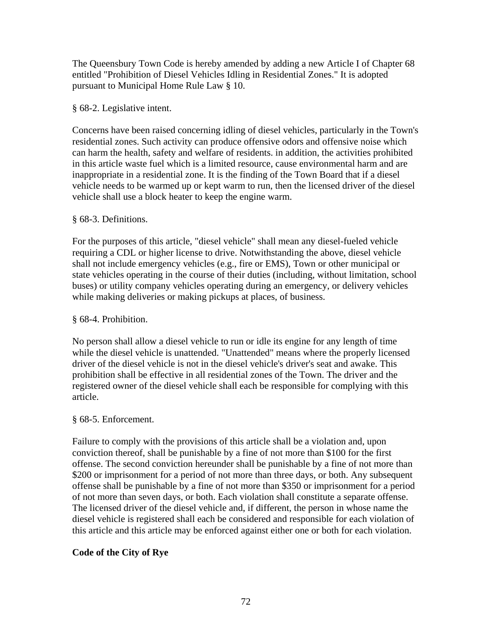The Queensbury Town Code is hereby amended by adding a new Article I of Chapter 68 entitled "Prohibition of Diesel Vehicles Idling in Residential Zones." It is adopted pursuant to Municipal Home Rule Law § 10.

### § 68-2. Legislative intent.

Concerns have been raised concerning idling of diesel vehicles, particularly in the Town's residential zones. Such activity can produce offensive odors and offensive noise which can harm the health, safety and welfare of residents. in addition, the activities prohibited in this article waste fuel which is a limited resource, cause environmental harm and are inappropriate in a residential zone. It is the finding of the Town Board that if a diesel vehicle needs to be warmed up or kept warm to run, then the licensed driver of the diesel vehicle shall use a block heater to keep the engine warm.

### § 68-3. Definitions.

For the purposes of this article, "diesel vehicle" shall mean any diesel-fueled vehicle requiring a CDL or higher license to drive. Notwithstanding the above, diesel vehicle shall not include emergency vehicles (e.g., fire or EMS), Town or other municipal or state vehicles operating in the course of their duties (including, without limitation, school buses) or utility company vehicles operating during an emergency, or delivery vehicles while making deliveries or making pickups at places, of business.

### § 68-4. Prohibition.

No person shall allow a diesel vehicle to run or idle its engine for any length of time while the diesel vehicle is unattended. "Unattended" means where the properly licensed driver of the diesel vehicle is not in the diesel vehicle's driver's seat and awake. This prohibition shall be effective in all residential zones of the Town. The driver and the registered owner of the diesel vehicle shall each be responsible for complying with this article.

#### § 68-5. Enforcement.

Failure to comply with the provisions of this article shall be a violation and, upon conviction thereof, shall be punishable by a fine of not more than \$100 for the first offense. The second conviction hereunder shall be punishable by a fine of not more than \$200 or imprisonment for a period of not more than three days, or both. Any subsequent offense shall be punishable by a fine of not more than \$350 or imprisonment for a period of not more than seven days, or both. Each violation shall constitute a separate offense. The licensed driver of the diesel vehicle and, if different, the person in whose name the diesel vehicle is registered shall each be considered and responsible for each violation of this article and this article may be enforced against either one or both for each violation.

### **Code of the City of Rye**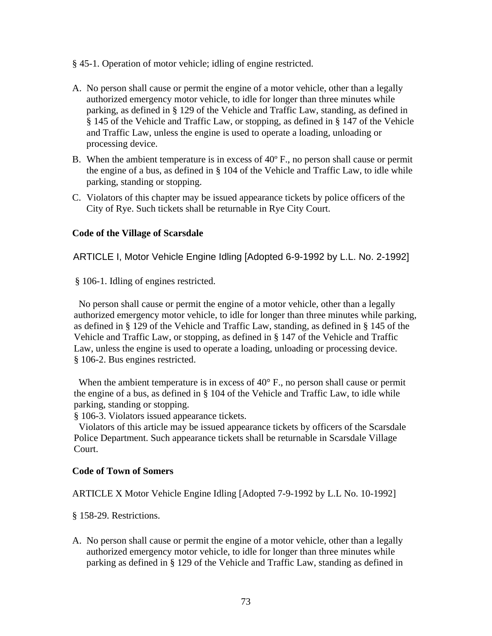- § 45-1. Operation of motor vehicle; idling of engine restricted.
- A. No person shall cause or permit the engine of a motor vehicle, other than a legally authorized emergency motor vehicle, to idle for longer than three minutes while parking, as defined in § 129 of the Vehicle and Traffic Law, standing, as defined in § 145 of the Vehicle and Traffic Law, or stopping, as defined in § 147 of the Vehicle and Traffic Law, unless the engine is used to operate a loading, unloading or processing device.
- B. When the ambient temperature is in excess of 40º F., no person shall cause or permit the engine of a bus, as defined in § 104 of the Vehicle and Traffic Law, to idle while parking, standing or stopping.
- C. Violators of this chapter may be issued appearance tickets by police officers of the City of Rye. Such tickets shall be returnable in Rye City Court.

### **Code of the Village of Scarsdale**

ARTICLE I, Motor Vehicle Engine Idling [Adopted 6-9-1992 by L.L. No. 2-1992]

§ 106-1. Idling of engines restricted.

 No person shall cause or permit the engine of a motor vehicle, other than a legally authorized emergency motor vehicle, to idle for longer than three minutes while parking, as defined in § 129 of the Vehicle and Traffic Law, standing, as defined in § 145 of the Vehicle and Traffic Law, or stopping, as defined in § 147 of the Vehicle and Traffic Law, unless the engine is used to operate a loading, unloading or processing device. § 106-2. Bus engines restricted.

When the ambient temperature is in excess of 40° F., no person shall cause or permit the engine of a bus, as defined in § 104 of the Vehicle and Traffic Law, to idle while parking, standing or stopping.

§ 106-3. Violators issued appearance tickets.

 Violators of this article may be issued appearance tickets by officers of the Scarsdale Police Department. Such appearance tickets shall be returnable in Scarsdale Village Court.

#### **Code of Town of Somers**

ARTICLE X Motor Vehicle Engine Idling [Adopted 7-9-1992 by L.L No. 10-1992]

§ 158-29. Restrictions.

A. No person shall cause or permit the engine of a motor vehicle, other than a legally authorized emergency motor vehicle, to idle for longer than three minutes while parking as defined in § 129 of the Vehicle and Traffic Law, standing as defined in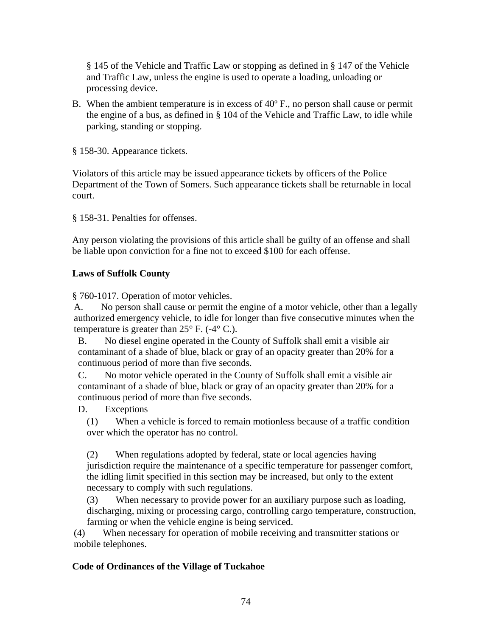§ 145 of the Vehicle and Traffic Law or stopping as defined in § 147 of the Vehicle and Traffic Law, unless the engine is used to operate a loading, unloading or processing device.

B. When the ambient temperature is in excess of 40º F., no person shall cause or permit the engine of a bus, as defined in § 104 of the Vehicle and Traffic Law, to idle while parking, standing or stopping.

§ 158-30. Appearance tickets.

Violators of this article may be issued appearance tickets by officers of the Police Department of the Town of Somers. Such appearance tickets shall be returnable in local court.

§ 158-31. Penalties for offenses.

Any person violating the provisions of this article shall be guilty of an offense and shall be liable upon conviction for a fine not to exceed \$100 for each offense.

#### **Laws of Suffolk County**

§ 760-1017. Operation of motor vehicles.

A. No person shall cause or permit the engine of a motor vehicle, other than a legally authorized emergency vehicle, to idle for longer than five consecutive minutes when the temperature is greater than  $25^{\circ}$  F. (-4 $^{\circ}$  C.).

B. No diesel engine operated in the County of Suffolk shall emit a visible air contaminant of a shade of blue, black or gray of an opacity greater than 20% for a continuous period of more than five seconds.

C. No motor vehicle operated in the County of Suffolk shall emit a visible air contaminant of a shade of blue, black or gray of an opacity greater than 20% for a continuous period of more than five seconds.

D. Exceptions

(1) When a vehicle is forced to remain motionless because of a traffic condition over which the operator has no control.

(2) When regulations adopted by federal, state or local agencies having jurisdiction require the maintenance of a specific temperature for passenger comfort, the idling limit specified in this section may be increased, but only to the extent necessary to comply with such regulations.

(3) When necessary to provide power for an auxiliary purpose such as loading, discharging, mixing or processing cargo, controlling cargo temperature, construction, farming or when the vehicle engine is being serviced.

(4) When necessary for operation of mobile receiving and transmitter stations or mobile telephones.

#### **Code of Ordinances of the Village of Tuckahoe**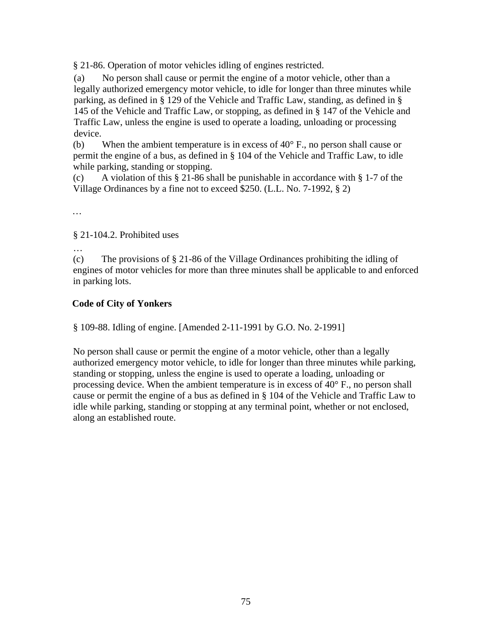§ 21-86. Operation of motor vehicles idling of engines restricted.

(a) No person shall cause or permit the engine of a motor vehicle, other than a legally authorized emergency motor vehicle, to idle for longer than three minutes while parking, as defined in § 129 of the Vehicle and Traffic Law, standing, as defined in § 145 of the Vehicle and Traffic Law, or stopping, as defined in § 147 of the Vehicle and Traffic Law, unless the engine is used to operate a loading, unloading or processing device.

(b) When the ambient temperature is in excess of  $40^{\circ}$  F., no person shall cause or permit the engine of a bus, as defined in § 104 of the Vehicle and Traffic Law, to idle while parking, standing or stopping.

(c) A violation of this § 21-86 shall be punishable in accordance with § 1-7 of the Village Ordinances by a fine not to exceed \$250. (L.L. No. 7-1992, § 2)

…

…

§ 21-104.2. Prohibited uses

(c) The provisions of § 21-86 of the Village Ordinances prohibiting the idling of engines of motor vehicles for more than three minutes shall be applicable to and enforced in parking lots.

### **Code of City of Yonkers**

§ 109-88. Idling of engine. [Amended 2-11-1991 by G.O. No. 2-1991]

No person shall cause or permit the engine of a motor vehicle, other than a legally authorized emergency motor vehicle, to idle for longer than three minutes while parking, standing or stopping, unless the engine is used to operate a loading, unloading or processing device. When the ambient temperature is in excess of 40° F., no person shall cause or permit the engine of a bus as defined in § 104 of the Vehicle and Traffic Law to idle while parking, standing or stopping at any terminal point, whether or not enclosed, along an established route.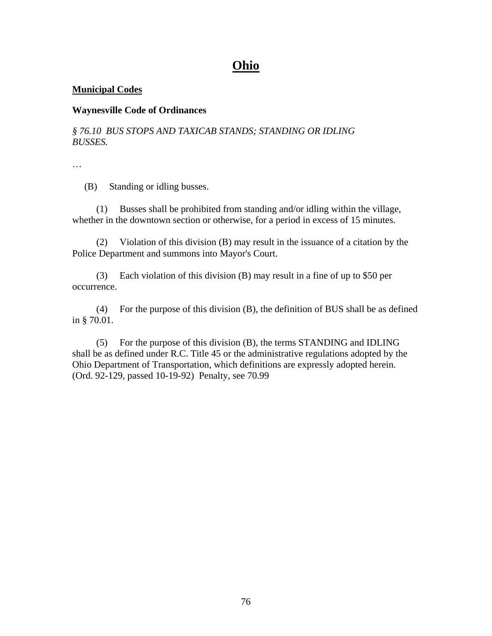## **Ohio**

### **Municipal Codes**

#### **Waynesville Code of Ordinances**

*§ 76.10 BUS STOPS AND TAXICAB STANDS; STANDING OR IDLING BUSSES.* 

…

(B) Standing or idling busses.

 (1) Busses shall be prohibited from standing and/or idling within the village, whether in the downtown section or otherwise, for a period in excess of 15 minutes.

 (2) Violation of this division (B) may result in the issuance of a citation by the Police Department and summons into Mayor's Court.

 (3) Each violation of this division (B) may result in a fine of up to \$50 per occurrence.

 (4) For the purpose of this division (B), the definition of BUS shall be as defined in § 70.01.

 (5) For the purpose of this division (B), the terms STANDING and IDLING shall be as defined under R.C. Title 45 or the administrative regulations adopted by the Ohio Department of Transportation, which definitions are expressly adopted herein. (Ord. 92-129, passed 10-19-92) Penalty, see 70.99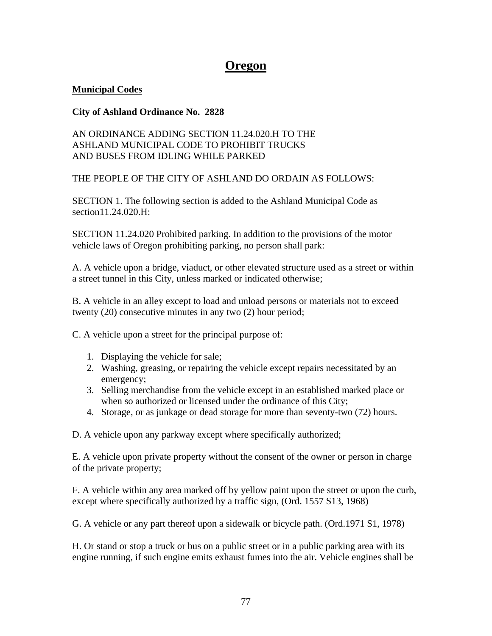## **Oregon**

### **Municipal Codes**

### **City of Ashland Ordinance No. 2828**

### AN ORDINANCE ADDING SECTION 11.24.020.H TO THE ASHLAND MUNICIPAL CODE TO PROHIBIT TRUCKS AND BUSES FROM IDLING WHILE PARKED

### THE PEOPLE OF THE CITY OF ASHLAND DO ORDAIN AS FOLLOWS:

SECTION 1. The following section is added to the Ashland Municipal Code as section11.24.020.H:

SECTION 11.24.020 Prohibited parking. In addition to the provisions of the motor vehicle laws of Oregon prohibiting parking, no person shall park:

A. A vehicle upon a bridge, viaduct, or other elevated structure used as a street or within a street tunnel in this City, unless marked or indicated otherwise;

B. A vehicle in an alley except to load and unload persons or materials not to exceed twenty (20) consecutive minutes in any two (2) hour period;

C. A vehicle upon a street for the principal purpose of:

- 1. Displaying the vehicle for sale;
- 2. Washing, greasing, or repairing the vehicle except repairs necessitated by an emergency;
- 3. Selling merchandise from the vehicle except in an established marked place or when so authorized or licensed under the ordinance of this City;
- 4. Storage, or as junkage or dead storage for more than seventy-two (72) hours.

D. A vehicle upon any parkway except where specifically authorized;

E. A vehicle upon private property without the consent of the owner or person in charge of the private property;

F. A vehicle within any area marked off by yellow paint upon the street or upon the curb, except where specifically authorized by a traffic sign, (Ord. 1557 S13, 1968)

G. A vehicle or any part thereof upon a sidewalk or bicycle path. (Ord.1971 S1, 1978)

H. Or stand or stop a truck or bus on a public street or in a public parking area with its engine running, if such engine emits exhaust fumes into the air. Vehicle engines shall be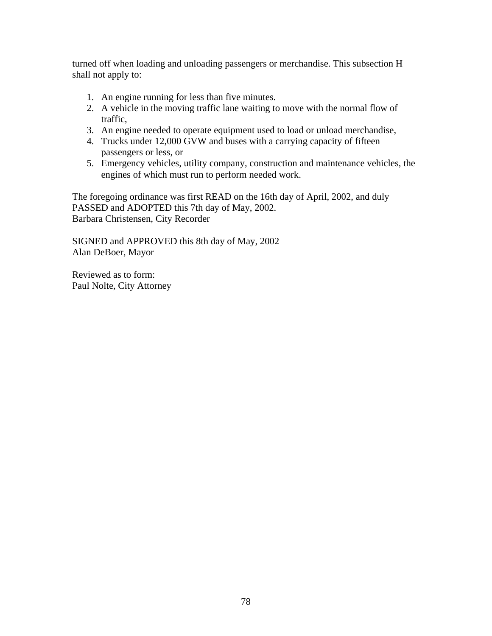turned off when loading and unloading passengers or merchandise. This subsection H shall not apply to:

- 1. An engine running for less than five minutes.
- 2. A vehicle in the moving traffic lane waiting to move with the normal flow of traffic,
- 3. An engine needed to operate equipment used to load or unload merchandise,
- 4. Trucks under 12,000 GVW and buses with a carrying capacity of fifteen passengers or less, or
- 5. Emergency vehicles, utility company, construction and maintenance vehicles, the engines of which must run to perform needed work.

The foregoing ordinance was first READ on the 16th day of April, 2002, and duly PASSED and ADOPTED this 7th day of May, 2002. Barbara Christensen, City Recorder

SIGNED and APPROVED this 8th day of May, 2002 Alan DeBoer, Mayor

Reviewed as to form: Paul Nolte, City Attorney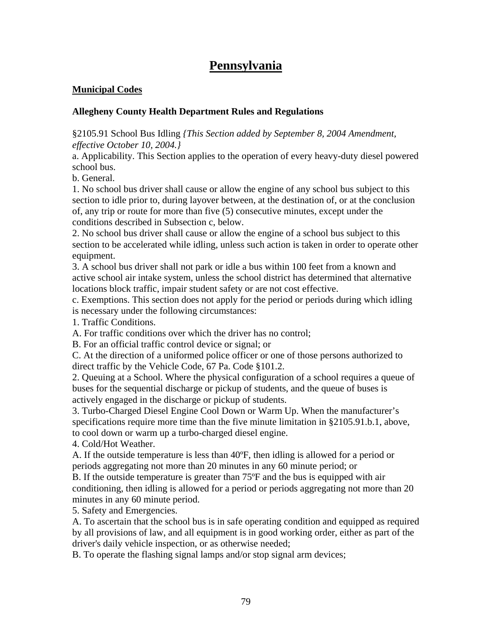# **Pennsylvania**

### **Municipal Codes**

### **Allegheny County Health Department Rules and Regulations**

§2105.91 School Bus Idling *{This Section added by September 8, 2004 Amendment, effective October 10, 2004.}* 

a. Applicability. This Section applies to the operation of every heavy-duty diesel powered school bus.

b. General.

1. No school bus driver shall cause or allow the engine of any school bus subject to this section to idle prior to, during layover between, at the destination of, or at the conclusion of, any trip or route for more than five (5) consecutive minutes, except under the conditions described in Subsection c, below.

2. No school bus driver shall cause or allow the engine of a school bus subject to this section to be accelerated while idling, unless such action is taken in order to operate other equipment.

3. A school bus driver shall not park or idle a bus within 100 feet from a known and active school air intake system, unless the school district has determined that alternative locations block traffic, impair student safety or are not cost effective.

c. Exemptions. This section does not apply for the period or periods during which idling is necessary under the following circumstances:

1. Traffic Conditions.

A. For traffic conditions over which the driver has no control;

B. For an official traffic control device or signal; or

C. At the direction of a uniformed police officer or one of those persons authorized to direct traffic by the Vehicle Code, 67 Pa. Code §101.2.

2. Queuing at a School. Where the physical configuration of a school requires a queue of buses for the sequential discharge or pickup of students, and the queue of buses is actively engaged in the discharge or pickup of students.

3. Turbo-Charged Diesel Engine Cool Down or Warm Up. When the manufacturer's specifications require more time than the five minute limitation in §2105.91.b.1, above, to cool down or warm up a turbo-charged diesel engine.

4. Cold/Hot Weather.

A. If the outside temperature is less than 40ºF, then idling is allowed for a period or periods aggregating not more than 20 minutes in any 60 minute period; or

B. If the outside temperature is greater than 75ºF and the bus is equipped with air conditioning, then idling is allowed for a period or periods aggregating not more than 20 minutes in any 60 minute period.

5. Safety and Emergencies.

A. To ascertain that the school bus is in safe operating condition and equipped as required by all provisions of law, and all equipment is in good working order, either as part of the driver's daily vehicle inspection, or as otherwise needed;

B. To operate the flashing signal lamps and/or stop signal arm devices;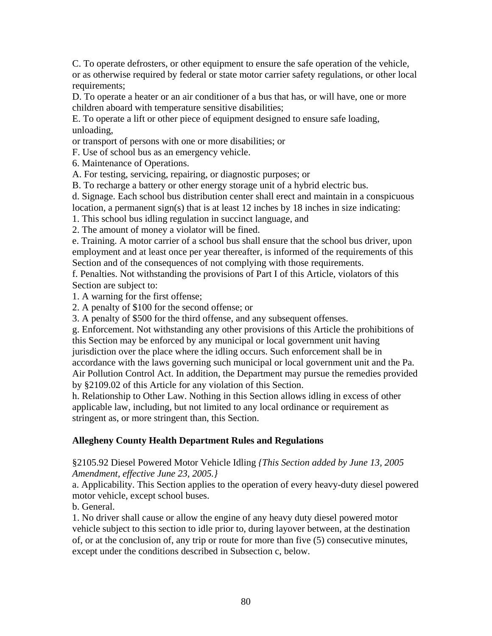C. To operate defrosters, or other equipment to ensure the safe operation of the vehicle, or as otherwise required by federal or state motor carrier safety regulations, or other local requirements;

D. To operate a heater or an air conditioner of a bus that has, or will have, one or more children aboard with temperature sensitive disabilities;

E. To operate a lift or other piece of equipment designed to ensure safe loading, unloading,

or transport of persons with one or more disabilities; or

F. Use of school bus as an emergency vehicle.

6. Maintenance of Operations.

A. For testing, servicing, repairing, or diagnostic purposes; or

B. To recharge a battery or other energy storage unit of a hybrid electric bus.

d. Signage. Each school bus distribution center shall erect and maintain in a conspicuous location, a permanent sign(s) that is at least 12 inches by 18 inches in size indicating:

1. This school bus idling regulation in succinct language, and

2. The amount of money a violator will be fined.

e. Training. A motor carrier of a school bus shall ensure that the school bus driver, upon employment and at least once per year thereafter, is informed of the requirements of this Section and of the consequences of not complying with those requirements.

f. Penalties. Not withstanding the provisions of Part I of this Article, violators of this Section are subject to:

1. A warning for the first offense;

2. A penalty of \$100 for the second offense; or

3. A penalty of \$500 for the third offense, and any subsequent offenses.

g. Enforcement. Not withstanding any other provisions of this Article the prohibitions of this Section may be enforced by any municipal or local government unit having jurisdiction over the place where the idling occurs. Such enforcement shall be in accordance with the laws governing such municipal or local government unit and the Pa. Air Pollution Control Act. In addition, the Department may pursue the remedies provided by §2109.02 of this Article for any violation of this Section.

h. Relationship to Other Law. Nothing in this Section allows idling in excess of other applicable law, including, but not limited to any local ordinance or requirement as stringent as, or more stringent than, this Section.

### **Allegheny County Health Department Rules and Regulations**

### §2105.92 Diesel Powered Motor Vehicle Idling *{This Section added by June 13, 2005 Amendment, effective June 23, 2005.}*

a. Applicability. This Section applies to the operation of every heavy-duty diesel powered motor vehicle, except school buses.

b. General.

1. No driver shall cause or allow the engine of any heavy duty diesel powered motor vehicle subject to this section to idle prior to, during layover between, at the destination of, or at the conclusion of, any trip or route for more than five (5) consecutive minutes, except under the conditions described in Subsection c, below.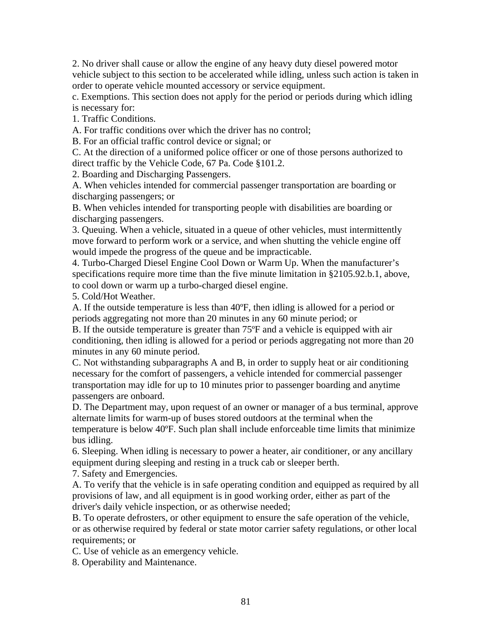2. No driver shall cause or allow the engine of any heavy duty diesel powered motor vehicle subject to this section to be accelerated while idling, unless such action is taken in order to operate vehicle mounted accessory or service equipment.

c. Exemptions. This section does not apply for the period or periods during which idling is necessary for:

1. Traffic Conditions.

A. For traffic conditions over which the driver has no control;

B. For an official traffic control device or signal; or

C. At the direction of a uniformed police officer or one of those persons authorized to direct traffic by the Vehicle Code, 67 Pa. Code §101.2.

2. Boarding and Discharging Passengers.

A. When vehicles intended for commercial passenger transportation are boarding or discharging passengers; or

B. When vehicles intended for transporting people with disabilities are boarding or discharging passengers.

3. Queuing. When a vehicle, situated in a queue of other vehicles, must intermittently move forward to perform work or a service, and when shutting the vehicle engine off would impede the progress of the queue and be impracticable.

4. Turbo-Charged Diesel Engine Cool Down or Warm Up. When the manufacturer's specifications require more time than the five minute limitation in §2105.92.b.1, above, to cool down or warm up a turbo-charged diesel engine.

5. Cold/Hot Weather.

A. If the outside temperature is less than 40ºF, then idling is allowed for a period or periods aggregating not more than 20 minutes in any 60 minute period; or

B. If the outside temperature is greater than 75ºF and a vehicle is equipped with air conditioning, then idling is allowed for a period or periods aggregating not more than 20 minutes in any 60 minute period.

C. Not withstanding subparagraphs A and B, in order to supply heat or air conditioning necessary for the comfort of passengers, a vehicle intended for commercial passenger transportation may idle for up to 10 minutes prior to passenger boarding and anytime passengers are onboard.

D. The Department may, upon request of an owner or manager of a bus terminal, approve alternate limits for warm-up of buses stored outdoors at the terminal when the temperature is below 40ºF. Such plan shall include enforceable time limits that minimize bus idling.

6. Sleeping. When idling is necessary to power a heater, air conditioner, or any ancillary equipment during sleeping and resting in a truck cab or sleeper berth.

7. Safety and Emergencies.

A. To verify that the vehicle is in safe operating condition and equipped as required by all provisions of law, and all equipment is in good working order, either as part of the driver's daily vehicle inspection, or as otherwise needed;

B. To operate defrosters, or other equipment to ensure the safe operation of the vehicle, or as otherwise required by federal or state motor carrier safety regulations, or other local requirements; or

C. Use of vehicle as an emergency vehicle.

8. Operability and Maintenance.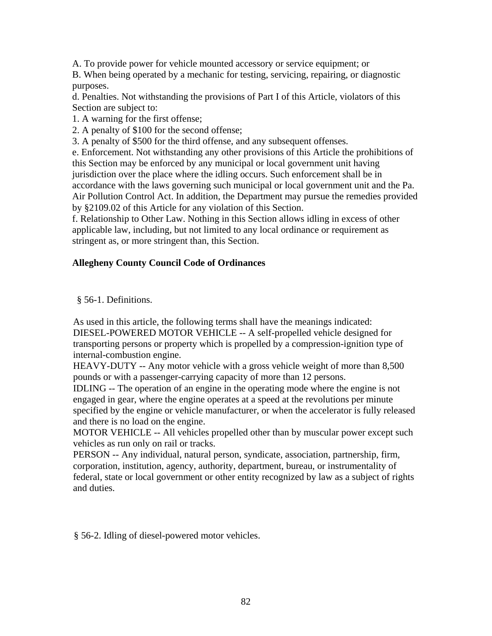A. To provide power for vehicle mounted accessory or service equipment; or

B. When being operated by a mechanic for testing, servicing, repairing, or diagnostic purposes.

d. Penalties. Not withstanding the provisions of Part I of this Article, violators of this Section are subject to:

1. A warning for the first offense;

2. A penalty of \$100 for the second offense;

3. A penalty of \$500 for the third offense, and any subsequent offenses.

e. Enforcement. Not withstanding any other provisions of this Article the prohibitions of this Section may be enforced by any municipal or local government unit having jurisdiction over the place where the idling occurs. Such enforcement shall be in accordance with the laws governing such municipal or local government unit and the Pa. Air Pollution Control Act. In addition, the Department may pursue the remedies provided by §2109.02 of this Article for any violation of this Section.

f. Relationship to Other Law. Nothing in this Section allows idling in excess of other applicable law, including, but not limited to any local ordinance or requirement as stringent as, or more stringent than, this Section.

### **Allegheny County Council Code of Ordinances**

§ 56-1. Definitions.

As used in this article, the following terms shall have the meanings indicated: DIESEL-POWERED MOTOR VEHICLE -- A self-propelled vehicle designed for transporting persons or property which is propelled by a compression-ignition type of internal-combustion engine.

HEAVY-DUTY -- Any motor vehicle with a gross vehicle weight of more than 8,500 pounds or with a passenger-carrying capacity of more than 12 persons.

IDLING -- The operation of an engine in the operating mode where the engine is not engaged in gear, where the engine operates at a speed at the revolutions per minute specified by the engine or vehicle manufacturer, or when the accelerator is fully released and there is no load on the engine.

MOTOR VEHICLE -- All vehicles propelled other than by muscular power except such vehicles as run only on rail or tracks.

PERSON -- Any individual, natural person, syndicate, association, partnership, firm, corporation, institution, agency, authority, department, bureau, or instrumentality of federal, state or local government or other entity recognized by law as a subject of rights and duties.

§ 56-2. Idling of diesel-powered motor vehicles.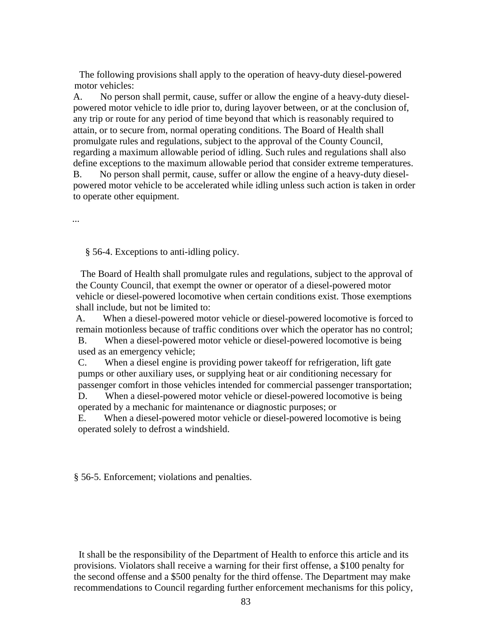The following provisions shall apply to the operation of heavy-duty diesel-powered motor vehicles:

A. No person shall permit, cause, suffer or allow the engine of a heavy-duty dieselpowered motor vehicle to idle prior to, during layover between, or at the conclusion of, any trip or route for any period of time beyond that which is reasonably required to attain, or to secure from, normal operating conditions. The Board of Health shall promulgate rules and regulations, subject to the approval of the County Council, regarding a maximum allowable period of idling. Such rules and regulations shall also define exceptions to the maximum allowable period that consider extreme temperatures. B. No person shall permit, cause, suffer or allow the engine of a heavy-duty dieselpowered motor vehicle to be accelerated while idling unless such action is taken in order

to operate other equipment.

...

§ 56-4. Exceptions to anti-idling policy.

 The Board of Health shall promulgate rules and regulations, subject to the approval of the County Council, that exempt the owner or operator of a diesel-powered motor vehicle or diesel-powered locomotive when certain conditions exist. Those exemptions shall include, but not be limited to:

A. When a diesel-powered motor vehicle or diesel-powered locomotive is forced to remain motionless because of traffic conditions over which the operator has no control; B. When a diesel-powered motor vehicle or diesel-powered locomotive is being

used as an emergency vehicle;

C. When a diesel engine is providing power takeoff for refrigeration, lift gate pumps or other auxiliary uses, or supplying heat or air conditioning necessary for passenger comfort in those vehicles intended for commercial passenger transportation; D. When a diesel-powered motor vehicle or diesel-powered locomotive is being

operated by a mechanic for maintenance or diagnostic purposes; or

E. When a diesel-powered motor vehicle or diesel-powered locomotive is being operated solely to defrost a windshield.

§ 56-5. Enforcement; violations and penalties.

 It shall be the responsibility of the Department of Health to enforce this article and its provisions. Violators shall receive a warning for their first offense, a \$100 penalty for the second offense and a \$500 penalty for the third offense. The Department may make recommendations to Council regarding further enforcement mechanisms for this policy,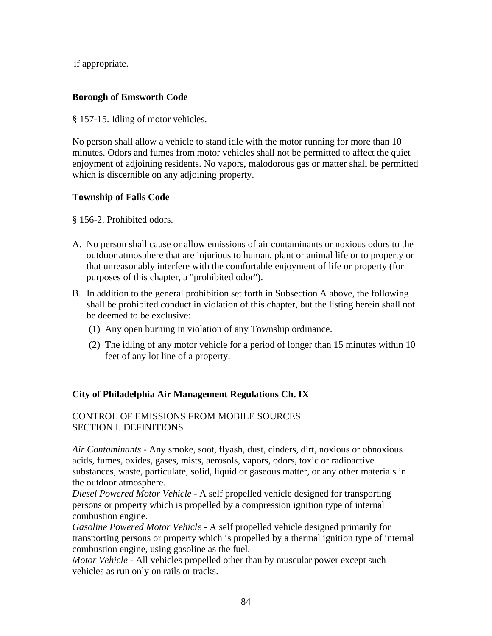if appropriate.

### **Borough of Emsworth Code**

§ 157-15. Idling of motor vehicles.

No person shall allow a vehicle to stand idle with the motor running for more than 10 minutes. Odors and fumes from motor vehicles shall not be permitted to affect the quiet enjoyment of adjoining residents. No vapors, malodorous gas or matter shall be permitted which is discernible on any adjoining property.

### **Township of Falls Code**

§ 156-2. Prohibited odors.

- A. No person shall cause or allow emissions of air contaminants or noxious odors to the outdoor atmosphere that are injurious to human, plant or animal life or to property or that unreasonably interfere with the comfortable enjoyment of life or property (for purposes of this chapter, a "prohibited odor").
- B. In addition to the general prohibition set forth in Subsection A above, the following shall be prohibited conduct in violation of this chapter, but the listing herein shall not be deemed to be exclusive:
	- (1) Any open burning in violation of any Township ordinance.
	- (2) The idling of any motor vehicle for a period of longer than 15 minutes within 10 feet of any lot line of a property.

### **City of Philadelphia Air Management Regulations Ch. IX**

### CONTROL OF EMISSIONS FROM MOBILE SOURCES SECTION I. DEFINITIONS

*Air Contaminants -* Any smoke, soot, flyash, dust, cinders, dirt, noxious or obnoxious acids, fumes, oxides, gases, mists, aerosols, vapors, odors, toxic or radioactive substances, waste, particulate, solid, liquid or gaseous matter, or any other materials in the outdoor atmosphere.

*Diesel Powered Motor Vehicle -* A self propelled vehicle designed for transporting persons or property which is propelled by a compression ignition type of internal combustion engine.

*Gasoline Powered Motor Vehicle* - A self propelled vehicle designed primarily for transporting persons or property which is propelled by a thermal ignition type of internal combustion engine, using gasoline as the fuel.

*Motor Vehicle* - All vehicles propelled other than by muscular power except such vehicles as run only on rails or tracks.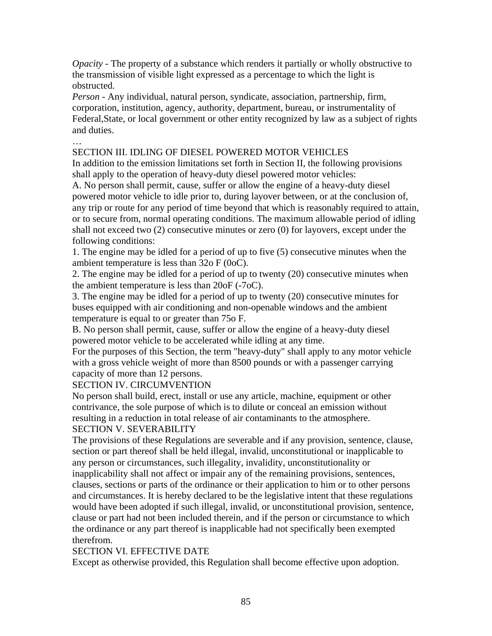*Opacity* - The property of a substance which renders it partially or wholly obstructive to the transmission of visible light expressed as a percentage to which the light is obstructed.

*Person -* Any individual, natural person, syndicate, association, partnership, firm, corporation, institution, agency, authority, department, bureau, or instrumentality of Federal,State, or local government or other entity recognized by law as a subject of rights and duties.

### SECTION III. IDLING OF DIESEL POWERED MOTOR VEHICLES

In addition to the emission limitations set forth in Section II, the following provisions shall apply to the operation of heavy-duty diesel powered motor vehicles:

A. No person shall permit, cause, suffer or allow the engine of a heavy-duty diesel powered motor vehicle to idle prior to, during layover between, or at the conclusion of, any trip or route for any period of time beyond that which is reasonably required to attain, or to secure from, normal operating conditions. The maximum allowable period of idling shall not exceed two (2) consecutive minutes or zero (0) for layovers, except under the following conditions:

1. The engine may be idled for a period of up to five (5) consecutive minutes when the ambient temperature is less than 32o F (0oC).

2. The engine may be idled for a period of up to twenty (20) consecutive minutes when the ambient temperature is less than 20oF (-7oC).

3. The engine may be idled for a period of up to twenty (20) consecutive minutes for buses equipped with air conditioning and non-openable windows and the ambient temperature is equal to or greater than 75o F.

B. No person shall permit, cause, suffer or allow the engine of a heavy-duty diesel powered motor vehicle to be accelerated while idling at any time.

For the purposes of this Section, the term "heavy-duty" shall apply to any motor vehicle with a gross vehicle weight of more than 8500 pounds or with a passenger carrying capacity of more than 12 persons.

SECTION IV. CIRCUMVENTION

…

No person shall build, erect, install or use any article, machine, equipment or other contrivance, the sole purpose of which is to dilute or conceal an emission without resulting in a reduction in total release of air contaminants to the atmosphere. SECTION V. SEVERABILITY

The provisions of these Regulations are severable and if any provision, sentence, clause, section or part thereof shall be held illegal, invalid, unconstitutional or inapplicable to any person or circumstances, such illegality, invalidity, unconstitutionality or inapplicability shall not affect or impair any of the remaining provisions, sentences, clauses, sections or parts of the ordinance or their application to him or to other persons and circumstances. It is hereby declared to be the legislative intent that these regulations would have been adopted if such illegal, invalid, or unconstitutional provision, sentence, clause or part had not been included therein, and if the person or circumstance to which the ordinance or any part thereof is inapplicable had not specifically been exempted therefrom.

### SECTION VI. EFFECTIVE DATE

Except as otherwise provided, this Regulation shall become effective upon adoption.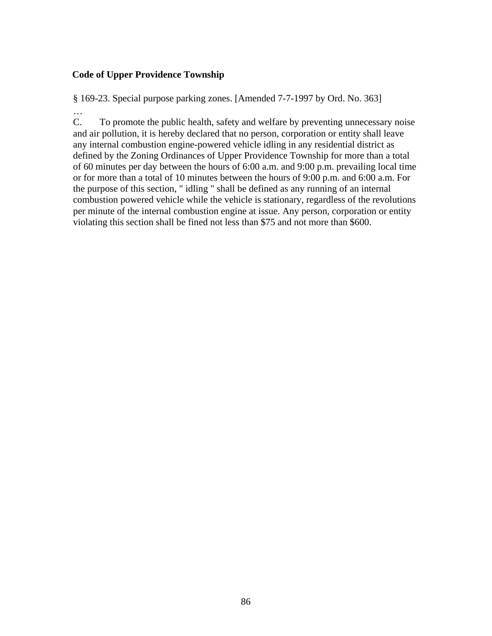### **Code of Upper Providence Township**

…

§ 169-23. Special purpose parking zones. [Amended 7-7-1997 by Ord. No. 363]

C. To promote the public health, safety and welfare by preventing unnecessary noise and air pollution, it is hereby declared that no person, corporation or entity shall leave any internal combustion engine-powered vehicle idling in any residential district as defined by the Zoning Ordinances of Upper Providence Township for more than a total of 60 minutes per day between the hours of 6:00 a.m. and 9:00 p.m. prevailing local time or for more than a total of 10 minutes between the hours of 9:00 p.m. and 6:00 a.m. For the purpose of this section, " idling " shall be defined as any running of an internal combustion powered vehicle while the vehicle is stationary, regardless of the revolutions per minute of the internal combustion engine at issue. Any person, corporation or entity violating this section shall be fined not less than \$75 and not more than \$600.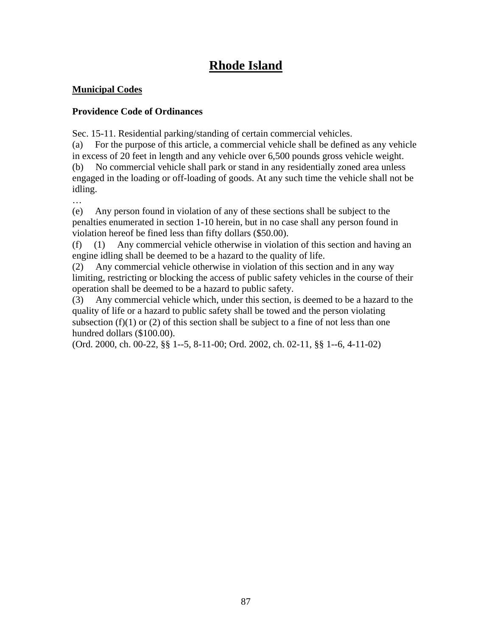# **Rhode Island**

### **Municipal Codes**

### **Providence Code of Ordinances**

Sec. 15-11. Residential parking/standing of certain commercial vehicles.

(a) For the purpose of this article, a commercial vehicle shall be defined as any vehicle in excess of 20 feet in length and any vehicle over 6,500 pounds gross vehicle weight. (b) No commercial vehicle shall park or stand in any residentially zoned area unless engaged in the loading or off-loading of goods. At any such time the vehicle shall not be idling.

…

(e) Any person found in violation of any of these sections shall be subject to the penalties enumerated in section 1-10 herein, but in no case shall any person found in violation hereof be fined less than fifty dollars (\$50.00).

(f) (1) Any commercial vehicle otherwise in violation of this section and having an engine idling shall be deemed to be a hazard to the quality of life.

(2) Any commercial vehicle otherwise in violation of this section and in any way limiting, restricting or blocking the access of public safety vehicles in the course of their operation shall be deemed to be a hazard to public safety.

(3) Any commercial vehicle which, under this section, is deemed to be a hazard to the quality of life or a hazard to public safety shall be towed and the person violating subsection  $(f)(1)$  or  $(2)$  of this section shall be subject to a fine of not less than one hundred dollars (\$100.00).

(Ord. 2000, ch. 00-22, §§ 1--5, 8-11-00; Ord. 2002, ch. 02-11, §§ 1--6, 4-11-02)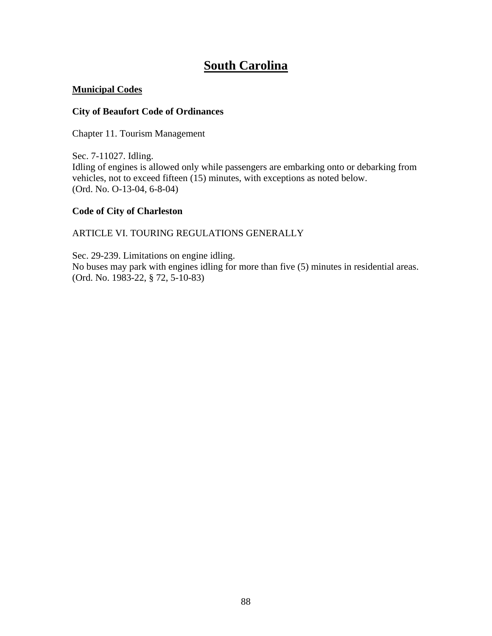# **South Carolina**

### **Municipal Codes**

### **City of Beaufort Code of Ordinances**

Chapter 11. Tourism Management

Sec. 7-11027. Idling. Idling of engines is allowed only while passengers are embarking onto or debarking from vehicles, not to exceed fifteen (15) minutes, with exceptions as noted below. (Ord. No. O-13-04, 6-8-04)

### **Code of City of Charleston**

### ARTICLE VI. TOURING REGULATIONS GENERALLY

Sec. 29-239. Limitations on engine idling. No buses may park with engines idling for more than five (5) minutes in residential areas. (Ord. No. 1983-22, § 72, 5-10-83)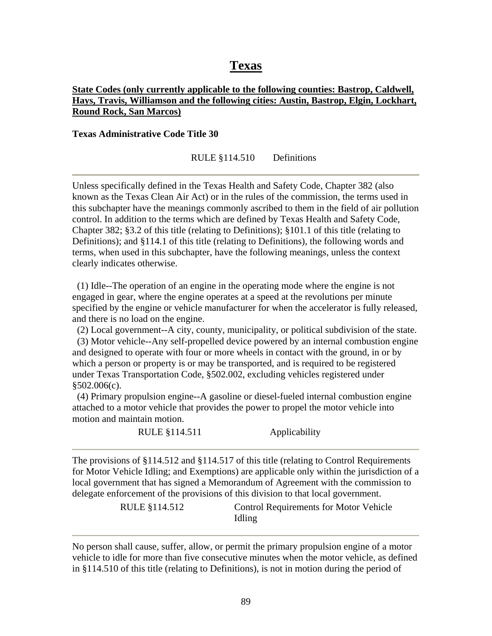## **Texas**

### **State Codes (only currently applicable to the following counties: Bastrop, Caldwell, Hays, Travis, Williamson and the following cities: Austin, Bastrop, Elgin, Lockhart, Round Rock, San Marcos)**

**Texas Administrative Code Title 30** 

RULE §114.510 Definitions

Unless specifically defined in the Texas Health and Safety Code, Chapter 382 (also known as the Texas Clean Air Act) or in the rules of the commission, the terms used in this subchapter have the meanings commonly ascribed to them in the field of air pollution control. In addition to the terms which are defined by Texas Health and Safety Code, Chapter 382; §3.2 of this title (relating to Definitions); §101.1 of this title (relating to Definitions); and §114.1 of this title (relating to Definitions), the following words and terms, when used in this subchapter, have the following meanings, unless the context clearly indicates otherwise.

 (1) Idle--The operation of an engine in the operating mode where the engine is not engaged in gear, where the engine operates at a speed at the revolutions per minute specified by the engine or vehicle manufacturer for when the accelerator is fully released, and there is no load on the engine.

(2) Local government--A city, county, municipality, or political subdivision of the state.

 (3) Motor vehicle--Any self-propelled device powered by an internal combustion engine and designed to operate with four or more wheels in contact with the ground, in or by which a person or property is or may be transported, and is required to be registered under Texas Transportation Code, §502.002, excluding vehicles registered under  $$502.006(c)$ .

 (4) Primary propulsion engine--A gasoline or diesel-fueled internal combustion engine attached to a motor vehicle that provides the power to propel the motor vehicle into motion and maintain motion.

| RULE §114.511                                                                                   | Applicability |
|-------------------------------------------------------------------------------------------------|---------------|
|                                                                                                 |               |
| The provisions of $\S 114.512$ and $\S 114.517$ of this title (relating to Control Requirements |               |
| for Motor Vehicle Idling; and Exemptions) are applicable only within the jurisdiction of a      |               |
| local government that has signed a Memorandum of Agreement with the commission to               |               |
| delegate enforcement of the provisions of this division to that local government.               |               |

RULE §114.512 Control Requirements for Motor Vehicle Idling

No person shall cause, suffer, allow, or permit the primary propulsion engine of a motor vehicle to idle for more than five consecutive minutes when the motor vehicle, as defined in §114.510 of this title (relating to Definitions), is not in motion during the period of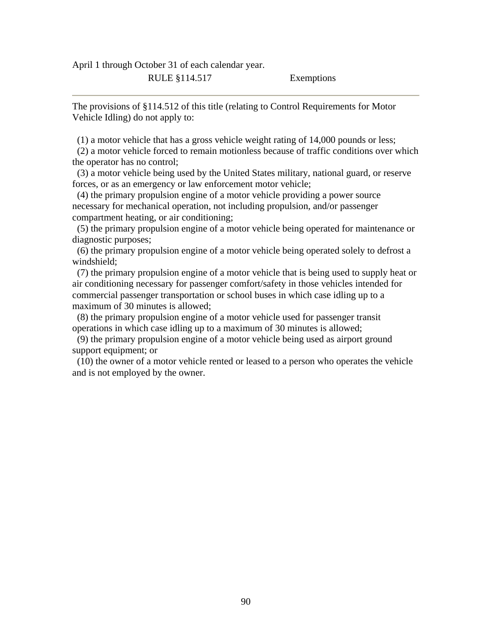April 1 through October 31 of each calendar year.

RULE §114.517 Exemptions

The provisions of §114.512 of this title (relating to Control Requirements for Motor Vehicle Idling) do not apply to:

(1) a motor vehicle that has a gross vehicle weight rating of 14,000 pounds or less;

 (2) a motor vehicle forced to remain motionless because of traffic conditions over which the operator has no control;

 (3) a motor vehicle being used by the United States military, national guard, or reserve forces, or as an emergency or law enforcement motor vehicle;

 (4) the primary propulsion engine of a motor vehicle providing a power source necessary for mechanical operation, not including propulsion, and/or passenger compartment heating, or air conditioning;

 (5) the primary propulsion engine of a motor vehicle being operated for maintenance or diagnostic purposes;

 (6) the primary propulsion engine of a motor vehicle being operated solely to defrost a windshield;

 (7) the primary propulsion engine of a motor vehicle that is being used to supply heat or air conditioning necessary for passenger comfort/safety in those vehicles intended for commercial passenger transportation or school buses in which case idling up to a maximum of 30 minutes is allowed;

 (8) the primary propulsion engine of a motor vehicle used for passenger transit operations in which case idling up to a maximum of 30 minutes is allowed;

 (9) the primary propulsion engine of a motor vehicle being used as airport ground support equipment; or

 (10) the owner of a motor vehicle rented or leased to a person who operates the vehicle and is not employed by the owner.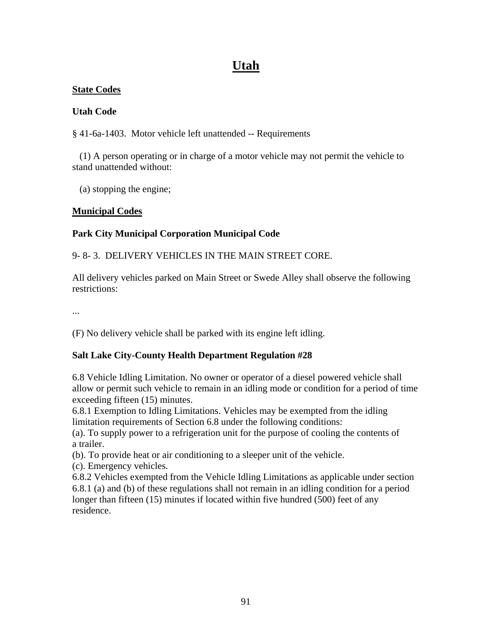# **Utah**

### **State Codes**

### **Utah Code**

§ 41-6a-1403. Motor vehicle left unattended -- Requirements

 (1) A person operating or in charge of a motor vehicle may not permit the vehicle to stand unattended without:

(a) stopping the engine;

### **Municipal Codes**

## **Park City Municipal Corporation Municipal Code**

9- 8- 3. DELIVERY VEHICLES IN THE MAIN STREET CORE.

All delivery vehicles parked on Main Street or Swede Alley shall observe the following restrictions:

...

(F) No delivery vehicle shall be parked with its engine left idling.

### **Salt Lake City-County Health Department Regulation #28**

6.8 Vehicle Idling Limitation. No owner or operator of a diesel powered vehicle shall allow or permit such vehicle to remain in an idling mode or condition for a period of time exceeding fifteen (15) minutes.

6.8.1 Exemption to Idling Limitations. Vehicles may be exempted from the idling limitation requirements of Section 6.8 under the following conditions:

(a). To supply power to a refrigeration unit for the purpose of cooling the contents of a trailer.

(b). To provide heat or air conditioning to a sleeper unit of the vehicle.

(c). Emergency vehicles.

6.8.2 Vehicles exempted from the Vehicle Idling Limitations as applicable under section 6.8.1 (a) and (b) of these regulations shall not remain in an idling condition for a period longer than fifteen (15) minutes if located within five hundred (500) feet of any residence.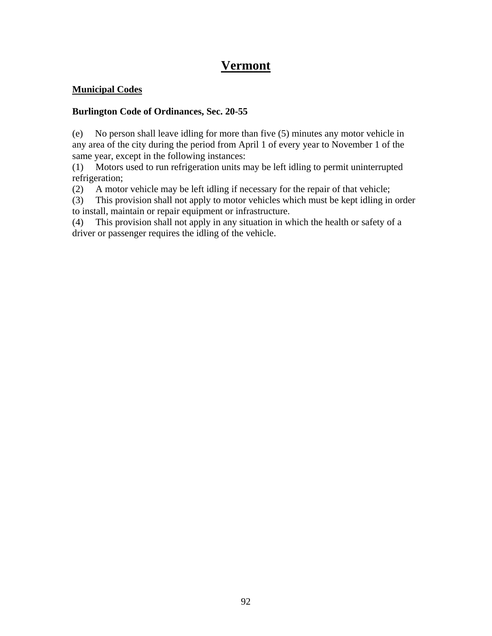## **Vermont**

### **Municipal Codes**

### **Burlington Code of Ordinances, Sec. 20-55**

(e) No person shall leave idling for more than five (5) minutes any motor vehicle in any area of the city during the period from April 1 of every year to November 1 of the same year, except in the following instances:

(1) Motors used to run refrigeration units may be left idling to permit uninterrupted refrigeration;

(2) A motor vehicle may be left idling if necessary for the repair of that vehicle;

(3) This provision shall not apply to motor vehicles which must be kept idling in order to install, maintain or repair equipment or infrastructure.

(4) This provision shall not apply in any situation in which the health or safety of a driver or passenger requires the idling of the vehicle.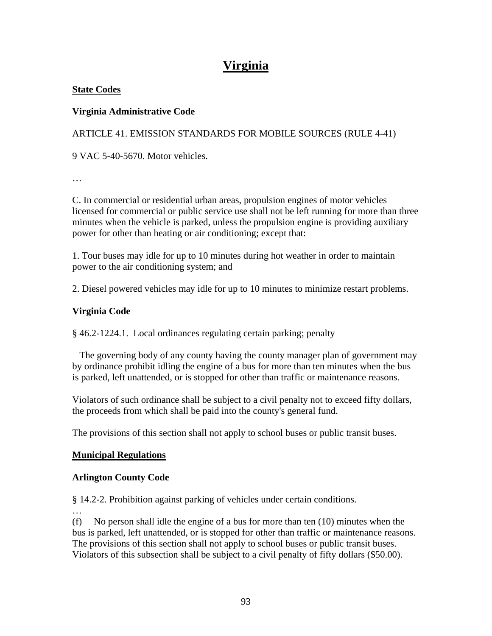# **Virginia**

### **State Codes**

### **Virginia Administrative Code**

ARTICLE 41. EMISSION STANDARDS FOR MOBILE SOURCES (RULE 4-41)

9 VAC 5-40-5670. Motor vehicles.

…

C. In commercial or residential urban areas, propulsion engines of motor vehicles licensed for commercial or public service use shall not be left running for more than three minutes when the vehicle is parked, unless the propulsion engine is providing auxiliary power for other than heating or air conditioning; except that:

1. Tour buses may idle for up to 10 minutes during hot weather in order to maintain power to the air conditioning system; and

2. Diesel powered vehicles may idle for up to 10 minutes to minimize restart problems.

### **Virginia Code**

§ 46.2-1224.1. Local ordinances regulating certain parking; penalty

 The governing body of any county having the county manager plan of government may by ordinance prohibit idling the engine of a bus for more than ten minutes when the bus is parked, left unattended, or is stopped for other than traffic or maintenance reasons.

Violators of such ordinance shall be subject to a civil penalty not to exceed fifty dollars, the proceeds from which shall be paid into the county's general fund.

The provisions of this section shall not apply to school buses or public transit buses.

### **Municipal Regulations**

### **Arlington County Code**

§ 14.2-2. Prohibition against parking of vehicles under certain conditions.

…

(f) No person shall idle the engine of a bus for more than ten (10) minutes when the bus is parked, left unattended, or is stopped for other than traffic or maintenance reasons. The provisions of this section shall not apply to school buses or public transit buses. Violators of this subsection shall be subject to a civil penalty of fifty dollars (\$50.00).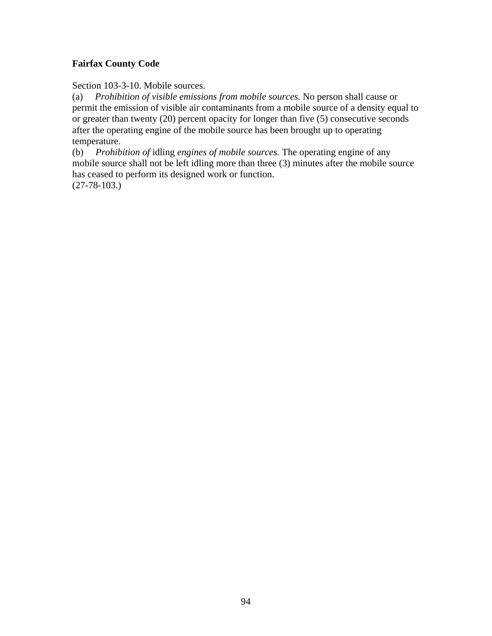### **Fairfax County Code**

Section 103-3-10. Mobile sources.

(a) *Prohibition of visible emissions from mobile sources.* No person shall cause or permit the emission of visible air contaminants from a mobile source of a density equal to or greater than twenty (20) percent opacity for longer than five (5) consecutive seconds after the operating engine of the mobile source has been brought up to operating temperature.

(b) *Prohibition of* idling *engines of mobile sources.* The operating engine of any mobile source shall not be left idling more than three (3) minutes after the mobile source has ceased to perform its designed work or function. (27-78-103.)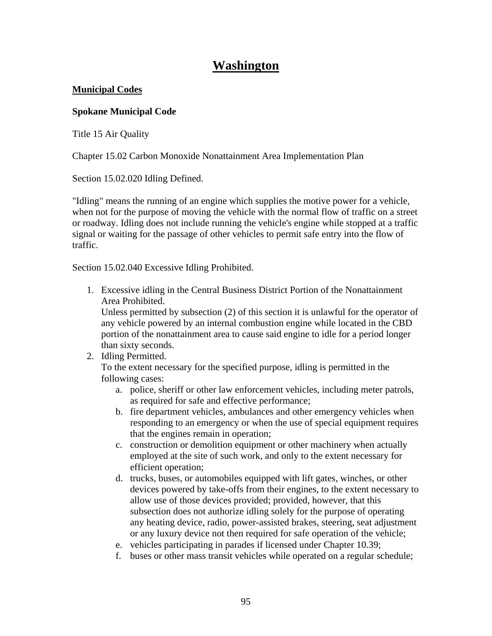## **Washington**

### **Municipal Codes**

### **Spokane Municipal Code**

[Title 15](http://www.spokanecity.org/services/documents/smc/?Title=15&Find=idling) Air Quality

[Chapter 15.02](http://www.spokanecity.org/services/documents/smc/?Chapter=15.02&Find=idling) Carbon Monoxide Nonattainment Area Implementation Plan

[Section 15.02.020](http://www.spokanecity.org/services/documents/smc/?Section=15.02.020&Find=idling) Idling Defined.

"Idling" means the running of an engine which supplies the motive power for a vehicle, when not for the purpose of moving the vehicle with the normal flow of traffic on a street or roadway. Idling does not include running the vehicle's engine while stopped at a traffic signal or waiting for the passage of other vehicles to permit safe entry into the flow of traffic.

[Section 15.02.040](http://www.spokanecity.org/services/documents/smc/?Section=15.02.040&Find=idling) Excessive Idling Prohibited.

1. Excessive idling in the Central Business District Portion of the Nonattainment Area Prohibited.

Unless permitted by subsection (2) of this section it is unlawful for the operator of any vehicle powered by an internal combustion engine while located in the CBD portion of the nonattainment area to cause said engine to idle for a period longer than sixty seconds.

2. Idling Permitted.

To the extent necessary for the specified purpose, idling is permitted in the following cases:

- a. police, sheriff or other law enforcement vehicles, including meter patrols, as required for safe and effective performance;
- b. fire department vehicles, ambulances and other emergency vehicles when responding to an emergency or when the use of special equipment requires that the engines remain in operation;
- c. construction or demolition equipment or other machinery when actually employed at the site of such work, and only to the extent necessary for efficient operation;
- d. trucks, buses, or automobiles equipped with lift gates, winches, or other devices powered by take-offs from their engines, to the extent necessary to allow use of those devices provided; provided, however, that this subsection does not authorize idling solely for the purpose of operating any heating device, radio, power-assisted brakes, steering, seat adjustment or any luxury device not then required for safe operation of the vehicle;
- e. vehicles participating in parades if licensed under Chapter 10.39;
- f. buses or other mass transit vehicles while operated on a regular schedule;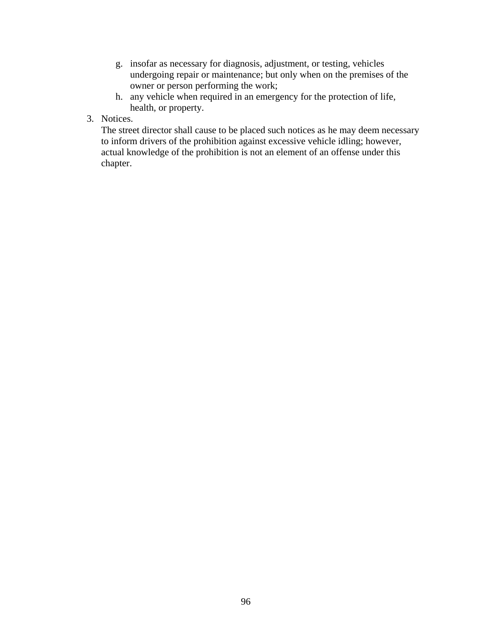- g. insofar as necessary for diagnosis, adjustment, or testing, vehicles undergoing repair or maintenance; but only when on the premises of the owner or person performing the work;
- h. any vehicle when required in an emergency for the protection of life, health, or property.
- 3. Notices.

The street director shall cause to be placed such notices as he may deem necessary to inform drivers of the prohibition against excessive vehicle idling; however, actual knowledge of the prohibition is not an element of an offense under this chapter.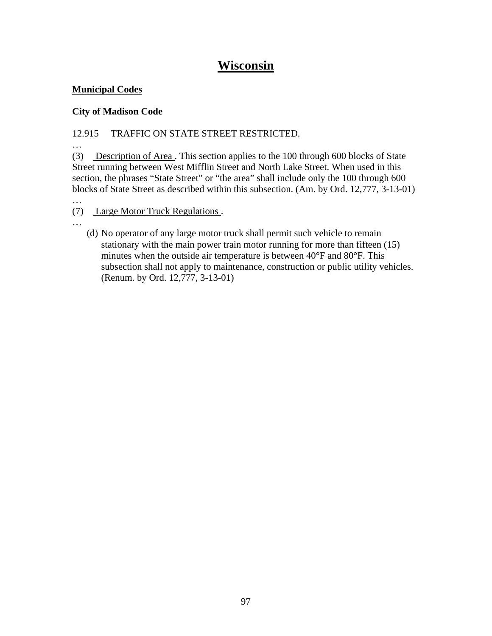## **Wisconsin**

### **Municipal Codes**

…

## **City of Madison Code**

## 12.915 TRAFFIC ON STATE STREET RESTRICTED.

… (3) Description of Area . This section applies to the 100 through 600 blocks of State Street running between West Mifflin Street and North Lake Street. When used in this section, the phrases "State Street" or "the area" shall include only the 100 through 600 blocks of State Street as described within this subsection. (Am. by Ord. 12,777, 3-13-01)

… (7) Large Motor Truck Regulations .

(d) No operator of any large motor truck shall permit such vehicle to remain stationary with the main power train motor running for more than fifteen (15) minutes when the outside air temperature is between 40°F and 80°F. This subsection shall not apply to maintenance, construction or public utility vehicles. (Renum. by Ord. 12,777, 3-13-01)